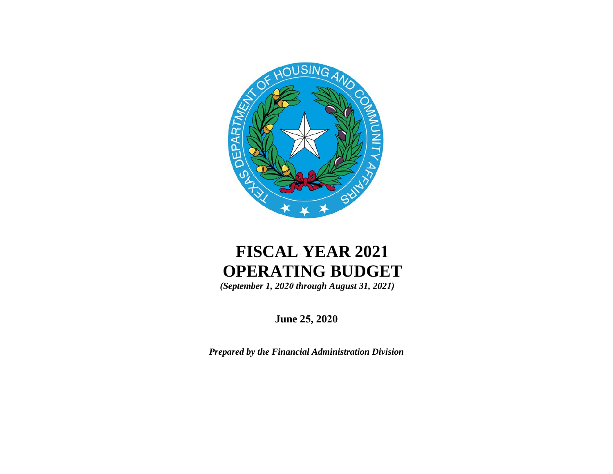

# **FISCAL YEAR 2021 OPERATING BUDGET**

*(September 1, 2020 through August 31, 2021)* 

**June 25, 2020**

*Prepared by the Financial Administration Division*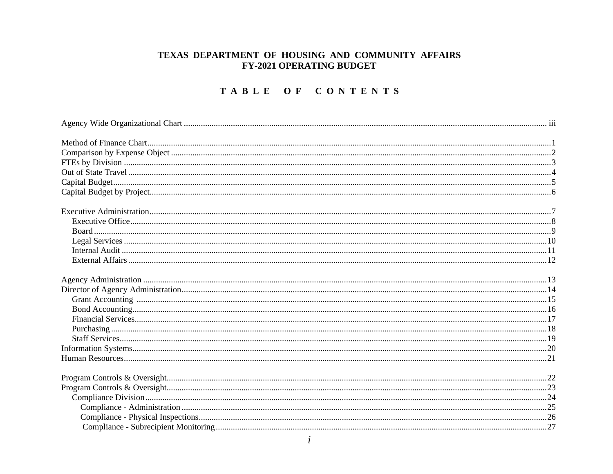### TEXAS DEPARTMENT OF HOUSING AND COMMUNITY AFFAIRS **FY-2021 OPERATING BUDGET**

# TABLE OF CONTENTS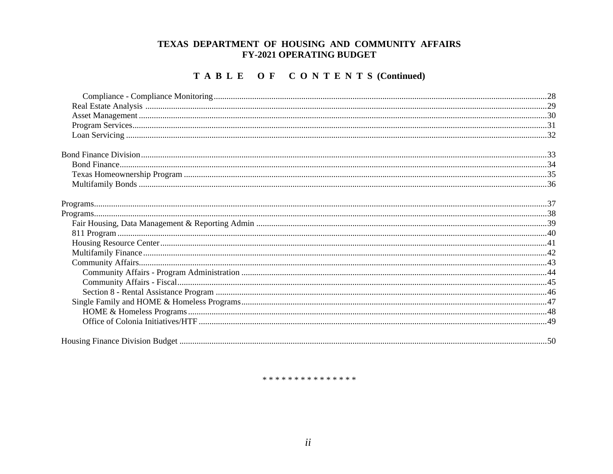### TEXAS DEPARTMENT OF HOUSING AND COMMUNITY AFFAIRS **FY-2021 OPERATING BUDGET**

### TABLE OF CONTENTS (Continued)

#### \* \* \* \* \* \* \* \* \* \* \* \* \* \* \*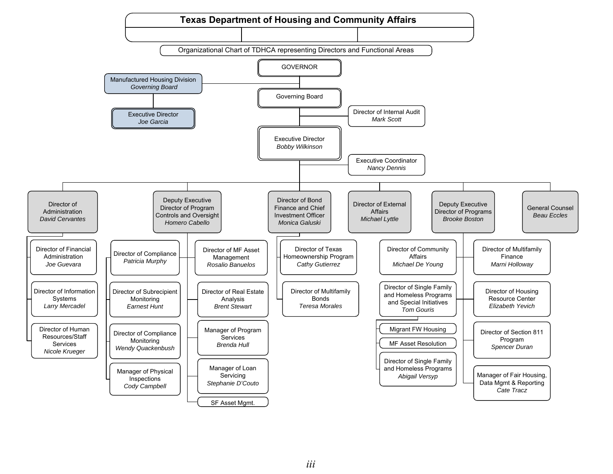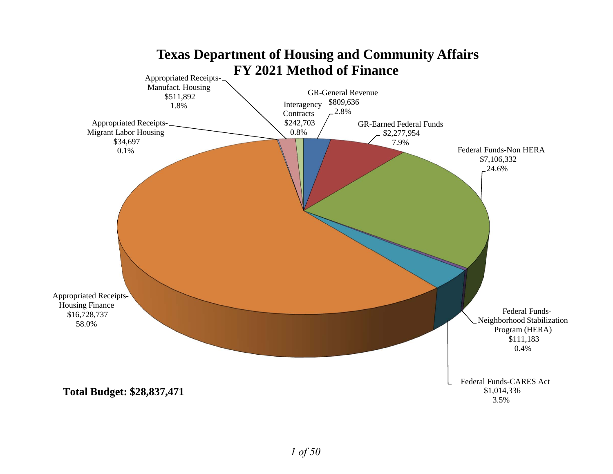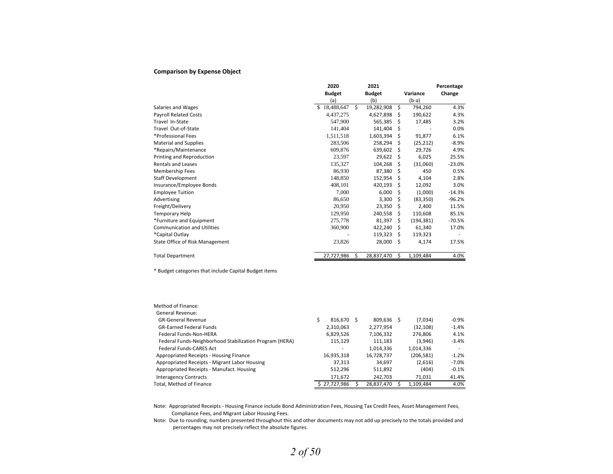#### **Comparison by Expense Object**

|                                    | 2020             | 2021             |                 | Percentage |
|------------------------------------|------------------|------------------|-----------------|------------|
|                                    | <b>Budget</b>    | <b>Budget</b>    | Variance        | Change     |
|                                    | (a)              | (b)              | $(b-a)$         |            |
| Salaries and Wages                 | 18,488,647<br>S. | Ś<br>19,282,908  | \$<br>794,260   | 4.3%       |
| <b>Payroll Related Costs</b>       | 4,437,275        | 4,627,898        | 190,622<br>Ś    | 4.3%       |
| Travel In-State                    | 547,900          | 565,385          | Ś<br>17,485     | 3.2%       |
| Travel Out-of-State                | 141,404          | 141,404          | \$              | 0.0%       |
| *Professional Fees                 | 1,511,518        | 1,603,394        | 91,877<br>Ś     | 6.1%       |
| <b>Material and Supplies</b>       | 283,506          | 258,294          | (25, 212)<br>S  | $-8.9%$    |
| *Repairs/Maintenance               | 609,876          | 639,602          | 29,726<br>S     | 4.9%       |
| Printing and Reproduction          | 23,597           | 29,622           | 6,025<br>Ś      | 25.5%      |
| <b>Rentals and Leases</b>          | 135,327          | 104,268          | (31,060)<br>S   | $-23.0%$   |
| Membership Fees                    | 86,930           | 87,380           | Ś<br>450        | 0.5%       |
| <b>Staff Development</b>           | 148,850          | 152,954          | 4,104<br>\$     | 2.8%       |
| Insurance/Employee Bonds           | 408,101          | 420,193          | Ś<br>12,092     | 3.0%       |
| <b>Employee Tuition</b>            | 7,000            | 6,000            | \$<br>(1,000)   | $-14.3%$   |
| Advertising                        | 86,650           | 3,300            | Ś<br>(83, 350)  | $-96.2%$   |
| Freight/Delivery                   | 20,950           | 23,350           | Ś<br>2,400      | 11.5%      |
| Temporary Help                     | 129,950          | 240,558          | Ś<br>110,608    | 85.1%      |
| *Furniture and Equipment           | 275,778          | 81,397           | Ś<br>(194, 381) | $-70.5%$   |
| <b>Communication and Utilities</b> | 360,900          | 422,240          | Ś<br>61,340     | 17.0%      |
| *Capital Outlay                    |                  | 119,323          | Ŝ.<br>119,323   |            |
| State Office of Risk Management    | 23,826           | 28,000           | \$<br>4,174     | 17.5%      |
| <b>Total Department</b>            | 27,727,986       | \$<br>28,837,470 | \$<br>1,109,484 | 4.0%       |

\* Budget categories that include Capital Budget items

| Method of Finance:                                      |              |     |            |           |          |
|---------------------------------------------------------|--------------|-----|------------|-----------|----------|
| General Revenue:                                        |              |     |            |           |          |
| <b>GR-General Revenue</b>                               | 816.670      | - S | 809,636 \$ | (7,034)   | $-0.9\%$ |
| <b>GR-Earned Federal Funds</b>                          | 2,310,063    |     | 2,277,954  | (32, 108) | $-1.4%$  |
| Federal Funds-Non-HERA                                  | 6,829,526    |     | 7,106,332  | 276,806   | 4.1%     |
| Federal Funds-Neighborhood Stabilization Program (HERA) | 115,129      |     | 111,183    | (3,946)   | $-3.4%$  |
| <b>Federal Funds-CARES Act</b>                          |              |     | 1.014.336  | 1,014,336 |          |
| Appropriated Receipts - Housing Finance                 | 16,935,318   |     | 16,728,737 | (206,581) | $-1.2%$  |
| Appropriated Receipts - Migrant Labor Housing           | 37,313       |     | 34.697     | (2,616)   | $-7.0\%$ |
| Appropriated Receipts - Manufact. Housing               | 512,296      |     | 511,892    | (404)     | $-0.1%$  |
| <b>Interagency Contracts</b>                            | 171.672      |     | 242.703    | 71.031    | 41.4%    |
| Total, Method of Finance                                | \$27,727,986 |     | 28,837,470 | 1,109,484 | 4.0%     |

Note: Appropriated Receipts ‐ Housing Finance include Bond Administration Fees, Housing Tax Credit Fees, Asset Management Fees, Compliance Fees, and Migrant Labor Housing Fees.

Note: Due to rounding, numbers presented throughout this and other documents may not add up precisely to the totals provided and percentages may not precisely reflect the absolute figures.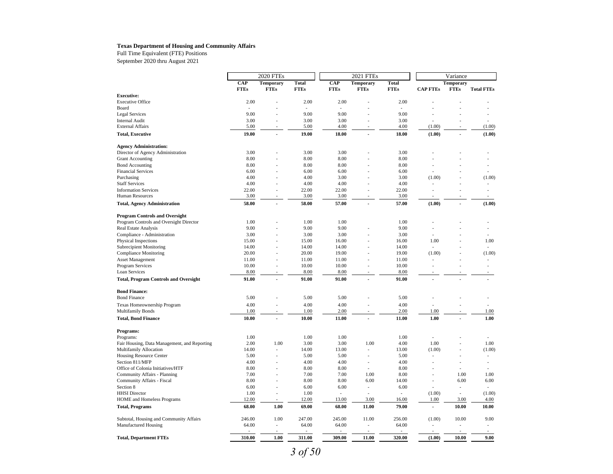#### **Texas Department of Housing and Community Affairs**

Full Time Equivalent (FTE) Positions September 2020 thru August 2021

|                                              |             | <b>2020 FTEs</b> |             |             | <b>2021 FTEs</b>         |              |                          | Variance         |                   |
|----------------------------------------------|-------------|------------------|-------------|-------------|--------------------------|--------------|--------------------------|------------------|-------------------|
|                                              | <b>CAP</b>  | <b>Temporary</b> | Total       | <b>CAP</b>  | <b>Temporary</b>         | <b>Total</b> |                          | <b>Temporary</b> |                   |
|                                              | <b>FTEs</b> | <b>FTEs</b>      | <b>FTEs</b> | <b>FTEs</b> | <b>FTEs</b>              | <b>FTEs</b>  | <b>CAP FTEs</b>          | <b>FTEs</b>      | <b>Total FTEs</b> |
| <b>Executive:</b>                            |             |                  |             |             |                          |              |                          |                  |                   |
| <b>Executive Office</b>                      | 2.00        |                  | 2.00        | 2.00        |                          | 2.00         |                          |                  |                   |
| Board                                        |             |                  |             |             |                          |              |                          |                  |                   |
| <b>Legal Services</b>                        | 9.00        |                  | 9.00        | 9.00        |                          | 9.00         |                          |                  |                   |
| <b>Internal Audit</b>                        | 3.00        |                  | 3.00        | 3.00        |                          | 3.00         |                          |                  |                   |
| <b>External Affairs</b>                      | 5.00        |                  | 5.00        | 4.00        | J.                       | 4.00         | (1.00)                   |                  | (1.00)            |
| <b>Total, Executive</b>                      | 19.00       |                  | 19.00       | 18.00       |                          | 18.00        | (1.00)                   | ä,               | (1.00)            |
| <b>Agency Administration:</b>                |             |                  |             |             |                          |              |                          |                  |                   |
| Director of Agency Administration            | 3.00        |                  | 3.00        | 3.00        |                          | 3.00         |                          |                  |                   |
| <b>Grant Accounting</b>                      | 8.00        |                  | 8.00        | 8.00        |                          | 8.00         |                          |                  |                   |
| <b>Bond Accounting</b>                       | 8.00        |                  | 8.00        | 8.00        |                          | 8.00         |                          |                  |                   |
| <b>Financial Services</b>                    | 6.00        |                  | 6.00        | 6.00        |                          | 6.00         |                          |                  |                   |
| Purchasing                                   | 4.00        |                  | 4.00        | 3.00        |                          | 3.00         | (1.00)                   |                  | (1.00)            |
| <b>Staff Services</b>                        | 4.00        |                  | 4.00        | 4.00        |                          | 4.00         |                          |                  |                   |
| <b>Information Services</b>                  | 22.00       | ÷.               | 22.00       | 22.00       | J.                       | 22.00        |                          | ÷.               | ä,                |
| Human Resources                              | 3.00        |                  | 3.00        | 3.00        | ÷,                       | 3.00         |                          |                  | ٠                 |
| <b>Total, Agency Administration</b>          | 58.00       | $\overline{a}$   | 58.00       | 57.00       | $\overline{a}$           | 57.00        | (1.00)                   | ä,               | (1.00)            |
|                                              |             |                  |             |             |                          |              |                          |                  |                   |
| <b>Program Controls and Oversight</b>        |             |                  |             |             |                          |              |                          |                  |                   |
| Program Controls and Oversight Director      | 1.00        |                  | 1.00        | 1.00        |                          | 1.00         |                          |                  |                   |
| Real Estate Analysis                         | 9.00        |                  | 9.00        | 9.00        |                          | 9.00         |                          |                  |                   |
| Compliance - Administration                  | 3.00        |                  | 3.00        | 3.00        |                          | 3.00         |                          |                  |                   |
| Physical Inspections                         | 15.00       |                  | 15.00       | 16.00       |                          | 16.00        | 1.00                     |                  | 1.00              |
| <b>Subrecipient Monitoring</b>               | 14.00       |                  | 14.00       | 14.00       |                          | 14.00        |                          |                  |                   |
| Compliance Monitoring                        | 20.00       |                  | 20.00       | 19.00       | J.                       | 19.00        | (1.00)                   |                  | (1.00)            |
| <b>Asset Management</b>                      | 11.00       |                  | 11.00       | 11.00       |                          | 11.00        |                          |                  |                   |
| Program Services                             | 10.00       |                  | 10.00       | 10.00       | L,                       | 10.00        |                          |                  |                   |
| Loan Services                                | 8.00        |                  | 8.00        | 8.00        |                          | 8.00         |                          |                  |                   |
| <b>Total, Program Controls and Oversight</b> | 91.00       |                  | 91.00       | 91.00       | ÷.                       | 91.00        | ä,                       |                  |                   |
| <b>Bond Finance:</b>                         |             |                  |             |             |                          |              |                          |                  |                   |
| <b>Bond Finance</b>                          | 5.00        |                  | 5.00        | 5.00        |                          | 5.00         |                          |                  |                   |
| Texas Homeownership Program                  | 4.00        |                  | 4.00        | 4.00        |                          | 4.00         |                          |                  |                   |
| <b>Multifamily Bonds</b>                     | 1.00        |                  | 1.00        | 2.00        |                          | 2.00         | 1.00                     |                  | 1.00              |
| <b>Total, Bond Finance</b>                   | 10.00       |                  | 10.00       | 11.00       | $\overline{a}$           | 11.00        | 1.00                     | ÷,               | 1.00              |
|                                              |             |                  |             |             |                          |              |                          |                  |                   |
| Programs:                                    |             |                  |             |             |                          |              |                          |                  |                   |
| Programs:                                    | 1.00        |                  | 1.00        | 1.00        |                          | 1.00         | ÷,                       |                  |                   |
| Fair Housing, Data Management, and Reporting | 2.00        | 1.00             | 3.00        | 3.00        | 1.00                     | 4.00         | 1.00                     |                  | 1.00              |
| Multifamily Allocation                       | 14.00       | ÷.               | 14.00       | 13.00       | ÷,                       | 13.00        | (1.00)                   |                  | (1.00)            |
| Housing Resource Center                      | 5.00        |                  | 5.00        | 5.00        | ÷.                       | 5.00         |                          |                  | ٠                 |
| Section 811/MFP                              | 4.00        |                  | 4.00        | 4.00        | ٠                        | 4.00         |                          | ä,               | ÷,                |
| Office of Colonia Initiatives/HTF            | 8.00        |                  | 8.00        | 8.00        | ÷                        | 8.00         |                          |                  |                   |
| Community Affairs - Planning                 | 7.00        |                  | 7.00        | 7.00        | 1.00                     | 8.00         | J.                       | 1.00             | 1.00              |
| Community Affairs - Fiscal                   | 8.00        |                  | 8.00        | 8.00        | 6.00                     | 14.00        |                          | 6.00             | 6.00              |
| Section 8                                    | 6.00        |                  | 6.00        | 6.00        | $\overline{\phantom{a}}$ | 6.00         |                          | ٠                | ٠                 |
| <b>HHSI</b> Director                         | 1.00        |                  | 1.00        |             |                          | ٠            | (1.00)                   | ÷                | (1.00)            |
| <b>HOME</b> and Homeless Programs            | 12.00       |                  | 12.00       | 13.00       | 3.00                     | 16.00        | 1.00                     | 3.00             | 4.00              |
| <b>Total, Programs</b>                       | 68.00       | 1.00             | 69.00       | 68.00       | 11.00                    | 79.00        | $\overline{\phantom{a}}$ | 10.00            | 10.00             |
| Subtotal, Housing and Community Affairs      | 246.00      | 1.00             | 247.00      | 245.00      | 11.00                    | 256.00       | (1.00)                   | 10.00            | 9.00              |
| Manufactured Housing                         | 64.00       | $\sim$           | 64.00       | 64.00       | ÷,                       | 64.00        |                          |                  |                   |
|                                              |             |                  |             |             |                          |              |                          |                  |                   |
| <b>Total, Department FTEs</b>                | 310.00      | 1.00             | 311.00      | 309.00      | 11.00                    | 320.00       | (1.00)                   | 10.00            | 9.00              |
|                                              |             |                  |             |             |                          |              |                          |                  |                   |

*3 of 50*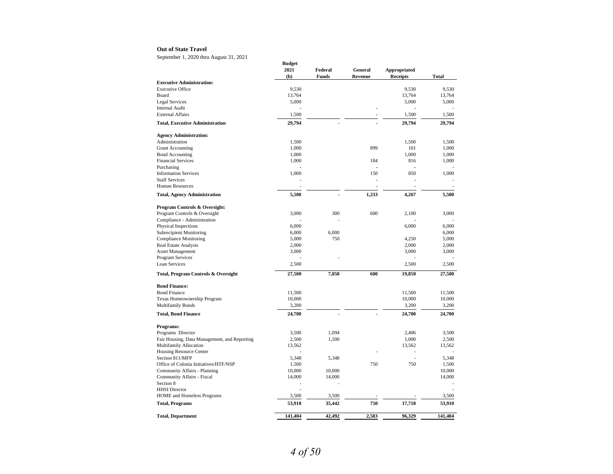#### **Out of State Travel**

September 1, 2020 thru August 31, 2021

| $\frac{1}{2}$                                |                       |         |         |                     |              |
|----------------------------------------------|-----------------------|---------|---------|---------------------|--------------|
|                                              | <b>Budget</b><br>2021 | Federal | General | <b>Appropriated</b> |              |
|                                              | (b)                   | Funds   | Revenue | <b>Receipts</b>     | <b>Total</b> |
| <b>Executive Administration:</b>             |                       |         |         |                     |              |
| <b>Executive Office</b>                      | 9,530                 |         |         | 9,530               | 9,530        |
| Board                                        | 13,764                |         |         | 13,764              | 13,764       |
| Legal Services                               | 5,000                 |         |         | 5,000               | 5,000        |
| <b>Internal Audit</b>                        |                       |         |         |                     |              |
| <b>External Affairs</b>                      | 1,500                 |         |         | 1,500               | 1,500        |
| <b>Total, Executive Administration</b>       | 29,794                |         |         | 29,794              | 29,794       |
| <b>Agency Administration:</b>                |                       |         |         |                     |              |
| Administration                               | 1,500                 |         |         | 1,500               | 1,500        |
| <b>Grant Accounting</b>                      | 1,000                 |         | 899     | 101                 | 1,000        |
| <b>Bond Accounting</b>                       | 1,000                 |         |         | 1,000               | 1,000        |
| <b>Financial Services</b>                    | 1,000                 |         | 184     | 816                 | 1,000        |
| Purchasing                                   |                       |         |         |                     |              |
| <b>Information Services</b>                  | 1,000                 |         | 150     | 850                 | 1,000        |
| <b>Staff Services</b>                        |                       |         |         |                     |              |
| <b>Human Resources</b>                       |                       |         | ä,      | ٠                   |              |
| <b>Total, Agency Administration</b>          | 5,500                 |         | 1,233   | 4,267               | 5,500        |
| Program Controls & Oversight:                |                       |         |         |                     |              |
| Program Controls & Oversight                 | 3,000                 | 300     | 600     | 2,100               | 3,000        |
| Compliance - Administration                  |                       |         |         |                     |              |
| Physical Inspections                         | 6,000                 |         |         | 6,000               | 6,000        |
| <b>Subrecipient Monitoring</b>               | 6,000                 | 6,000   |         |                     | 6,000        |
| <b>Compliance Monitoring</b>                 | 5,000                 | 750     |         | 4,250               | 5,000        |
| Real Estate Analysis                         | 2,000                 |         |         | 2,000               | 2,000        |
| <b>Asset Management</b>                      | 3,000                 |         |         | 3,000               | 3,000        |
| Program Services                             |                       |         |         |                     |              |
| Loan Services                                | 2,500                 |         |         | 2,500               | 2,500        |
| Total, Program Controls & Oversight          | 27,500                | 7,050   | 600     | 19,850              | 27,500       |
| <b>Bond Finance:</b>                         |                       |         |         |                     |              |
| <b>Bond Finance</b>                          | 11,500                |         |         | 11,500              | 11,500       |
| Texas Homeownership Program                  | 10,000                |         |         | 10,000              | 10,000       |
| <b>Multifamily Bonds</b>                     | 3,200                 |         |         | 3,200               | 3,200        |
| <b>Total, Bond Finance</b>                   | 24,700                |         |         | 24,700              | 24,700       |
| Programs:                                    |                       |         |         |                     |              |
| Programs Director                            | 3,500                 | 1.094   |         | 2.406               | 3.500        |
| Fair Housing, Data Management, and Reporting | 2,500                 | 1,500   |         | 1,000               | 2,500        |
| Multifamily Allocation                       | 13,562                |         |         | 13,562              | 13,562       |
| Housing Resource Center                      |                       |         |         |                     |              |
| Section 811/MFP                              | 5,348                 | 5,348   |         |                     | 5,348        |
| Office of Colonia Initiatives/HTF/NSP        | 1,500                 |         | 750     | 750                 | 1,500        |
| Community Affairs - Planning                 | 10,000                | 10,000  |         |                     | 10,000       |
| Community Affairs - Fiscal                   | 14,000                | 14,000  |         |                     | 14,000       |
| Section 8<br><b>HHSI</b> Director            |                       |         |         |                     |              |
| HOME and Homeless Programs                   | 3,500                 | 3,500   |         |                     | 3,500        |
| <b>Total, Programs</b>                       | 53,910                | 35,442  | 750     | 17,718              | 53,910       |
|                                              |                       |         |         |                     |              |
| <b>Total, Department</b>                     | 141,404               | 42,492  | 2,583   | 96,329              | 141,404      |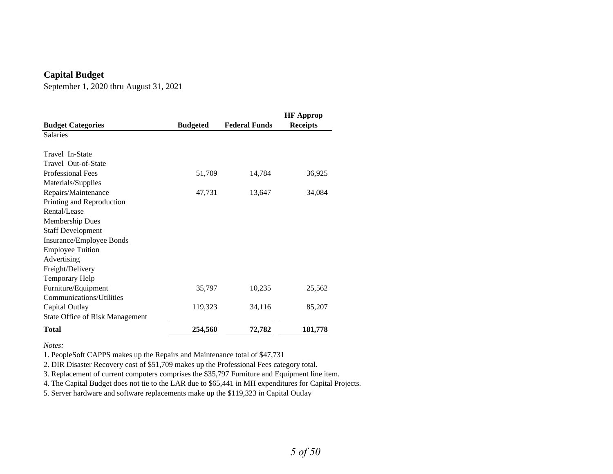### **Capital Budget**

September 1, 2020 thru August 31, 2021

|                                        |                 |                      | <b>HF</b> Approp |
|----------------------------------------|-----------------|----------------------|------------------|
| <b>Budget Categories</b>               | <b>Budgeted</b> | <b>Federal Funds</b> | <b>Receipts</b>  |
| <b>Salaries</b>                        |                 |                      |                  |
|                                        |                 |                      |                  |
| Travel In-State                        |                 |                      |                  |
| Travel Out-of-State                    |                 |                      |                  |
| <b>Professional Fees</b>               | 51,709          | 14,784               | 36,925           |
| Materials/Supplies                     |                 |                      |                  |
| Repairs/Maintenance                    | 47,731          | 13,647               | 34,084           |
| Printing and Reproduction              |                 |                      |                  |
| Rental/Lease                           |                 |                      |                  |
| <b>Membership Dues</b>                 |                 |                      |                  |
| <b>Staff Development</b>               |                 |                      |                  |
| Insurance/Employee Bonds               |                 |                      |                  |
| <b>Employee Tuition</b>                |                 |                      |                  |
| Advertising                            |                 |                      |                  |
| Freight/Delivery                       |                 |                      |                  |
| Temporary Help                         |                 |                      |                  |
| Furniture/Equipment                    | 35,797          | 10,235               | 25,562           |
| Communications/Utilities               |                 |                      |                  |
| Capital Outlay                         | 119,323         | 34,116               | 85,207           |
| <b>State Office of Risk Management</b> |                 |                      |                  |
| <b>Total</b>                           | 254,560         | 72,782               | 181,778          |

*Notes:* 

1. PeopleSoft CAPPS makes up the Repairs and Maintenance total of \$47,731

2. DIR Disaster Recovery cost of \$51,709 makes up the Professional Fees category total.

3. Replacement of current computers comprises the \$35,797 Furniture and Equipment line item.

4. The Capital Budget does not tie to the LAR due to \$65,441 in MH expenditures for Capital Projects.

5. Server hardware and software replacements make up the \$119,323 in Capital Outlay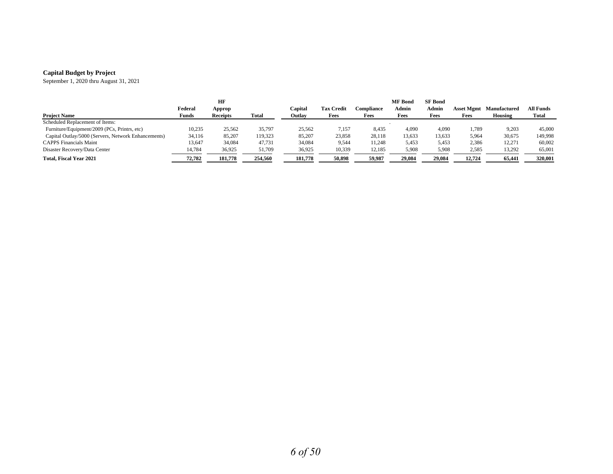#### **Capital Budget by Project**

September 1, 2020 thru August 31, 2021

| <b>Project Name</b>                                 | Federal<br>Funds | HF<br>Approp<br><b>Receipts</b> | Total   | Capital<br>Outlav | <b>Tax Credit</b><br>Fees | Compliance<br>Fees | <b>MF</b> Bond<br>Admin<br>Fees | <b>SF Bond</b><br>Admin<br>Fees | <b>Asset Mgmt</b><br>Fees | Manufactured<br>Housing | All Funds<br>Total |
|-----------------------------------------------------|------------------|---------------------------------|---------|-------------------|---------------------------|--------------------|---------------------------------|---------------------------------|---------------------------|-------------------------|--------------------|
| Scheduled Replacement of Items:                     |                  |                                 |         |                   |                           |                    |                                 |                                 |                           |                         |                    |
| Furniture/Equipment/2009 (PCs, Printrs, etc)        | 10,235           | 25,562                          | 35,797  | 25,562            | 7,157                     | 8.435              | 4.090                           | 4,090                           | 1.789                     | 9,203                   | 45,000             |
| Capital Outlay/5000 (Servers, Network Enhancements) | 34,116           | 85,207                          | 119,323 | 85,207            | 23,858                    | 28.118             | 13,633                          | 13,633                          | 5,964                     | 30,675                  | 149,998            |
| <b>CAPPS Financials Maint</b>                       | 13.647           | 34.084                          | 47.731  | 34,084            | 9,544                     | 11.248             | 5.453                           | 5.453                           | 2.386                     | 12,271                  | 60,002             |
| Disaster Recovery/Data Center                       | 14,784           | 36.925                          | 51,709  | 36,925            | 10,339                    | 12.185             | 5,908                           | 5,908                           | 2,585                     | 13,292                  | 65,001             |
| Total. Fiscal Year 2021                             | 72,782           | 181.778                         | 254.560 | 181.778           | 50.898                    | 59.987             | 29.084                          | 29,084                          | 12.724                    | 65.441                  | 320,001            |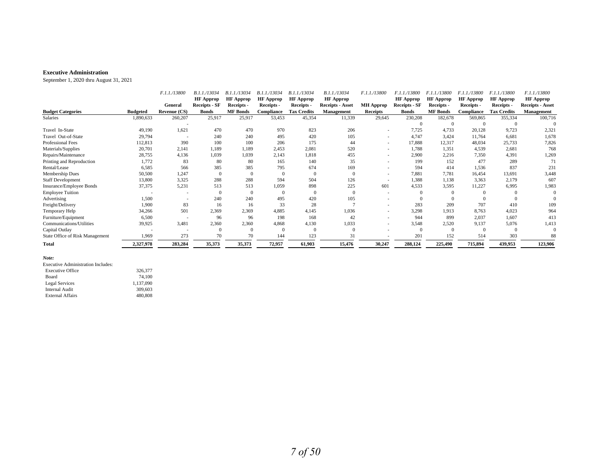#### **Executive Administration**

September 1, 2020 thru August 31, 2021

|                                 |                 | F.1.1./13800 | B.1.1./13034     | B.1.1./13034     | B.1.1./13034     | B.1.1./13034       | B.1.1./13034            | F.1.1./13800             | F.1.1./13800     | F.1.1./13800     | F.1.1./13800     | F.1.1./13800       | F.1.1./13800      |
|---------------------------------|-----------------|--------------|------------------|------------------|------------------|--------------------|-------------------------|--------------------------|------------------|------------------|------------------|--------------------|-------------------|
|                                 |                 |              | <b>HF Approp</b> | <b>HF Approp</b> | <b>HF</b> Approp | <b>HF Approp</b>   | <b>HF Approp</b>        |                          | <b>HF</b> Approp | <b>HF</b> Approp | <b>HF</b> Approp | <b>HF Approp</b>   | <b>HF Approp</b>  |
|                                 |                 | General      | Receipts - SF    | Receipts -       | Receipts -       | Receipts -         | <b>Receipts - Asset</b> | <b>MH Approp</b>         | Receipts - SF    | Receipts -       | Receipts -       | Receipts -         | Receipts - Asset  |
| <b>Budget Categories</b>        | <b>Budgeted</b> | Revenue (CS) | <b>Bonds</b>     | <b>MF</b> Bonds  | Compliance       | <b>Tax Credits</b> | Management              | Receipts                 | <b>Bonds</b>     | <b>MF</b> Bonds  | Compliance       | <b>Tax Credits</b> | <b>Management</b> |
| Salaries                        | 1,890,633       | 260,207      | 25,917           | 25,917           | 53,453           | 45,354             | 11,339                  | 29,645                   | 230,208          | 182,678          | 569,865          | 355,334            | 100,716           |
|                                 |                 |              |                  |                  |                  |                    |                         |                          |                  | $\Omega$         | $\Omega$         |                    |                   |
| Travel In-State                 | 49,190          | 1,621        | 470              | 470              | 970              | 823                | 206                     | $\overline{\phantom{a}}$ | 7,725            | 4,733            | 20,128           | 9,723              | 2,321             |
| Travel Out-of-State             | 29,794          |              | 240              | 240              | 495              | 420                | 105                     | $\overline{\phantom{a}}$ | 4,747            | 3,424            | 11,764           | 6,681              | 1,678             |
| Professional Fees               | 112,813         | 390          | 100              | 100              | 206              | 175                | 44                      | $\sim$                   | 17,888           | 12,317           | 48,034           | 25,733             | 7,826             |
| Materials/Supplies              | 20,701          | 2,141        | 1.189            | 1.189            | 2,453            | 2,081              | 520                     | $\sim$                   | 1,788            | 1,351            | 4,539            | 2,681              | 768               |
| Repairs/Maintenance             | 28,755          | 4,136        | 1,039            | 1,039            | 2,143            | 1,818              | 455                     | $\sim$                   | 2,900            | 2,216            | 7,350            | 4,391              | 1,269             |
| Printing and Reproduction       | 1,772           | 83           | 80               | 80               | 165              | 140                | 35                      | $\sim$                   | 199              | 152              | 477              | 289                | 71                |
| Rental/Lease                    | 6,585           | 566          | 385              | 385              | 795              | 674                | 169                     | $\sim$                   | 594              | 414              | 1,536            | 837                | 231               |
| Membership Dues                 | 50,500          | 1,247        |                  | $\theta$         | $\Omega$         |                    | $\Omega$                |                          | 7,881            | 7,781            | 16,454           | 13,691             | 3,448             |
| <b>Staff Development</b>        | 13,800          | 3,325        | 288              | 288              | 594              | 504                | 126                     | $\overline{\phantom{a}}$ | 1,388            | 1,138            | 3,363            | 2,179              | 607               |
| Insurance/Employee Bonds        | 37,375          | 5,231        | 513              | 513              | 1,059            | 898                | 225                     | 601                      | 4,533            | 3,595            | 11,227           | 6,995              | 1,983             |
| <b>Employee Tuition</b>         |                 |              |                  | $\Omega$         | $\Omega$         |                    |                         | $\overline{\phantom{a}}$ |                  |                  |                  |                    |                   |
| Advertising                     | 1,500           |              | 240              | 240              | 495              | 420                | 105                     |                          |                  |                  |                  |                    |                   |
| Freight/Delivery                | 1,900           | 83           | 16               | 16               | 33               | 28                 |                         |                          | 283              | 209              | 707              | 410                | 109               |
| Temporary Help                  | 34,266          | 501          | 2,369            | 2,369            | 4,885            | 4,145              | 1,036                   | $\sim$                   | 3,298            | 1.913            | 8,763            | 4,023              | 964               |
| Furniture/Equipment             | 6,500           |              | 96               | 96               | 198              | 168                | 42                      | $\overline{\phantom{a}}$ | 944              | 899              | 2,037            | 1,607              | 413               |
| Communications/Utilities        | 39,925          | 3,481        | 2,360            | 2,360            | 4,868            | 4,130              | 1,033                   | $\sim$                   | 3,548            | 2,520            | 9,137            | 5,076              | 1,413             |
| Capital Outlay                  |                 |              |                  | $\theta$         | $\Omega$         |                    | $\Omega$                |                          |                  | $\Omega$         | $\Omega$         | $\Omega$           |                   |
| State Office of Risk Management | 1,969           | 273          | 70               | 70               | 144              | 123                | 31                      |                          | 201              | 152              | 514              | 303                | 88                |
| <b>Total</b>                    | 2,327,978       | 283,284      | 35,373           | 35,373           | 72,957           | 61,903             | 15,476                  | 30,247                   | 288,124          | 225,490          | 715,894          | 439,953            | 123,906           |

*Note:*

| Executive Administration Includes: |           |
|------------------------------------|-----------|
| <b>Executive Office</b>            | 326,377   |
| Board                              | 74,100    |
| <b>Legal Services</b>              | 1.137.090 |
| <b>Internal Audit</b>              | 309,603   |
| <b>External Affairs</b>            | 480,808   |
|                                    |           |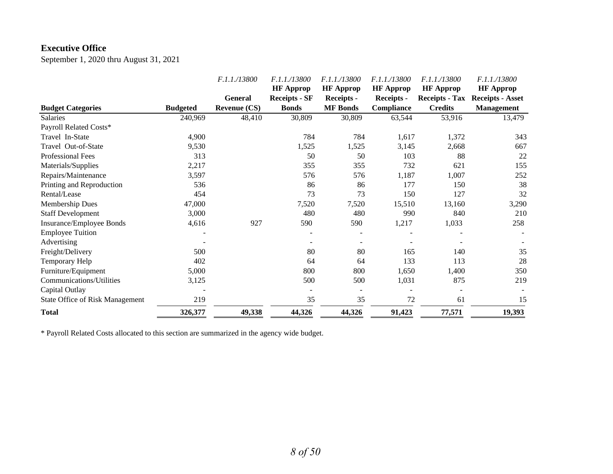#### **Executive Office**

September 1, 2020 thru August 31, 2021

|                                 |                 | F.1.1./13800        | <i>F.1.1./13800</i>  | <i>F.1.1./13800</i> | F.1.1./13800      | <i>F.1.1./13800</i>   | F.1.1./13800            |
|---------------------------------|-----------------|---------------------|----------------------|---------------------|-------------------|-----------------------|-------------------------|
|                                 |                 |                     | <b>HF</b> Approp     | <b>HF</b> Approp    | <b>HF</b> Approp  | <b>HF</b> Approp      | <b>HF</b> Approp        |
|                                 |                 | <b>General</b>      | <b>Receipts - SF</b> | <b>Receipts -</b>   | <b>Receipts -</b> | <b>Receipts - Tax</b> | <b>Receipts - Asset</b> |
| <b>Budget Categories</b>        | <b>Budgeted</b> | <b>Revenue (CS)</b> | <b>Bonds</b>         | <b>MF</b> Bonds     | Compliance        | <b>Credits</b>        | <b>Management</b>       |
| Salaries                        | 240,969         | 48,410              | 30,809               | 30,809              | 63,544            | 53,916                | 13,479                  |
| Payroll Related Costs*          |                 |                     |                      |                     |                   |                       |                         |
| Travel In-State                 | 4,900           |                     | 784                  | 784                 | 1,617             | 1,372                 | 343                     |
| Travel Out-of-State             | 9,530           |                     | 1,525                | 1,525               | 3,145             | 2,668                 | 667                     |
| Professional Fees               | 313             |                     | 50                   | 50                  | 103               | 88                    | 22                      |
| Materials/Supplies              | 2,217           |                     | 355                  | 355                 | 732               | 621                   | 155                     |
| Repairs/Maintenance             | 3,597           |                     | 576                  | 576                 | 1,187             | 1,007                 | 252                     |
| Printing and Reproduction       | 536             |                     | 86                   | 86                  | 177               | 150                   | 38                      |
| Rental/Lease                    | 454             |                     | 73                   | 73                  | 150               | 127                   | 32                      |
| <b>Membership Dues</b>          | 47,000          |                     | 7,520                | 7,520               | 15,510            | 13,160                | 3,290                   |
| <b>Staff Development</b>        | 3,000           |                     | 480                  | 480                 | 990               | 840                   | 210                     |
| Insurance/Employee Bonds        | 4,616           | 927                 | 590                  | 590                 | 1,217             | 1,033                 | 258                     |
| <b>Employee Tuition</b>         |                 |                     |                      |                     |                   |                       |                         |
| Advertising                     |                 |                     |                      |                     |                   |                       |                         |
| Freight/Delivery                | 500             |                     | 80                   | 80                  | 165               | 140                   | 35                      |
| Temporary Help                  | 402             |                     | 64                   | 64                  | 133               | 113                   | 28                      |
| Furniture/Equipment             | 5,000           |                     | 800                  | 800                 | 1,650             | 1,400                 | 350                     |
| Communications/Utilities        | 3,125           |                     | 500                  | 500                 | 1,031             | 875                   | 219                     |
| Capital Outlay                  |                 |                     |                      |                     |                   |                       |                         |
| State Office of Risk Management | 219             |                     | 35                   | 35                  | 72                | 61                    | 15                      |
| <b>Total</b>                    | 326,377         | 49,338              | 44,326               | 44,326              | 91,423            | 77,571                | 19,393                  |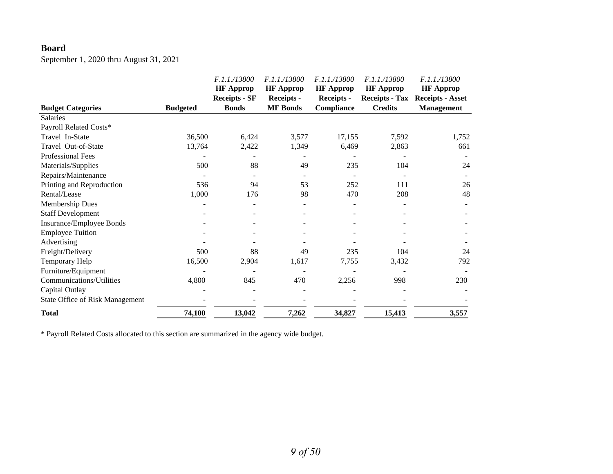#### **Board**

September 1, 2020 thru August 31, 2021

|                                        |                 | F.1.1./13800                             | F.1.1./13800                          | F.1.1./13800<br><b>HF</b> Approp | F.1.1./13800                              | F.1.1./13800                                |
|----------------------------------------|-----------------|------------------------------------------|---------------------------------------|----------------------------------|-------------------------------------------|---------------------------------------------|
|                                        |                 | <b>HF</b> Approp<br><b>Receipts - SF</b> | <b>HF</b> Approp<br><b>Receipts -</b> | <b>Receipts -</b>                | <b>HF</b> Approp<br><b>Receipts - Tax</b> | <b>HF</b> Approp<br><b>Receipts - Asset</b> |
| <b>Budget Categories</b>               | <b>Budgeted</b> | <b>Bonds</b>                             | <b>MF</b> Bonds                       | Compliance                       | <b>Credits</b>                            | <b>Management</b>                           |
| <b>Salaries</b>                        |                 |                                          |                                       |                                  |                                           |                                             |
| Payroll Related Costs*                 |                 |                                          |                                       |                                  |                                           |                                             |
| Travel In-State                        | 36,500          | 6,424                                    | 3,577                                 | 17,155                           | 7,592                                     | 1,752                                       |
| Travel Out-of-State                    | 13,764          | 2,422                                    | 1,349                                 | 6,469                            | 2,863                                     | 661                                         |
| <b>Professional Fees</b>               |                 |                                          |                                       |                                  |                                           |                                             |
| Materials/Supplies                     | 500             | 88                                       | 49                                    | 235                              | 104                                       | 24                                          |
| Repairs/Maintenance                    |                 |                                          |                                       |                                  |                                           |                                             |
| Printing and Reproduction              | 536             | 94                                       | 53                                    | 252                              | 111                                       | 26                                          |
| Rental/Lease                           | 1,000           | 176                                      | 98                                    | 470                              | 208                                       | 48                                          |
| Membership Dues                        |                 |                                          |                                       |                                  |                                           |                                             |
| <b>Staff Development</b>               |                 |                                          |                                       |                                  |                                           |                                             |
| Insurance/Employee Bonds               |                 |                                          |                                       |                                  |                                           |                                             |
| <b>Employee Tuition</b>                |                 |                                          |                                       |                                  |                                           |                                             |
| Advertising                            |                 |                                          |                                       |                                  |                                           |                                             |
| Freight/Delivery                       | 500             | 88                                       | 49                                    | 235                              | 104                                       | 24                                          |
| Temporary Help                         | 16,500          | 2,904                                    | 1,617                                 | 7,755                            | 3,432                                     | 792                                         |
| Furniture/Equipment                    |                 |                                          |                                       |                                  |                                           |                                             |
| Communications/Utilities               | 4,800           | 845                                      | 470                                   | 2,256                            | 998                                       | 230                                         |
| Capital Outlay                         |                 |                                          |                                       |                                  |                                           |                                             |
| <b>State Office of Risk Management</b> |                 |                                          |                                       |                                  |                                           |                                             |
| <b>Total</b>                           | 74,100          | 13,042                                   | 7,262                                 | 34,827                           | 15,413                                    | 3,557                                       |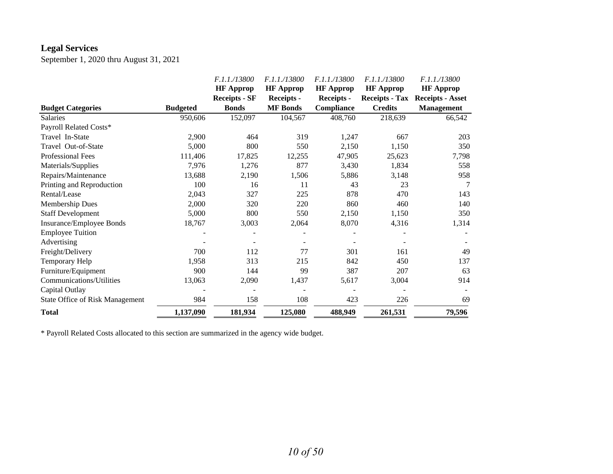# **Legal Services**

September 1, 2020 thru August 31, 2021

|                                 |                 | F.1.1./13800         | F.1.1./13800      | F.1.1./13800     | F.1.1./13800          | F.1.1./13800            |
|---------------------------------|-----------------|----------------------|-------------------|------------------|-----------------------|-------------------------|
|                                 |                 | <b>HF</b> Approp     | <b>HF</b> Approp  | <b>HF</b> Approp | <b>HF</b> Approp      | <b>HF</b> Approp        |
|                                 |                 | <b>Receipts - SF</b> | <b>Receipts -</b> | Receipts -       | <b>Receipts - Tax</b> | <b>Receipts - Asset</b> |
| <b>Budget Categories</b>        | <b>Budgeted</b> | <b>Bonds</b>         | <b>MF</b> Bonds   | Compliance       | <b>Credits</b>        | <b>Management</b>       |
| <b>Salaries</b>                 | 950,606         | 152,097              | 104,567           | 408,760          | 218,639               | 66,542                  |
| Payroll Related Costs*          |                 |                      |                   |                  |                       |                         |
| Travel In-State                 | 2,900           | 464                  | 319               | 1,247            | 667                   | 203                     |
| Travel Out-of-State             | 5,000           | 800                  | 550               | 2,150            | 1,150                 | 350                     |
| Professional Fees               | 111,406         | 17,825               | 12,255            | 47,905           | 25,623                | 7,798                   |
| Materials/Supplies              | 7,976           | 1,276                | 877               | 3,430            | 1,834                 | 558                     |
| Repairs/Maintenance             | 13,688          | 2,190                | 1,506             | 5,886            | 3,148                 | 958                     |
| Printing and Reproduction       | 100             | 16                   | 11                | 43               | 23                    | 7                       |
| Rental/Lease                    | 2,043           | 327                  | 225               | 878              | 470                   | 143                     |
| Membership Dues                 | 2,000           | 320                  | 220               | 860              | 460                   | 140                     |
| <b>Staff Development</b>        | 5,000           | 800                  | 550               | 2,150            | 1,150                 | 350                     |
| Insurance/Employee Bonds        | 18,767          | 3,003                | 2,064             | 8,070            | 4,316                 | 1,314                   |
| <b>Employee Tuition</b>         |                 |                      |                   |                  |                       |                         |
| Advertising                     |                 |                      |                   |                  |                       |                         |
| Freight/Delivery                | 700             | 112                  | 77                | 301              | 161                   | 49                      |
| Temporary Help                  | 1,958           | 313                  | 215               | 842              | 450                   | 137                     |
| Furniture/Equipment             | 900             | 144                  | 99                | 387              | 207                   | 63                      |
| Communications/Utilities        | 13,063          | 2,090                | 1,437             | 5,617            | 3,004                 | 914                     |
| Capital Outlay                  |                 |                      |                   |                  |                       |                         |
| State Office of Risk Management | 984             | 158                  | 108               | 423              | 226                   | 69                      |
| <b>Total</b>                    | 1,137,090       | 181,934              | 125,080           | 488,949          | 261,531               | 79,596                  |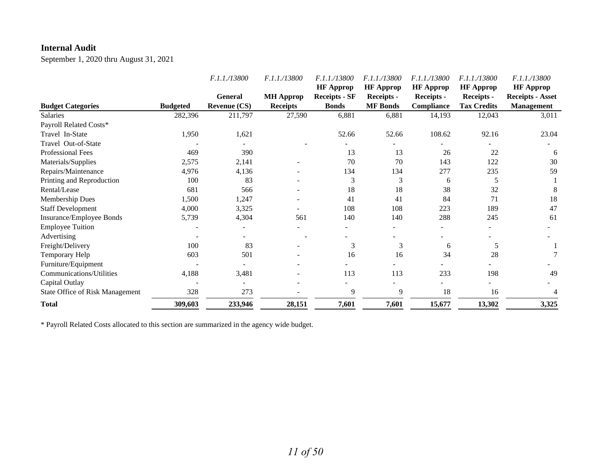#### **Internal Audit**

September 1, 2020 thru August 31, 2021

|                                 |                 | F.1.1./13800        | F.1.1./13800     | F.1.1./13800<br><b>HF</b> Approp | F.1.1./13800<br><b>HF</b> Approp | F.1.1./13800<br><b>HF</b> Approp | F.1.1./13800<br><b>HF Approp</b> | F.1.1./13800<br><b>HF</b> Approp |
|---------------------------------|-----------------|---------------------|------------------|----------------------------------|----------------------------------|----------------------------------|----------------------------------|----------------------------------|
|                                 |                 | <b>General</b>      | <b>MH Approp</b> | <b>Receipts - SF</b>             | <b>Receipts -</b>                | Receipts -                       | <b>Receipts -</b>                | <b>Receipts - Asset</b>          |
| <b>Budget Categories</b>        | <b>Budgeted</b> | <b>Revenue (CS)</b> | <b>Receipts</b>  | <b>Bonds</b>                     | <b>MF</b> Bonds                  | Compliance                       | <b>Tax Credits</b>               | <b>Management</b>                |
| <b>Salaries</b>                 | 282,396         | 211,797             | 27,590           | 6,881                            | 6,881                            | 14,193                           | 12,043                           | 3,011                            |
| Payroll Related Costs*          |                 |                     |                  |                                  |                                  |                                  |                                  |                                  |
| Travel In-State                 | 1,950           | 1,621               |                  | 52.66                            | 52.66                            | 108.62                           | 92.16                            | 23.04                            |
| Travel Out-of-State             |                 |                     |                  |                                  |                                  |                                  |                                  |                                  |
| Professional Fees               | 469             | 390                 |                  | 13                               | 13                               | 26                               | 22                               | 6                                |
| Materials/Supplies              | 2,575           | 2,141               |                  | 70                               | 70                               | 143                              | 122                              | 30                               |
| Repairs/Maintenance             | 4,976           | 4,136               |                  | 134                              | 134                              | 277                              | 235                              | 59                               |
| Printing and Reproduction       | 100             | 83                  |                  | 3                                | 3                                | 6                                | 5                                |                                  |
| Rental/Lease                    | 681             | 566                 |                  | 18                               | 18                               | 38                               | 32                               | 8                                |
| Membership Dues                 | 1,500           | 1,247               |                  | 41                               | 41                               | 84                               | 71                               | 18                               |
| <b>Staff Development</b>        | 4,000           | 3,325               |                  | 108                              | 108                              | 223                              | 189                              | 47                               |
| Insurance/Employee Bonds        | 5,739           | 4,304               | 561              | 140                              | 140                              | 288                              | 245                              | 61                               |
| <b>Employee Tuition</b>         |                 |                     |                  |                                  |                                  |                                  |                                  |                                  |
| Advertising                     |                 |                     |                  |                                  |                                  |                                  |                                  |                                  |
| Freight/Delivery                | 100             | 83                  |                  | 3                                | 3                                | 6                                |                                  |                                  |
| Temporary Help                  | 603             | 501                 |                  | 16                               | 16                               | 34                               | 28                               |                                  |
| Furniture/Equipment             |                 |                     |                  |                                  |                                  |                                  |                                  |                                  |
| Communications/Utilities        | 4,188           | 3,481               |                  | 113                              | 113                              | 233                              | 198                              | 49                               |
| Capital Outlay                  |                 |                     |                  |                                  |                                  |                                  |                                  |                                  |
| State Office of Risk Management | 328             | 273                 |                  | 9                                | 9                                | 18                               | 16                               |                                  |
| <b>Total</b>                    | 309,603         | 233,946             | 28,151           | 7,601                            | 7,601                            | 15,677                           | 13,302                           | 3,325                            |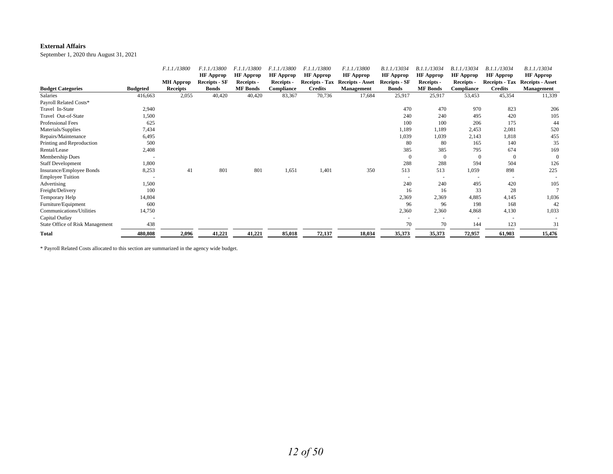#### **External Affairs**

September 1, 2020 thru August 31, 2021

|                                 |                 | F.1.1./13800     | F.1.1./13800<br><b>HF</b> Approp | F.1.1./13800<br><b>HF</b> Approp | F.1.1./13800<br><b>HF</b> Approp | F.1.1./13800<br><b>HF Approp</b> | F.1.1./13800<br><b>HF</b> Approp | B.1.1./13034<br><b>HF</b> Approp | B.1.1./13034<br><b>HF</b> Approp | B.1.1./13034<br><b>HF</b> Approp | B.1.1./13034<br><b>HF Approp</b> | B.1.1./13034<br><b>HF Approp</b> |
|---------------------------------|-----------------|------------------|----------------------------------|----------------------------------|----------------------------------|----------------------------------|----------------------------------|----------------------------------|----------------------------------|----------------------------------|----------------------------------|----------------------------------|
|                                 |                 | <b>MH Approp</b> | Receipts - SF                    | Receipts -                       | Receipts -                       |                                  | Receipts - Tax Receipts - Asset  | <b>Receipts - SF</b>             | Receipts -                       | Receipts -                       |                                  | Receipts - Tax Receipts - Asset  |
| <b>Budget Categories</b>        | <b>Budgeted</b> | <b>Receipts</b>  | <b>Bonds</b>                     | <b>MF</b> Bonds                  | Compliance                       | <b>Credits</b>                   | <b>Management</b>                | <b>Bonds</b>                     | <b>MF</b> Bonds                  | Compliance                       | <b>Credits</b>                   | <b>Management</b>                |
| <b>Salaries</b>                 | 416,663         | 2,055            | 40,420                           | 40,420                           | 83,367                           | 70,736                           | 17,684                           | 25,917                           | 25,917                           | 53,453                           | 45,354                           | 11,339                           |
| Payroll Related Costs*          |                 |                  |                                  |                                  |                                  |                                  |                                  |                                  |                                  |                                  |                                  |                                  |
| Travel In-State                 | 2,940           |                  |                                  |                                  |                                  |                                  |                                  | 470                              | 470                              | 970                              | 823                              | 206                              |
| Travel Out-of-State             | 1,500           |                  |                                  |                                  |                                  |                                  |                                  | 240                              | 240                              | 495                              | 420                              | 105                              |
| Professional Fees               | 625             |                  |                                  |                                  |                                  |                                  |                                  | 100                              | 100                              | 206                              | 175                              | 44                               |
| Materials/Supplies              | 7,434           |                  |                                  |                                  |                                  |                                  |                                  | 1,189                            | 1,189                            | 2,453                            | 2,081                            | 520                              |
| Repairs/Maintenance             | 6,495           |                  |                                  |                                  |                                  |                                  |                                  | 1,039                            | 1,039                            | 2,143                            | 1,818                            | 455                              |
| Printing and Reproduction       | 500             |                  |                                  |                                  |                                  |                                  |                                  | 80                               | 80                               | 165                              | 140                              | 35                               |
| Rental/Lease                    | 2,408           |                  |                                  |                                  |                                  |                                  |                                  | 385                              | 385                              | 795                              | 674                              | 169                              |
| Membership Dues                 |                 |                  |                                  |                                  |                                  |                                  |                                  |                                  | $\mathbf{0}$                     | $\mathbf{0}$                     | $\theta$                         | $\Omega$                         |
| <b>Staff Development</b>        | 1,800           |                  |                                  |                                  |                                  |                                  |                                  | 288                              | 288                              | 594                              | 504                              | 126                              |
| Insurance/Employee Bonds        | 8,253           | 41               | 801                              | 801                              | 1,651                            | 1,401                            | 350                              | 513                              | 513                              | 1,059                            | 898                              | 225                              |
| <b>Employee Tuition</b>         |                 |                  |                                  |                                  |                                  |                                  |                                  |                                  |                                  |                                  |                                  |                                  |
| Advertising                     | 1,500           |                  |                                  |                                  |                                  |                                  |                                  | 240                              | 240                              | 495                              | 420                              | 105                              |
| Freight/Delivery                | 100             |                  |                                  |                                  |                                  |                                  |                                  | 16                               | 16                               | 33                               | 28                               | $\overline{7}$                   |
| Temporary Help                  | 14,804          |                  |                                  |                                  |                                  |                                  |                                  | 2,369                            | 2,369                            | 4,885                            | 4,145                            | 1,036                            |
| Furniture/Equipment             | 600             |                  |                                  |                                  |                                  |                                  |                                  | 96                               | 96                               | 198                              | 168                              | 42                               |
| Communications/Utilities        | 14,750          |                  |                                  |                                  |                                  |                                  |                                  | 2,360                            | 2,360                            | 4,868                            | 4,130                            | 1,033                            |
| Capital Outlay                  | . .             |                  |                                  |                                  |                                  |                                  |                                  |                                  |                                  | $\overline{\phantom{a}}$         |                                  |                                  |
| State Office of Risk Management | 438             |                  |                                  |                                  |                                  |                                  |                                  | 70                               | 70                               | 144                              | 123                              | 31                               |
| <b>Total</b>                    | 480,808         | 2,096            | 41,221                           | 41,221                           | 85,018                           | 72,137                           | 18,034                           | 35,373                           | 35,373                           | 72,957                           | 61,903                           | 15,476                           |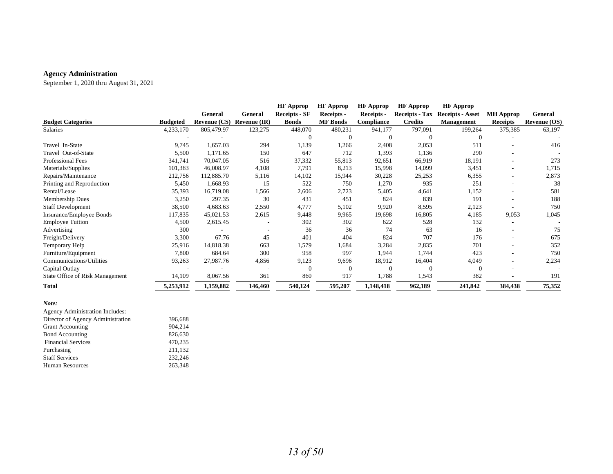#### **Agency Administration**

September 1, 2020 thru August 31, 2021

|                                 |                 |                     |                     | <b>HF</b> Approp     | <b>HF</b> Approp  | <b>HF</b> Approp | <b>HF</b> Approp      | <b>HF Approp</b>        |                  |              |
|---------------------------------|-----------------|---------------------|---------------------|----------------------|-------------------|------------------|-----------------------|-------------------------|------------------|--------------|
|                                 |                 | General             | General             | <b>Receipts - SF</b> | <b>Receipts -</b> | Receipts -       | <b>Receipts - Tax</b> | <b>Receipts - Asset</b> | <b>MH Approp</b> | General      |
| <b>Budget Categories</b>        | <b>Budgeted</b> | <b>Revenue (CS)</b> | <b>Revenue (IR)</b> | <b>Bonds</b>         | <b>MF</b> Bonds   | Compliance       | <b>Credits</b>        | <b>Management</b>       | <b>Receipts</b>  | Revenue (OS) |
| <b>Salaries</b>                 | 4,233,170       | 805,479.97          | 123,275             | 448,070              | 480,231           | 941,177          | 797,091               | 199,264                 | 375,385          | 63,197       |
|                                 |                 |                     |                     | $\Omega$             | $\theta$          | $\theta$         | $\Omega$              |                         |                  |              |
| Travel In-State                 | 9,745           | 1,657.03            | 294                 | 1,139                | 1,266             | 2,408            | 2,053                 | 511                     |                  | 416          |
| Travel Out-of-State             | 5,500           | 1,171.65            | 150                 | 647                  | 712               | 1,393            | 1,136                 | 290                     |                  |              |
| Professional Fees               | 341,741         | 70,047.05           | 516                 | 37,332               | 55,813            | 92,651           | 66,919                | 18,191                  |                  | 273          |
| Materials/Supplies              | 101,383         | 46,008.97           | 4,108               | 7,791                | 8,213             | 15,998           | 14,099                | 3,451                   |                  | 1,715        |
| Repairs/Maintenance             | 212,756         | 112,885.70          | 5,116               | 14,102               | 15,944            | 30,228           | 25,253                | 6,355                   |                  | 2,873        |
| Printing and Reproduction       | 5,450           | 1,668.93            | 15                  | 522                  | 750               | 1,270            | 935                   | 251                     |                  | 38           |
| Rental/Lease                    | 35,393          | 16,719.08           | 1,566               | 2,606                | 2,723             | 5,405            | 4,641                 | 1,152                   |                  | 581          |
| Membership Dues                 | 3,250           | 297.35              | 30                  | 431                  | 451               | 824              | 839                   | 191                     |                  | 188          |
| <b>Staff Development</b>        | 38,500          | 4,683.63            | 2,550               | 4,777                | 5,102             | 9,920            | 8,595                 | 2,123                   |                  | 750          |
| Insurance/Employee Bonds        | 117,835         | 45,021.53           | 2,615               | 9,448                | 9,965             | 19,698           | 16,805                | 4,185                   | 9,053            | 1,045        |
| <b>Employee Tuition</b>         | 4,500           | 2,615.45            |                     | 302                  | 302               | 622              | 528                   | 132                     |                  |              |
| Advertising                     | 300             |                     |                     | 36                   | 36                | 74               | 63                    | 16                      |                  | 75           |
| Freight/Delivery                | 3,300           | 67.76               | 45                  | 401                  | 404               | 824              | 707                   | 176                     |                  | 675          |
| Temporary Help                  | 25,916          | 14,818.38           | 663                 | 1,579                | 1,684             | 3,284            | 2,835                 | 701                     |                  | 352          |
| Furniture/Equipment             | 7,800           | 684.64              | 300                 | 958                  | 997               | 1,944            | 1,744                 | 423                     |                  | 750          |
| Communications/Utilities        | 93,263          | 27,987.76           | 4,856               | 9,123                | 9,696             | 18,912           | 16,404                | 4,049                   |                  | 2,234        |
| Capital Outlay                  |                 |                     |                     | 0                    | $\mathbf{0}$      | $\theta$         | $\Omega$              | $\Omega$                |                  |              |
| State Office of Risk Management | 14,109          | 8,067.56            | 361                 | 860                  | 917               | 1,788            | 1,543                 | 382                     |                  | 191          |
| <b>Total</b>                    | 5,253,912       | 1,159,882           | 146,460             | 540,124              | 595,207           | 1,148,418        | 962,189               | 241,842                 | 384,438          | 75,352       |

| Note:                                  |         |
|----------------------------------------|---------|
| <b>Agency Administration Includes:</b> |         |
| Director of Agency Administration      | 396.688 |
| <b>Grant Accounting</b>                | 904.214 |
| <b>Bond Accounting</b>                 | 826,630 |
| <b>Financial Services</b>              | 470.235 |
| Purchasing                             | 211,132 |
| <b>Staff Services</b>                  | 232.246 |
| Human Resources                        | 263,348 |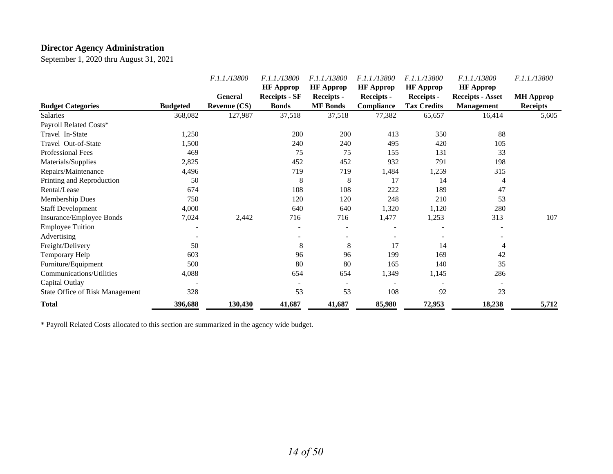# **Director Agency Administration**

September 1, 2020 thru August 31, 2021

|                                        |                 | F.1.1./13800        | F.1.1./13800         | F.1.1./13800     | F.1.1./13800     | F.1.1./13800       | F.1.1./13800            | F.1.1./13800     |
|----------------------------------------|-----------------|---------------------|----------------------|------------------|------------------|--------------------|-------------------------|------------------|
|                                        |                 |                     | <b>HF</b> Approp     | <b>HF</b> Approp | <b>HF</b> Approp | <b>HF</b> Approp   | <b>HF</b> Approp        |                  |
|                                        |                 | <b>General</b>      | <b>Receipts - SF</b> | Receipts -       | Receipts -       | <b>Receipts -</b>  | <b>Receipts - Asset</b> | <b>MH</b> Approp |
| <b>Budget Categories</b>               | <b>Budgeted</b> | <b>Revenue (CS)</b> | <b>Bonds</b>         | <b>MF</b> Bonds  | Compliance       | <b>Tax Credits</b> | <b>Management</b>       | <b>Receipts</b>  |
| <b>Salaries</b>                        | 368,082         | 127,987             | 37,518               | 37,518           | 77,382           | 65,657             | 16,414                  | 5,605            |
| Payroll Related Costs*                 |                 |                     |                      |                  |                  |                    |                         |                  |
| Travel In-State                        | 1,250           |                     | 200                  | 200              | 413              | 350                | 88                      |                  |
| Travel Out-of-State                    | 1,500           |                     | 240                  | 240              | 495              | 420                | 105                     |                  |
| <b>Professional Fees</b>               | 469             |                     | 75                   | 75               | 155              | 131                | 33                      |                  |
| Materials/Supplies                     | 2,825           |                     | 452                  | 452              | 932              | 791                | 198                     |                  |
| Repairs/Maintenance                    | 4,496           |                     | 719                  | 719              | 1,484            | 1,259              | 315                     |                  |
| Printing and Reproduction              | 50              |                     | 8                    | 8                | 17               | 14                 | 4                       |                  |
| Rental/Lease                           | 674             |                     | 108                  | 108              | 222              | 189                | 47                      |                  |
| Membership Dues                        | 750             |                     | 120                  | 120              | 248              | 210                | 53                      |                  |
| <b>Staff Development</b>               | 4,000           |                     | 640                  | 640              | 1,320            | 1,120              | 280                     |                  |
| Insurance/Employee Bonds               | 7,024           | 2,442               | 716                  | 716              | 1,477            | 1,253              | 313                     | 107              |
| <b>Employee Tuition</b>                |                 |                     |                      |                  |                  |                    |                         |                  |
| Advertising                            |                 |                     |                      |                  |                  |                    |                         |                  |
| Freight/Delivery                       | 50              |                     | 8                    | 8                | 17               | 14                 |                         |                  |
| Temporary Help                         | 603             |                     | 96                   | 96               | 199              | 169                | 42                      |                  |
| Furniture/Equipment                    | 500             |                     | 80                   | 80               | 165              | 140                | 35                      |                  |
| Communications/Utilities               | 4,088           |                     | 654                  | 654              | 1,349            | 1,145              | 286                     |                  |
| Capital Outlay                         |                 |                     |                      | $\overline{a}$   |                  |                    |                         |                  |
| <b>State Office of Risk Management</b> | 328             |                     | 53                   | 53               | 108              | 92                 | 23                      |                  |
| <b>Total</b>                           | 396,688         | 130,430             | 41,687               | 41,687           | 85,980           | 72,953             | 18,238                  | 5,712            |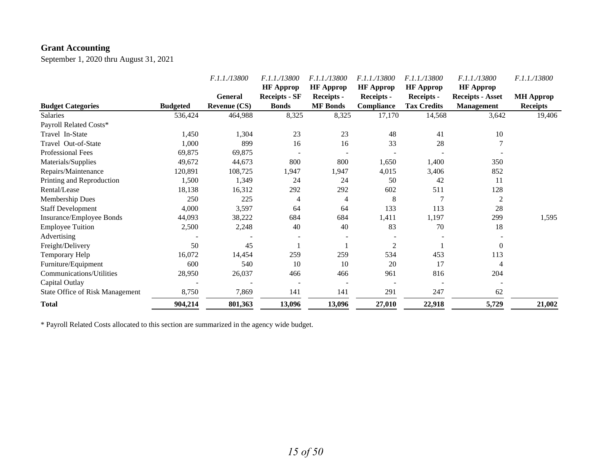# **Grant Accounting**

September 1, 2020 thru August 31, 2021

|                                        |                 | F.1.1./13800        | F.1.1./13800                             | F.1.1./13800                   | F.1.1./13800                   | F.1.1./13800                          | F.1.1./13800                                | F.1.1./13800     |
|----------------------------------------|-----------------|---------------------|------------------------------------------|--------------------------------|--------------------------------|---------------------------------------|---------------------------------------------|------------------|
|                                        |                 | <b>General</b>      | <b>HF</b> Approp<br><b>Receipts - SF</b> | <b>HF Approp</b><br>Receipts - | <b>HF</b> Approp<br>Receipts - | <b>HF</b> Approp<br><b>Receipts -</b> | <b>HF Approp</b><br><b>Receipts - Asset</b> | <b>MH Approp</b> |
| <b>Budget Categories</b>               | <b>Budgeted</b> | <b>Revenue (CS)</b> | <b>Bonds</b>                             | <b>MF</b> Bonds                | Compliance                     | <b>Tax Credits</b>                    | <b>Management</b>                           | <b>Receipts</b>  |
| <b>Salaries</b>                        | 536,424         | 464,988             | 8,325                                    | 8,325                          | 17,170                         | 14,568                                | 3,642                                       | 19,406           |
| Payroll Related Costs*                 |                 |                     |                                          |                                |                                |                                       |                                             |                  |
| Travel In-State                        | 1,450           | 1,304               | 23                                       | 23                             | 48                             | 41                                    | 10                                          |                  |
| Travel Out-of-State                    | 1,000           | 899                 | 16                                       | 16                             | 33                             | 28                                    |                                             |                  |
| Professional Fees                      | 69,875          | 69,875              |                                          |                                |                                |                                       |                                             |                  |
| Materials/Supplies                     | 49,672          | 44,673              | 800                                      | 800                            | 1,650                          | 1,400                                 | 350                                         |                  |
| Repairs/Maintenance                    | 120,891         | 108,725             | 1,947                                    | 1,947                          | 4,015                          | 3,406                                 | 852                                         |                  |
| Printing and Reproduction              | 1,500           | 1,349               | 24                                       | 24                             | 50                             | 42                                    | 11                                          |                  |
| Rental/Lease                           | 18,138          | 16,312              | 292                                      | 292                            | 602                            | 511                                   | 128                                         |                  |
| Membership Dues                        | 250             | 225                 | 4                                        | 4                              | 8                              |                                       | $\overline{2}$                              |                  |
| <b>Staff Development</b>               | 4,000           | 3,597               | 64                                       | 64                             | 133                            | 113                                   | 28                                          |                  |
| Insurance/Employee Bonds               | 44,093          | 38,222              | 684                                      | 684                            | 1,411                          | 1,197                                 | 299                                         | 1,595            |
| <b>Employee Tuition</b>                | 2,500           | 2,248               | 40                                       | 40                             | 83                             | 70                                    | 18                                          |                  |
| Advertising                            |                 |                     |                                          |                                |                                |                                       |                                             |                  |
| Freight/Delivery                       | 50              | 45                  |                                          |                                | 2                              |                                       | $\Omega$                                    |                  |
| Temporary Help                         | 16,072          | 14,454              | 259                                      | 259                            | 534                            | 453                                   | 113                                         |                  |
| Furniture/Equipment                    | 600             | 540                 | 10                                       | 10                             | 20                             | 17                                    | 4                                           |                  |
| Communications/Utilities               | 28,950          | 26,037              | 466                                      | 466                            | 961                            | 816                                   | 204                                         |                  |
| Capital Outlay                         |                 |                     |                                          |                                |                                |                                       |                                             |                  |
| <b>State Office of Risk Management</b> | 8,750           | 7,869               | 141                                      | 141                            | 291                            | 247                                   | 62                                          |                  |
| <b>Total</b>                           | 904,214         | 801,363             | 13,096                                   | 13,096                         | 27,010                         | 22,918                                | 5,729                                       | 21,002           |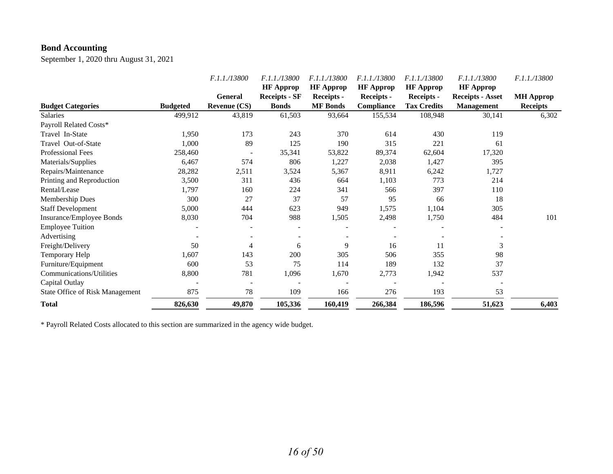# **Bond Accounting**

September 1, 2020 thru August 31, 2021

|                                        |                 | F.1.1./13800             | F.1.1./13800<br><b>HF</b> Approp | <i>F.1.1./13800</i><br><b>HF</b> Approp | F.1.1./13800<br><b>HF</b> Approp | <i>F.1.1./13800</i><br><b>HF</b> Approp | F.1.1./13800<br><b>HF Approp</b> | F.1.1./13800     |
|----------------------------------------|-----------------|--------------------------|----------------------------------|-----------------------------------------|----------------------------------|-----------------------------------------|----------------------------------|------------------|
|                                        |                 | <b>General</b>           | <b>Receipts - SF</b>             | <b>Receipts -</b>                       | <b>Receipts -</b>                | <b>Receipts -</b>                       | <b>Receipts - Asset</b>          | <b>MH Approp</b> |
| <b>Budget Categories</b>               | <b>Budgeted</b> | <b>Revenue (CS)</b>      | <b>Bonds</b>                     | <b>MF</b> Bonds                         | Compliance                       | <b>Tax Credits</b>                      | <b>Management</b>                | <b>Receipts</b>  |
| <b>Salaries</b>                        | 499,912         | 43,819                   | 61,503                           | 93,664                                  | 155,534                          | 108,948                                 | 30,141                           | 6,302            |
| Payroll Related Costs*                 |                 |                          |                                  |                                         |                                  |                                         |                                  |                  |
| Travel In-State                        | 1,950           | 173                      | 243                              | 370                                     | 614                              | 430                                     | 119                              |                  |
| Travel Out-of-State                    | 1,000           | 89                       | 125                              | 190                                     | 315                              | 221                                     | 61                               |                  |
| Professional Fees                      | 258,460         | $\overline{\phantom{a}}$ | 35,341                           | 53,822                                  | 89,374                           | 62,604                                  | 17,320                           |                  |
| Materials/Supplies                     | 6,467           | 574                      | 806                              | 1,227                                   | 2,038                            | 1,427                                   | 395                              |                  |
| Repairs/Maintenance                    | 28,282          | 2,511                    | 3,524                            | 5,367                                   | 8,911                            | 6,242                                   | 1,727                            |                  |
| Printing and Reproduction              | 3,500           | 311                      | 436                              | 664                                     | 1,103                            | 773                                     | 214                              |                  |
| Rental/Lease                           | 1,797           | 160                      | 224                              | 341                                     | 566                              | 397                                     | 110                              |                  |
| Membership Dues                        | 300             | 27                       | 37                               | 57                                      | 95                               | 66                                      | 18                               |                  |
| <b>Staff Development</b>               | 5,000           | 444                      | 623                              | 949                                     | 1,575                            | 1,104                                   | 305                              |                  |
| Insurance/Employee Bonds               | 8,030           | 704                      | 988                              | 1,505                                   | 2,498                            | 1,750                                   | 484                              | 101              |
| <b>Employee Tuition</b>                |                 |                          |                                  |                                         |                                  |                                         |                                  |                  |
| Advertising                            |                 |                          |                                  |                                         |                                  |                                         |                                  |                  |
| Freight/Delivery                       | 50              | 4                        | 6                                | 9                                       | 16                               | 11                                      | 3                                |                  |
| Temporary Help                         | 1,607           | 143                      | 200                              | 305                                     | 506                              | 355                                     | 98                               |                  |
| Furniture/Equipment                    | 600             | 53                       | 75                               | 114                                     | 189                              | 132                                     | 37                               |                  |
| Communications/Utilities               | 8,800           | 781                      | 1,096                            | 1,670                                   | 2,773                            | 1,942                                   | 537                              |                  |
| Capital Outlay                         |                 |                          |                                  |                                         |                                  |                                         |                                  |                  |
| <b>State Office of Risk Management</b> | 875             | 78                       | 109                              | 166                                     | 276                              | 193                                     | 53                               |                  |
| <b>Total</b>                           | 826,630         | 49,870                   | 105,336                          | 160,419                                 | 266,384                          | 186,596                                 | 51,623                           | 6,403            |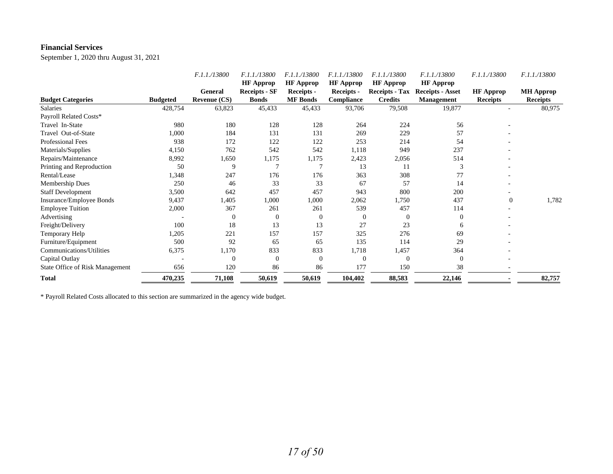#### **Financial Services**

September 1, 2020 thru August 31, 2021

|                                 |                 | F.1.1./13800        | F.1.1./13800                             | F.1.1./13800                   | F.1.1./13800                   | F.1.1./13800                              | F.1.1./13800                                | F.1.1./13800     | F.1.1./13800     |
|---------------------------------|-----------------|---------------------|------------------------------------------|--------------------------------|--------------------------------|-------------------------------------------|---------------------------------------------|------------------|------------------|
|                                 |                 | <b>General</b>      | <b>HF</b> Approp<br><b>Receipts - SF</b> | <b>HF</b> Approp<br>Receipts - | <b>HF</b> Approp<br>Receipts - | <b>HF</b> Approp<br><b>Receipts - Tax</b> | <b>HF Approp</b><br><b>Receipts - Asset</b> | <b>HF</b> Approp | <b>MH</b> Approp |
| <b>Budget Categories</b>        | <b>Budgeted</b> | <b>Revenue (CS)</b> | <b>Bonds</b>                             | <b>MF</b> Bonds                | <b>Compliance</b>              | <b>Credits</b>                            | Management                                  | <b>Receipts</b>  | <b>Receipts</b>  |
| <b>Salaries</b>                 | 428,754         | 63,823              | 45,433                                   | 45,433                         | 93,706                         | 79,508                                    | 19,877                                      |                  | 80,975           |
| Payroll Related Costs*          |                 |                     |                                          |                                |                                |                                           |                                             |                  |                  |
| Travel In-State                 | 980             | 180                 | 128                                      | 128                            | 264                            | 224                                       | 56                                          |                  |                  |
| Travel Out-of-State             | 1,000           | 184                 | 131                                      | 131                            | 269                            | 229                                       | 57                                          |                  |                  |
| Professional Fees               | 938             | 172                 | 122                                      | 122                            | 253                            | 214                                       | 54                                          |                  |                  |
| Materials/Supplies              | 4,150           | 762                 | 542                                      | 542                            | 1,118                          | 949                                       | 237                                         |                  |                  |
| Repairs/Maintenance             | 8,992           | 1,650               | 1,175                                    | 1,175                          | 2,423                          | 2,056                                     | 514                                         |                  |                  |
| Printing and Reproduction       | 50              | 9                   |                                          | 7                              | 13                             | 11                                        | 3                                           |                  |                  |
| Rental/Lease                    | 1,348           | 247                 | 176                                      | 176                            | 363                            | 308                                       | 77                                          |                  |                  |
| Membership Dues                 | 250             | 46                  | 33                                       | 33                             | 67                             | 57                                        | 14                                          |                  |                  |
| <b>Staff Development</b>        | 3,500           | 642                 | 457                                      | 457                            | 943                            | 800                                       | 200                                         |                  |                  |
| Insurance/Employee Bonds        | 9,437           | 1,405               | 1,000                                    | 1,000                          | 2,062                          | 1,750                                     | 437                                         | $\boldsymbol{0}$ | 1,782            |
| <b>Employee Tuition</b>         | 2,000           | 367                 | 261                                      | 261                            | 539                            | 457                                       | 114                                         |                  |                  |
| Advertising                     |                 | $\Omega$            | 0                                        | $\theta$                       | $\theta$                       | $\theta$                                  | $\theta$                                    |                  |                  |
| Freight/Delivery                | 100             | 18                  | 13                                       | 13                             | 27                             | 23                                        | 6                                           |                  |                  |
| Temporary Help                  | 1,205           | 221                 | 157                                      | 157                            | 325                            | 276                                       | 69                                          |                  |                  |
| Furniture/Equipment             | 500             | 92                  | 65                                       | 65                             | 135                            | 114                                       | 29                                          |                  |                  |
| Communications/Utilities        | 6,375           | 1,170               | 833                                      | 833                            | 1,718                          | 1,457                                     | 364                                         |                  |                  |
| Capital Outlay                  |                 | $\Omega$            | $\mathbf{0}$                             | $\theta$                       | $\overline{0}$                 | $\overline{0}$                            | $\theta$                                    |                  |                  |
| State Office of Risk Management | 656             | 120                 | 86                                       | 86                             | 177                            | 150                                       | 38                                          |                  |                  |
| <b>Total</b>                    | 470,235         | 71,108              | 50,619                                   | 50,619                         | 104,402                        | 88,583                                    | 22,146                                      |                  | 82,757           |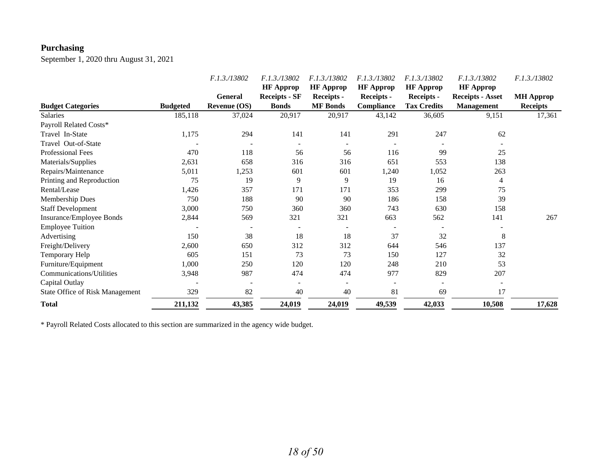# **Purchasing**

September 1, 2020 thru August 31, 2021

|                                 |                 | F.1.3./13802        | F.1.3./13802                             | F.1.3./13802                   | F.1.3./13802                          | F.1.3./13802                          | F.1.3./13802                                | F.1.3./13802     |
|---------------------------------|-----------------|---------------------|------------------------------------------|--------------------------------|---------------------------------------|---------------------------------------|---------------------------------------------|------------------|
|                                 |                 | <b>General</b>      | <b>HF</b> Approp<br><b>Receipts - SF</b> | <b>HF Approp</b><br>Receipts - | <b>HF</b> Approp<br><b>Receipts -</b> | <b>HF</b> Approp<br><b>Receipts -</b> | <b>HF</b> Approp<br><b>Receipts - Asset</b> | <b>MH</b> Approp |
| <b>Budget Categories</b>        | <b>Budgeted</b> | <b>Revenue (OS)</b> | <b>Bonds</b>                             | <b>MF</b> Bonds                | Compliance                            | <b>Tax Credits</b>                    | <b>Management</b>                           | <b>Receipts</b>  |
| Salaries                        | 185,118         | 37,024              | 20,917                                   | 20,917                         | 43,142                                | 36,605                                | 9,151                                       | 17,361           |
| Payroll Related Costs*          |                 |                     |                                          |                                |                                       |                                       |                                             |                  |
| Travel In-State                 | 1,175           | 294                 | 141                                      | 141                            | 291                                   | 247                                   | 62                                          |                  |
| Travel Out-of-State             |                 |                     |                                          |                                |                                       |                                       |                                             |                  |
| <b>Professional Fees</b>        | 470             | 118                 | 56                                       | 56                             | 116                                   | 99                                    | 25                                          |                  |
| Materials/Supplies              | 2,631           | 658                 | 316                                      | 316                            | 651                                   | 553                                   | 138                                         |                  |
| Repairs/Maintenance             | 5,011           | 1,253               | 601                                      | 601                            | 1,240                                 | 1,052                                 | 263                                         |                  |
| Printing and Reproduction       | 75              | 19                  | 9                                        | 9                              | 19                                    | 16                                    | $\overline{4}$                              |                  |
| Rental/Lease                    | 1,426           | 357                 | 171                                      | 171                            | 353                                   | 299                                   | 75                                          |                  |
| Membership Dues                 | 750             | 188                 | 90                                       | 90                             | 186                                   | 158                                   | 39                                          |                  |
| <b>Staff Development</b>        | 3,000           | 750                 | 360                                      | 360                            | 743                                   | 630                                   | 158                                         |                  |
| Insurance/Employee Bonds        | 2,844           | 569                 | 321                                      | 321                            | 663                                   | 562                                   | 141                                         | 267              |
| <b>Employee Tuition</b>         |                 |                     |                                          |                                |                                       |                                       |                                             |                  |
| Advertising                     | 150             | 38                  | 18                                       | 18                             | 37                                    | 32                                    | 8                                           |                  |
| Freight/Delivery                | 2,600           | 650                 | 312                                      | 312                            | 644                                   | 546                                   | 137                                         |                  |
| Temporary Help                  | 605             | 151                 | 73                                       | 73                             | 150                                   | 127                                   | 32                                          |                  |
| Furniture/Equipment             | 1,000           | 250                 | 120                                      | 120                            | 248                                   | 210                                   | 53                                          |                  |
| Communications/Utilities        | 3,948           | 987                 | 474                                      | 474                            | 977                                   | 829                                   | 207                                         |                  |
| Capital Outlay                  |                 |                     |                                          |                                |                                       |                                       |                                             |                  |
| State Office of Risk Management | 329             | 82                  | 40                                       | 40                             | 81                                    | 69                                    | 17                                          |                  |
| <b>Total</b>                    | 211,132         | 43,385              | 24,019                                   | 24,019                         | 49,539                                | 42,033                                | 10,508                                      | 17,628           |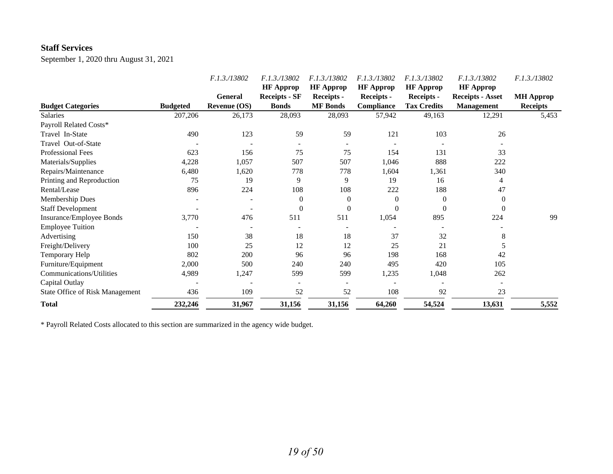#### **Staff Services**

September 1, 2020 thru August 31, 2021

|                                        |                 | F.1.3./13802        | F.1.3./13802                             | F.1.3./13802                   | F.1.3./13802                   | F.1.3./13802                          | F.1.3./13802                                | F.1.3./13802     |
|----------------------------------------|-----------------|---------------------|------------------------------------------|--------------------------------|--------------------------------|---------------------------------------|---------------------------------------------|------------------|
|                                        |                 | <b>General</b>      | <b>HF</b> Approp<br><b>Receipts - SF</b> | <b>HF Approp</b><br>Receipts - | <b>HF</b> Approp<br>Receipts - | <b>HF</b> Approp<br><b>Receipts -</b> | <b>HF</b> Approp<br><b>Receipts - Asset</b> | <b>MH</b> Approp |
| <b>Budget Categories</b>               | <b>Budgeted</b> | <b>Revenue (OS)</b> | <b>Bonds</b>                             | <b>MF</b> Bonds                | Compliance                     | <b>Tax Credits</b>                    | <b>Management</b>                           | <b>Receipts</b>  |
| <b>Salaries</b>                        | 207,206         | 26,173              | 28,093                                   | 28,093                         | 57,942                         | 49,163                                | 12,291                                      | 5,453            |
| Payroll Related Costs*                 |                 |                     |                                          |                                |                                |                                       |                                             |                  |
| Travel In-State                        | 490             | 123                 | 59                                       | 59                             | 121                            | 103                                   | 26                                          |                  |
| Travel Out-of-State                    |                 |                     |                                          |                                |                                |                                       |                                             |                  |
| <b>Professional Fees</b>               | 623             | 156                 | 75                                       | 75                             | 154                            | 131                                   | 33                                          |                  |
| Materials/Supplies                     | 4,228           | 1,057               | 507                                      | 507                            | 1,046                          | 888                                   | 222                                         |                  |
| Repairs/Maintenance                    | 6,480           | 1,620               | 778                                      | 778                            | 1,604                          | 1,361                                 | 340                                         |                  |
| Printing and Reproduction              | 75              | 19                  | 9                                        | 9                              | 19                             | 16                                    | $\overline{4}$                              |                  |
| Rental/Lease                           | 896             | 224                 | 108                                      | 108                            | 222                            | 188                                   | 47                                          |                  |
| Membership Dues                        |                 |                     | $\theta$                                 | $\boldsymbol{0}$               | $\Omega$                       | 0                                     | $\theta$                                    |                  |
| <b>Staff Development</b>               |                 |                     | $\Omega$                                 | $\mathbf{0}$                   | 0                              | $\Omega$                              | $\Omega$                                    |                  |
| Insurance/Employee Bonds               | 3,770           | 476                 | 511                                      | 511                            | 1,054                          | 895                                   | 224                                         | 99               |
| <b>Employee Tuition</b>                |                 |                     |                                          |                                |                                |                                       |                                             |                  |
| Advertising                            | 150             | 38                  | 18                                       | 18                             | 37                             | 32                                    | 8                                           |                  |
| Freight/Delivery                       | 100             | 25                  | 12                                       | 12                             | 25                             | 21                                    |                                             |                  |
| Temporary Help                         | 802             | 200                 | 96                                       | 96                             | 198                            | 168                                   | 42                                          |                  |
| Furniture/Equipment                    | 2,000           | 500                 | 240                                      | 240                            | 495                            | 420                                   | 105                                         |                  |
| Communications/Utilities               | 4,989           | 1,247               | 599                                      | 599                            | 1,235                          | 1,048                                 | 262                                         |                  |
| Capital Outlay                         |                 |                     |                                          |                                |                                |                                       |                                             |                  |
| <b>State Office of Risk Management</b> | 436             | 109                 | 52                                       | 52                             | 108                            | 92                                    | 23                                          |                  |
| <b>Total</b>                           | 232,246         | 31,967              | 31,156                                   | 31,156                         | 64,260                         | 54,524                                | 13,631                                      | 5,552            |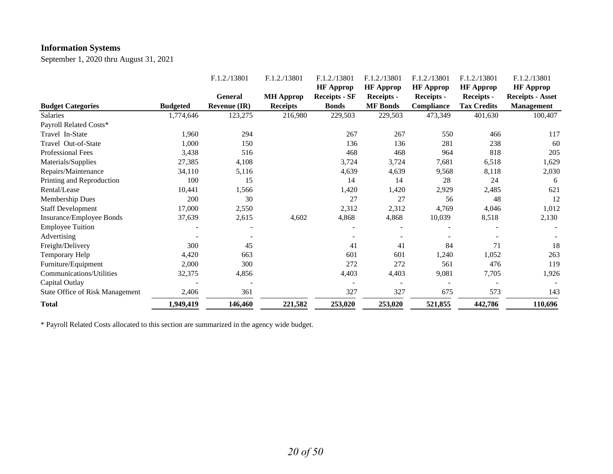# **Information Systems**

September 1, 2020 thru August 31, 2021

|                                 |                 | F.1.2./13801        | F.1.2./13801     | F.1.2./13801         | F.1.2./13801     | F.1.2./13801     | F.1.2./13801       | F.1.2./13801            |
|---------------------------------|-----------------|---------------------|------------------|----------------------|------------------|------------------|--------------------|-------------------------|
|                                 |                 |                     |                  | <b>HF</b> Approp     | <b>HF</b> Approp | <b>HF</b> Approp | <b>HF</b> Approp   | <b>HF Approp</b>        |
|                                 |                 | <b>General</b>      | <b>MH</b> Approp | <b>Receipts - SF</b> | Receipts -       | Receipts -       | Receipts -         | <b>Receipts - Asset</b> |
| <b>Budget Categories</b>        | <b>Budgeted</b> | <b>Revenue (IR)</b> | <b>Receipts</b>  | <b>Bonds</b>         | <b>MF</b> Bonds  | Compliance       | <b>Tax Credits</b> | <b>Management</b>       |
| <b>Salaries</b>                 | 1,774,646       | 123,275             | 216,980          | 229,503              | 229,503          | 473,349          | 401,630            | 100,407                 |
| Payroll Related Costs*          |                 |                     |                  |                      |                  |                  |                    |                         |
| Travel In-State                 | 1,960           | 294                 |                  | 267                  | 267              | 550              | 466                | 117                     |
| Travel Out-of-State             | 1,000           | 150                 |                  | 136                  | 136              | 281              | 238                | 60                      |
| <b>Professional Fees</b>        | 3,438           | 516                 |                  | 468                  | 468              | 964              | 818                | 205                     |
| Materials/Supplies              | 27,385          | 4,108               |                  | 3,724                | 3,724            | 7,681            | 6,518              | 1,629                   |
| Repairs/Maintenance             | 34,110          | 5,116               |                  | 4,639                | 4,639            | 9,568            | 8,118              | 2,030                   |
| Printing and Reproduction       | 100             | 15                  |                  | 14                   | 14               | 28               | 24                 | 6                       |
| Rental/Lease                    | 10,441          | 1,566               |                  | 1,420                | 1,420            | 2,929            | 2,485              | 621                     |
| Membership Dues                 | 200             | 30                  |                  | 27                   | 27               | 56               | 48                 | 12                      |
| <b>Staff Development</b>        | 17,000          | 2,550               |                  | 2,312                | 2,312            | 4,769            | 4,046              | 1,012                   |
| Insurance/Employee Bonds        | 37,639          | 2,615               | 4,602            | 4,868                | 4,868            | 10,039           | 8,518              | 2,130                   |
| <b>Employee Tuition</b>         |                 |                     |                  |                      |                  |                  |                    |                         |
| Advertising                     |                 |                     |                  |                      |                  |                  |                    |                         |
| Freight/Delivery                | 300             | 45                  |                  | 41                   | 41               | 84               | 71                 | 18                      |
| Temporary Help                  | 4,420           | 663                 |                  | 601                  | 601              | 1,240            | 1,052              | 263                     |
| Furniture/Equipment             | 2,000           | 300                 |                  | 272                  | 272              | 561              | 476                | 119                     |
| Communications/Utilities        | 32,375          | 4,856               |                  | 4,403                | 4,403            | 9,081            | 7,705              | 1,926                   |
| Capital Outlay                  |                 |                     |                  |                      |                  |                  |                    |                         |
| State Office of Risk Management | 2,406           | 361                 |                  | 327                  | 327              | 675              | 573                | 143                     |
| <b>Total</b>                    | 1,949,419       | 146,460             | 221,582          | 253,020              | 253,020          | 521,855          | 442,786            | 110,696                 |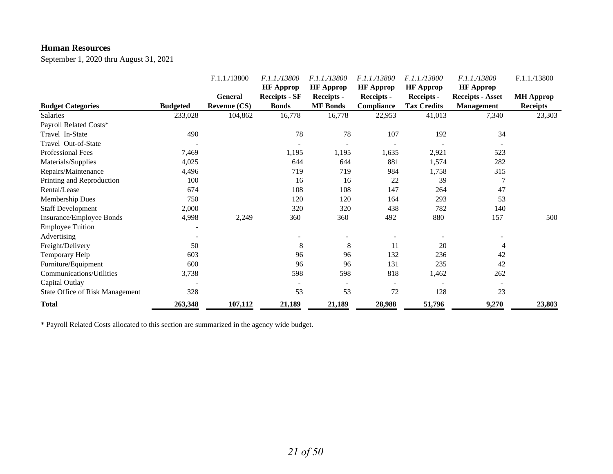#### **Human Resources**

September 1, 2020 thru August 31, 2021

|                                        |                 | F.1.1./13800        | F.1.1./13800                             | F.1.1./13800                   | F.1.1./13800                          | F.1.1./13800                          | F.1.1./13800                                | F.1.1./13800     |
|----------------------------------------|-----------------|---------------------|------------------------------------------|--------------------------------|---------------------------------------|---------------------------------------|---------------------------------------------|------------------|
|                                        |                 | <b>General</b>      | <b>HF</b> Approp<br><b>Receipts - SF</b> | <b>HF</b> Approp<br>Receipts - | <b>HF</b> Approp<br><b>Receipts -</b> | <b>HF</b> Approp<br><b>Receipts -</b> | <b>HF Approp</b><br><b>Receipts - Asset</b> | <b>MH Approp</b> |
| <b>Budget Categories</b>               | <b>Budgeted</b> | <b>Revenue (CS)</b> | <b>Bonds</b>                             | <b>MF</b> Bonds                | Compliance                            | <b>Tax Credits</b>                    | <b>Management</b>                           | <b>Receipts</b>  |
| <b>Salaries</b>                        | 233,028         | 104,862             | 16,778                                   | 16,778                         | 22,953                                | 41,013                                | 7,340                                       | 23,303           |
| Payroll Related Costs*                 |                 |                     |                                          |                                |                                       |                                       |                                             |                  |
| Travel In-State                        | 490             |                     | 78                                       | 78                             | 107                                   | 192                                   | 34                                          |                  |
| Travel Out-of-State                    |                 |                     |                                          |                                |                                       |                                       |                                             |                  |
| <b>Professional Fees</b>               | 7,469           |                     | 1,195                                    | 1,195                          | 1,635                                 | 2,921                                 | 523                                         |                  |
| Materials/Supplies                     | 4,025           |                     | 644                                      | 644                            | 881                                   | 1,574                                 | 282                                         |                  |
| Repairs/Maintenance                    | 4,496           |                     | 719                                      | 719                            | 984                                   | 1,758                                 | 315                                         |                  |
| Printing and Reproduction              | 100             |                     | 16                                       | 16                             | 22                                    | 39                                    |                                             |                  |
| Rental/Lease                           | 674             |                     | 108                                      | 108                            | 147                                   | 264                                   | 47                                          |                  |
| Membership Dues                        | 750             |                     | 120                                      | 120                            | 164                                   | 293                                   | 53                                          |                  |
| <b>Staff Development</b>               | 2,000           |                     | 320                                      | 320                            | 438                                   | 782                                   | 140                                         |                  |
| Insurance/Employee Bonds               | 4,998           | 2,249               | 360                                      | 360                            | 492                                   | 880                                   | 157                                         | 500              |
| <b>Employee Tuition</b>                |                 |                     |                                          |                                |                                       |                                       |                                             |                  |
| Advertising                            |                 |                     |                                          |                                |                                       |                                       |                                             |                  |
| Freight/Delivery                       | 50              |                     | 8                                        | 8                              | 11                                    | 20                                    | 4                                           |                  |
| Temporary Help                         | 603             |                     | 96                                       | 96                             | 132                                   | 236                                   | 42                                          |                  |
| Furniture/Equipment                    | 600             |                     | 96                                       | 96                             | 131                                   | 235                                   | 42                                          |                  |
| Communications/Utilities               | 3,738           |                     | 598                                      | 598                            | 818                                   | 1,462                                 | 262                                         |                  |
| Capital Outlay                         |                 |                     |                                          | $\overline{a}$                 | $\overline{\phantom{a}}$              |                                       | $\overline{\phantom{a}}$                    |                  |
| <b>State Office of Risk Management</b> | 328             |                     | 53                                       | 53                             | 72                                    | 128                                   | 23                                          |                  |
| <b>Total</b>                           | 263,348         | 107,112             | 21,189                                   | 21,189                         | 28,988                                | 51,796                                | 9,270                                       | 23,803           |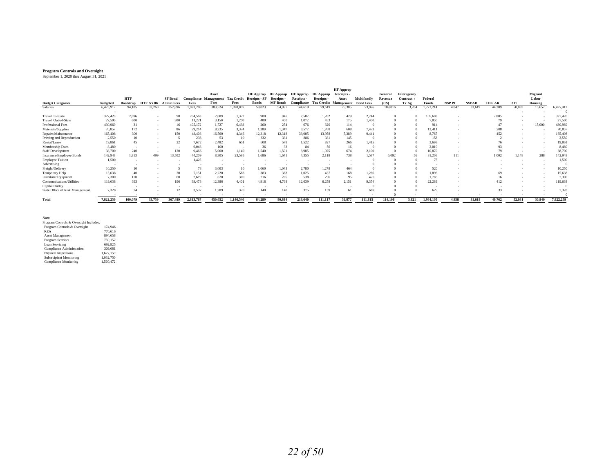#### **Program Controls and Oversight**

September 1, 2020 thru August 31, 2021

|                                 |                 |                  |                          |                   |            |            |                   |               |                            |                   |                  | <b>HF Approp</b>              |                  |         |             |              |               |              |               |        |         |           |
|---------------------------------|-----------------|------------------|--------------------------|-------------------|------------|------------|-------------------|---------------|----------------------------|-------------------|------------------|-------------------------------|------------------|---------|-------------|--------------|---------------|--------------|---------------|--------|---------|-----------|
|                                 |                 |                  |                          |                   |            | Asset      |                   |               | <b>HF Approp</b> HF Approp | <b>HF Approp</b>  | <b>HF Approp</b> | Receipts -                    |                  | General | Interagency |              |               |              |               |        | Migrant |           |
|                                 |                 | <b>HTF</b>       |                          | <b>SF Bond</b>    | Compliance | Management | <b>Tax Credit</b> | Receipts - SF | <b>Receipts</b>            | <b>Receipts -</b> | Receipts -       | Asset                         | Multifamily      | Revenue | Contract    | Federal      |               |              |               |        | Labor   |           |
| <b>Budget Categories</b>        | <b>Budgeted</b> | <b>Bootstrap</b> | <b>HTF AYBR</b>          | <b>Admin Fees</b> | Fees       | Fees       | Fees              | <b>Bonds</b>  | <b>MF</b> Bonds            | Compliance        |                  | <b>Tax Credits Management</b> | <b>Bond Fees</b> | (CS)    | Tx Ag       | <b>Funds</b> | <b>NSP PI</b> | <b>NSPAD</b> | <b>HTF AR</b> | 811    | Housing |           |
| <b>Salaries</b>                 | 6,425,912       | 94,185           | 33,260                   | 352,896           | 1,993,286  | 383,524    | .098,807          | 58,023        | 54,997                     | 144,619           | 79,619           | 25,385                        | 73,926           | 109,016 | 3,764       | 1,773,214    | 4,847         | 31,619       | 44,389        | 50,883 | 15,652  | 6,425,912 |
|                                 |                 |                  |                          |                   |            |            |                   |               |                            |                   |                  |                               |                  |         |             |              |               |              |               |        |         |           |
| Travel In-State                 | 327,420         | 2,096            | . .                      | 98                | 204,563    | 2,009      | 1,372             | 980           | 947                        | 2,507             | 1,262            | 429                           | 2,744            |         |             | 105,608      |               |              | 2.805         |        |         | 327,420   |
| Travel Out-of-State             | 27,500          | 600              | . .                      | 300               | 11,221     | 3,150      | 1,200             | 400           | 400                        | 1,072             | 453              | 175                           | 1,400            |         |             | 7,050        |               |              |               |        |         | 27,500    |
| Professional Fees               | 430,969         | 31               | $\sim$                   |                   | 405,172    | 1,727      | 6,438             | 260           | 254                        | 676               | 320              | 114                           |                  |         |             | 914          |               |              |               |        | 15,000  | 430,969   |
| Materials/Supplies              | 70.857          | 172              | $\sim$                   | 86                | 29,214     | 8,235      | 3,374             | 1,389         | 1,347                      | 3,572             | 1,768            | 608                           | 7,473            |         |             | 13,411       |               |              | 208           |        |         | 70,857    |
| Repairs/Maintenance             | 165,408         | 300              | $\sim$                   | 150               | 48,403     | 16,560     | 4.346             | 12,318        | 12,318                     | 33,005            | 13,958           | 5,389                         | 9,441            |         |             | 8,767        |               |              | 452           |        |         | 165,408   |
| Printing and Reproduction       | 2,550           |                  | $\overline{\phantom{a}}$ |                   | 238        | 53         |                   | 332           | 331                        | 886               | 381              | 145                           |                  |         |             | 158          |               |              |               |        |         | 2,550     |
| Rental/Lease                    | 19,861          | 45               |                          | 22<br>22          | 7,672      | 2,482      | 651               | 608           | 578                        | 1,522             | 827              | 266                           | 1,415            |         |             | 3,698        |               |              |               |        |         | 19,861    |
| Membership Dues                 | 8,480           |                  |                          |                   | 6.043      | 100        |                   | 36            | 33                         | 84                | 56               | 16                            |                  |         |             | 2,019        |               |              |               |        |         | 8,480     |
| <b>Staff Development</b>        | 38,700          | 240              | $\sim$                   | 120               | 9,466      | 5,060      | 1,140             | 1,540         | 1,501                      | 3,985             | 1,925            | 674                           | 2,100            |         |             | 10,870       |               |              |               |        |         | 38,700    |
| Insurance/Employee Bonds        | 142,948         | 1.813            | 499                      | 13,502            | 44,209     | 8.305      | 23,595            | 1.686         | 1.641                      | 4.355             | 2.118            | 738                           | 1.587            | 5,092   | 56          | 31,203       | 111           |              | .002          | 1.148  | 288     | 142,948   |
| <b>Employee Tuition</b>         | 1,500           |                  |                          |                   | 1,425      |            |                   |               |                            |                   |                  |                               |                  |         |             | 75           |               |              |               |        |         | 1,500     |
| Advertising                     |                 |                  |                          |                   |            |            |                   |               |                            |                   |                  |                               |                  |         |             |              |               |              |               |        |         |           |
| Freight/Delivery                | 10,250          |                  |                          |                   | 78         | 3,003      | 10                | 1,060         | 1,043                      | 2,780             | 1,278            | 464                           |                  |         |             | 520          |               |              |               |        |         | 10,250    |
| Temporary Help                  | 15,638          | 40               |                          | 20                | 7,151      | 2,220      | 583               | 383           | 383                        | 1,025             | 437              | 168                           | 1,266            |         |             | 1,896        |               |              | 69            |        |         | 15,638    |
| Furniture/Equipment             | 7,300           | 120              | $\sim$                   | 60                | 2,619      | 630        | 300               | 216           | 205                        | 538               | 296              | 95                            | 420              |         |             | 1,785        |               |              |               |        |         | 7,300     |
| Communications/Utilities        | 119,638         | 393              | $\sim$                   | 196               | 39,473     | 12,386     | 4.401             | 4.918         | 4.768                      | 12,639            | 6,258            | 2,151                         | 9,354            |         |             | 22,289       |               |              | 412           |        |         | 119,638   |
| Capital Outlay                  |                 |                  |                          |                   |            |            |                   |               |                            |                   |                  |                               |                  |         |             |              |               |              |               |        |         |           |
| State Office of Risk Management | 7,328           | 24               |                          |                   | 3,537      | 1,209      | 320               | 140           | 140                        | 375               | 159              |                               | 689              |         |             | 629          |               |              | 33            |        |         | 7,328     |
|                                 |                 |                  |                          |                   |            |            |                   |               |                            |                   |                  |                               |                  |         |             |              |               |              |               |        |         |           |
| Total                           | 7,822,259       | 100,079          | 33,759                   | 367,489           | 2,813,767  | 450,652    | 146,546           | 84,289        | 80.884                     | 213,640           | 111.117          | 36,877                        | 111,815          | 114,108 | 3.821       | 1,984,105    | 4.958         | 31,619       | 49,762        | 52,031 | 30,940  | 7,822,259 |

*Note:*

| Program Controls & Oversight Includes: |           |
|----------------------------------------|-----------|
| Program Controls & Oversight           | 174,946   |
| REA                                    | 770,616   |
| <b>Asset Management</b>                | 894.658   |
| Program Services                       | 759.152   |
| Loan Servicing                         | 692.825   |
| <b>Compliance Administration</b>       | 309,681   |
| <b>Physical Inspections</b>            | 1.627.159 |
| <b>Subrecipient Monitoring</b>         | 1.032.750 |
| <b>Compliance Monitoring</b>           | 1.560.472 |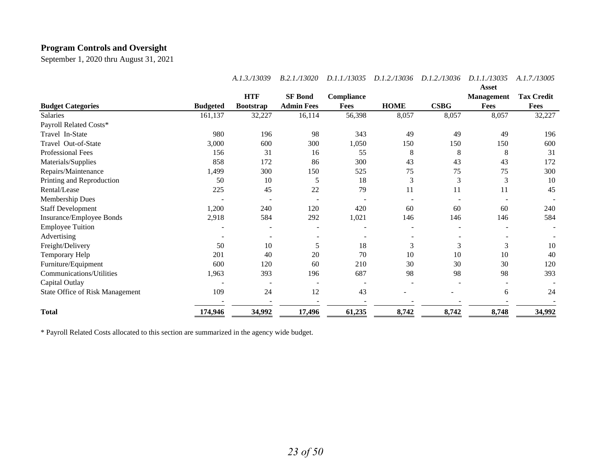# **Program Controls and Oversight**

September 1, 2020 thru August 31, 2021

|                                        |                 |                  |                   |            |             |                          | <b>Asset</b>      |                   |
|----------------------------------------|-----------------|------------------|-------------------|------------|-------------|--------------------------|-------------------|-------------------|
|                                        |                 | <b>HTF</b>       | <b>SF Bond</b>    | Compliance |             |                          | <b>Management</b> | <b>Tax Credit</b> |
| <b>Budget Categories</b>               | <b>Budgeted</b> | <b>Bootstrap</b> | <b>Admin Fees</b> | Fees       | <b>HOME</b> | <b>CSBG</b>              | <b>Fees</b>       | Fees              |
| <b>Salaries</b>                        | 161,137         | 32,227           | 16,114            | 56,398     | 8,057       | 8,057                    | 8,057             | 32,227            |
| Payroll Related Costs*                 |                 |                  |                   |            |             |                          |                   |                   |
| Travel In-State                        | 980             | 196              | 98                | 343        | 49          | 49                       | 49                | 196               |
| Travel Out-of-State                    | 3,000           | 600              | 300               | 1,050      | 150         | 150                      | 150               | 600               |
| Professional Fees                      | 156             | 31               | 16                | 55         | 8           | 8                        | 8                 | 31                |
| Materials/Supplies                     | 858             | 172              | 86                | 300        | 43          | 43                       | 43                | 172               |
| Repairs/Maintenance                    | 1,499           | 300              | 150               | 525        | 75          | 75                       | 75                | 300               |
| Printing and Reproduction              | 50              | 10               | 5                 | 18         | 3           | 3                        | 3                 | 10                |
| Rental/Lease                           | 225             | 45               | 22                | 79         | 11          | 11                       | 11                | 45                |
| Membership Dues                        |                 |                  |                   |            |             |                          |                   |                   |
| <b>Staff Development</b>               | 1,200           | 240              | 120               | 420        | 60          | 60                       | 60                | 240               |
| Insurance/Employee Bonds               | 2,918           | 584              | 292               | 1,021      | 146         | 146                      | 146               | 584               |
| <b>Employee Tuition</b>                |                 |                  |                   |            |             | $\overline{\phantom{a}}$ |                   |                   |
| Advertising                            |                 |                  |                   |            |             |                          |                   |                   |
| Freight/Delivery                       | 50              | 10               | 5                 | 18         | 3           | 3                        | 3                 | 10                |
| Temporary Help                         | 201             | 40               | 20                | 70         | 10          | 10                       | 10                | 40                |
| Furniture/Equipment                    | 600             | 120              | 60                | 210        | 30          | 30                       | 30                | 120               |
| Communications/Utilities               | 1,963           | 393              | 196               | 687        | 98          | 98                       | 98                | 393               |
| Capital Outlay                         |                 |                  |                   |            |             |                          |                   |                   |
| <b>State Office of Risk Management</b> | 109             | 24               | 12                | 43         |             |                          | 6                 | 24                |
|                                        |                 |                  |                   |            |             |                          |                   |                   |
| <b>Total</b>                           | 174,946         | 34,992           | 17,496            | 61,235     | 8,742       | 8,742                    | 8,748             | 34,992            |

*A.1.3./13039 B.2.1./13020 D.1.1./13035 D.1.2./13036 D.1.2./13036 D.1.1./13035 A.1.7./13005*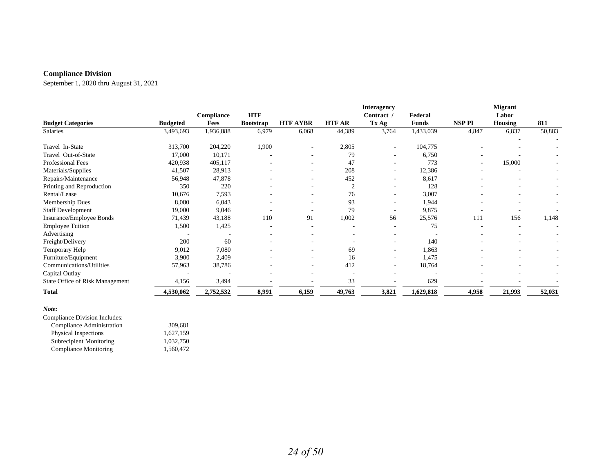### **Compliance Division**

September 1, 2020 thru August 31, 2021

|                                 |                 |            |                  |                 |               | <b>Interagency</b>       |           |                          | <b>Migrant</b> |                          |
|---------------------------------|-----------------|------------|------------------|-----------------|---------------|--------------------------|-----------|--------------------------|----------------|--------------------------|
|                                 |                 | Compliance | <b>HTF</b>       |                 |               | Contract                 | Federal   |                          | Labor          |                          |
| <b>Budget Categories</b>        | <b>Budgeted</b> | Fees       | <b>Bootstrap</b> | <b>HTF AYBR</b> | <b>HTF AR</b> | Tx Ag                    | Funds     | NSP PI                   | Housing        | 811                      |
| Salaries                        | 3,493,693       | 1,936,888  | 6,979            | 6,068           | 44,389        | 3,764                    | 1,433,039 | 4,847                    | 6,837          | 50,883                   |
| Travel In-State                 | 313,700         | 204,220    | 1,900            |                 | 2,805         | $\sim$                   | 104,775   |                          |                |                          |
| Travel Out-of-State             | 17,000          | 10,171     |                  |                 | 79            |                          | 6,750     |                          |                |                          |
| Professional Fees               | 420,938         | 405,117    |                  |                 | 47            |                          | 773       | $\overline{\phantom{a}}$ | 15,000         | $\overline{\phantom{a}}$ |
| Materials/Supplies              | 41,507          | 28,913     |                  |                 | 208           |                          | 12,386    |                          |                | ٠                        |
| Repairs/Maintenance             | 56,948          | 47,878     |                  |                 | 452           |                          | 8,617     |                          |                | ٠                        |
| Printing and Reproduction       | 350             | 220        |                  |                 |               |                          | 128       |                          |                |                          |
| Rental/Lease                    | 10,676          | 7,593      |                  |                 | 76            |                          | 3,007     |                          |                |                          |
| Membership Dues                 | 8,080           | 6,043      |                  |                 | 93            |                          | 1,944     |                          |                |                          |
| <b>Staff Development</b>        | 19,000          | 9,046      |                  |                 | 79            |                          | 9,875     |                          |                |                          |
| Insurance/Employee Bonds        | 71,439          | 43,188     | 110              | 91              | 1,002         | 56                       | 25,576    | 111                      | 156            | 1,148                    |
| <b>Employee Tuition</b>         | 1,500           | 1,425      |                  | ۰               | -             | $\overline{\phantom{a}}$ | 75        |                          |                |                          |
| Advertising                     |                 |            |                  |                 |               |                          |           |                          |                |                          |
| Freight/Delivery                | 200             | 60         |                  |                 |               |                          | 140       |                          |                |                          |
| Temporary Help                  | 9,012           | 7,080      |                  |                 | 69            |                          | 1,863     |                          |                |                          |
| Furniture/Equipment             | 3,900           | 2,409      |                  |                 | 16            |                          | 1,475     |                          |                |                          |
| Communications/Utilities        | 57,963          | 38,786     |                  | ٠               | 412           |                          | 18,764    |                          |                |                          |
| Capital Outlay                  |                 |            |                  |                 |               |                          |           |                          |                |                          |
| State Office of Risk Management | 4,156           | 3,494      |                  |                 | 33            |                          | 629       |                          |                |                          |
| <b>Total</b>                    | 4,530,062       | 2,752,532  | 8,991            | 6,159           | 49,763        | 3,821                    | 1,629,818 | 4,958                    | 21,993         | 52,031                   |

#### *Note:*

| Compliance Division Includes:  |           |
|--------------------------------|-----------|
| Compliance Administration      | 309.681   |
| Physical Inspections           | 1,627,159 |
| <b>Subrecipient Monitoring</b> | 1.032.750 |
| <b>Compliance Monitoring</b>   | 1,560,472 |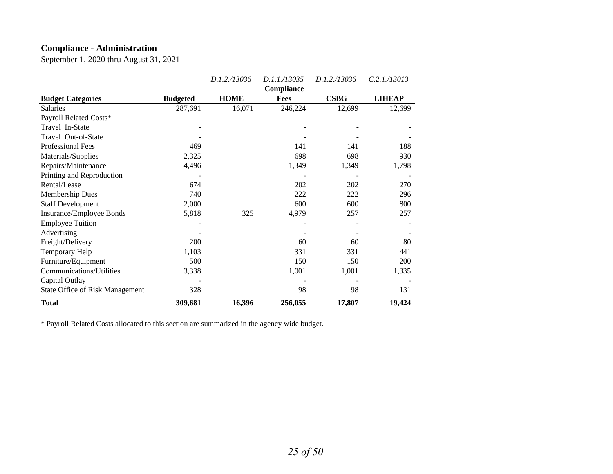# **Compliance - Administration**

September 1, 2020 thru August 31, 2021

|                                        |                 | D.1.2./13036 | D.1.1./13035      | D.1.2./13036 | C.2.1./13013  |
|----------------------------------------|-----------------|--------------|-------------------|--------------|---------------|
|                                        |                 |              | <b>Compliance</b> |              |               |
| <b>Budget Categories</b>               | <b>Budgeted</b> | <b>HOME</b>  | <b>Fees</b>       | <b>CSBG</b>  | <b>LIHEAP</b> |
| <b>Salaries</b>                        | 287,691         | 16,071       | 246,224           | 12,699       | 12,699        |
| Payroll Related Costs*                 |                 |              |                   |              |               |
| Travel In-State                        |                 |              |                   |              |               |
| Travel Out-of-State                    |                 |              |                   |              |               |
| Professional Fees                      | 469             |              | 141               | 141          | 188           |
| Materials/Supplies                     | 2,325           |              | 698               | 698          | 930           |
| Repairs/Maintenance                    | 4,496           |              | 1,349             | 1,349        | 1,798         |
| Printing and Reproduction              |                 |              |                   |              |               |
| Rental/Lease                           | 674             |              | 202               | 202          | 270           |
| <b>Membership Dues</b>                 | 740             |              | 222               | 222          | 296           |
| <b>Staff Development</b>               | 2,000           |              | 600               | 600          | 800           |
| Insurance/Employee Bonds               | 5,818           | 325          | 4,979             | 257          | 257           |
| <b>Employee Tuition</b>                |                 |              |                   |              |               |
| Advertising                            |                 |              |                   |              |               |
| Freight/Delivery                       | 200             |              | 60                | 60           | 80            |
| Temporary Help                         | 1,103           |              | 331               | 331          | 441           |
| Furniture/Equipment                    | 500             |              | 150               | 150          | 200           |
| Communications/Utilities               | 3,338           |              | 1,001             | 1,001        | 1,335         |
| Capital Outlay                         |                 |              |                   |              |               |
| <b>State Office of Risk Management</b> | 328             |              | 98                | 98           | 131           |
| <b>Total</b>                           | 309,681         | 16,396       | 256,055           | 17,807       | 19,424        |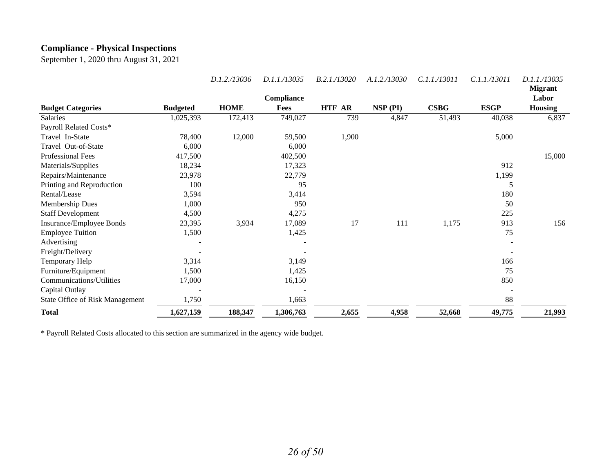# **Compliance - Physical Inspections**

September 1, 2020 thru August 31, 2021

|                                        |                 | D.1.2./13036 | D.1.1./13035 | B.2.1./13020  | A.1.2./13030   | C.1.1./13011    | C.1.1./13011 | D.1.1./13035<br><b>Migrant</b> |
|----------------------------------------|-----------------|--------------|--------------|---------------|----------------|-----------------|--------------|--------------------------------|
|                                        |                 |              | Compliance   |               |                |                 |              | Labor                          |
| <b>Budget Categories</b>               | <b>Budgeted</b> | <b>HOME</b>  | Fees         | <b>HTF AR</b> | $\bf NSP$ (PI) | $\mathbf{CSBG}$ | <b>ESGP</b>  | <b>Housing</b>                 |
| <b>Salaries</b>                        | 1,025,393       | 172,413      | 749,027      | 739           | 4,847          | 51,493          | 40,038       | 6,837                          |
| Payroll Related Costs*                 |                 |              |              |               |                |                 |              |                                |
| Travel In-State                        | 78,400          | 12,000       | 59,500       | 1,900         |                |                 | 5,000        |                                |
| Travel Out-of-State                    | 6,000           |              | 6,000        |               |                |                 |              |                                |
| Professional Fees                      | 417,500         |              | 402,500      |               |                |                 |              | 15,000                         |
| Materials/Supplies                     | 18,234          |              | 17,323       |               |                |                 | 912          |                                |
| Repairs/Maintenance                    | 23,978          |              | 22,779       |               |                |                 | 1,199        |                                |
| Printing and Reproduction              | 100             |              | 95           |               |                |                 | 5            |                                |
| Rental/Lease                           | 3,594           |              | 3,414        |               |                |                 | 180          |                                |
| Membership Dues                        | 1,000           |              | 950          |               |                |                 | 50           |                                |
| <b>Staff Development</b>               | 4,500           |              | 4,275        |               |                |                 | 225          |                                |
| Insurance/Employee Bonds               | 23,395          | 3,934        | 17,089       | 17            | 111            | 1,175           | 913          | 156                            |
| <b>Employee Tuition</b>                | 1,500           |              | 1,425        |               |                |                 | 75           |                                |
| Advertising                            |                 |              |              |               |                |                 |              |                                |
| Freight/Delivery                       |                 |              |              |               |                |                 |              |                                |
| Temporary Help                         | 3,314           |              | 3,149        |               |                |                 | 166          |                                |
| Furniture/Equipment                    | 1,500           |              | 1,425        |               |                |                 | 75           |                                |
| Communications/Utilities               | 17,000          |              | 16,150       |               |                |                 | 850          |                                |
| Capital Outlay                         |                 |              |              |               |                |                 |              |                                |
| <b>State Office of Risk Management</b> | 1,750           |              | 1,663        |               |                |                 | 88           |                                |
| <b>Total</b>                           | 1,627,159       | 188,347      | 1,306,763    | 2,655         | 4,958          | 52,668          | 49,775       | 21,993                         |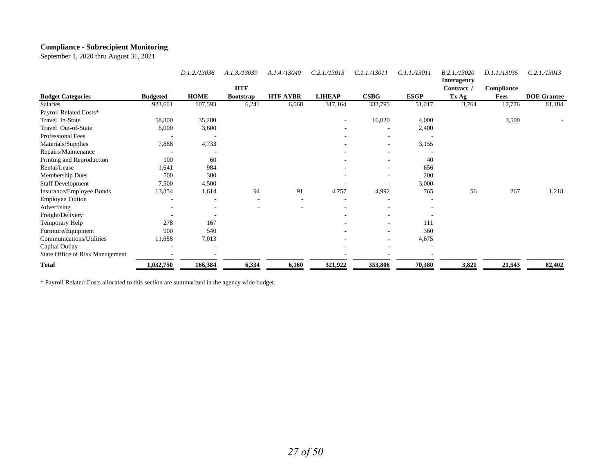### **Compliance - Subrecipient Monitoring**

September 1, 2020 thru August 31, 2021

|                                 |                 | D.1.2./13036 | A.1.3./13039             | A.1.4./13040             | C.2.1./13013  | C.1.1./13011             | C.1.1./13011 | B.2.1./13020                     | D.1.1./13035 | C.2.1./13013       |
|---------------------------------|-----------------|--------------|--------------------------|--------------------------|---------------|--------------------------|--------------|----------------------------------|--------------|--------------------|
|                                 |                 |              | <b>HTF</b>               |                          |               |                          |              | <b>Interagency</b><br>Contract / | Compliance   |                    |
| <b>Budget Categories</b>        | <b>Budgeted</b> | <b>HOME</b>  | <b>Bootstrap</b>         | <b>HTF AYBR</b>          | <b>LIHEAP</b> | $\bf CSBG$               | <b>ESGP</b>  | Tx Ag                            | Fees         | <b>DOE</b> Grantee |
| <b>Salaries</b>                 | 923,601         | 107,593      | 6,241                    | 6,068                    | 317,164       | 332,795                  | 51,017       | 3,764                            | 17,776       | 81,184             |
| Payroll Related Costs*          |                 |              |                          |                          |               |                          |              |                                  |              |                    |
| Travel In-State                 | 58,800          | 35,280       |                          |                          | ۰             | 16,020                   | 4,000        |                                  | 3,500        |                    |
| Travel Out-of-State             | 6,000           | 3,600        |                          |                          |               |                          | 2,400        |                                  |              |                    |
| Professional Fees               |                 |              |                          |                          |               |                          |              |                                  |              |                    |
| Materials/Supplies              | 7,888           | 4,733        |                          |                          |               | $\overline{\phantom{a}}$ | 3,155        |                                  |              |                    |
| Repairs/Maintenance             |                 |              |                          |                          |               | $\overline{\phantom{a}}$ |              |                                  |              |                    |
| Printing and Reproduction       | 100             | 60           |                          |                          |               |                          | 40           |                                  |              |                    |
| Rental/Lease                    | 1,641           | 984          |                          |                          |               | $\overline{\phantom{a}}$ | 656          |                                  |              |                    |
| Membership Dues                 | 500             | 300          |                          |                          |               |                          | 200          |                                  |              |                    |
| <b>Staff Development</b>        | 7,500           | 4,500        |                          |                          |               |                          | 3,000        |                                  |              |                    |
| Insurance/Employee Bonds        | 13,854          | 1,614        | 94                       | 91                       | 4,757         | 4,992                    | 765          | 56                               | 267          | 1,218              |
| <b>Employee Tuition</b>         |                 |              | $\overline{\phantom{a}}$ | $\overline{\phantom{a}}$ | ٠             |                          |              |                                  |              |                    |
| Advertising                     |                 |              |                          |                          |               |                          |              |                                  |              |                    |
| Freight/Delivery                |                 |              |                          |                          |               |                          |              |                                  |              |                    |
| Temporary Help                  | 278             | 167          |                          |                          |               |                          | 111          |                                  |              |                    |
| Furniture/Equipment             | 900             | 540          |                          |                          |               |                          | 360          |                                  |              |                    |
| Communications/Utilities        | 11,688          | 7,013        |                          |                          |               | $\overline{\phantom{a}}$ | 4,675        |                                  |              |                    |
| Capital Outlay                  |                 |              |                          |                          |               |                          |              |                                  |              |                    |
| State Office of Risk Management |                 |              |                          |                          |               |                          |              |                                  |              |                    |
| <b>Total</b>                    | 1,032,750       | 166,384      | 6,334                    | 6,160                    | 321,922       | 353,806                  | 70,380       | 3,821                            | 21,543       | 82,402             |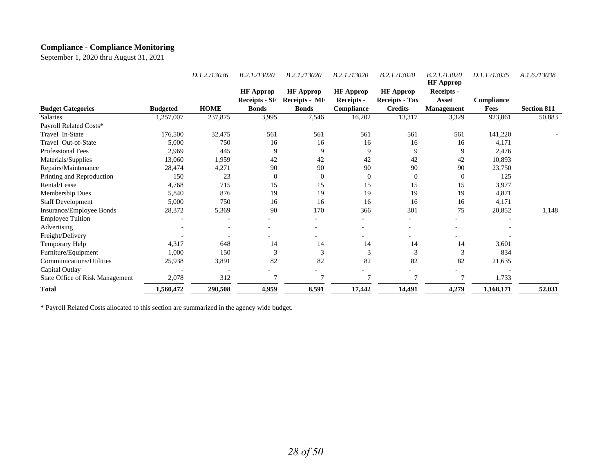# **Compliance - Compliance Monitoring**

September 1, 2020 thru August 31, 2021

|                                        |                 | D.1.2./13036 | B.2.1./13020         | B.2.1./13020         | B.2.1./13020      | B.2.1./13020          | B.2.1./13020<br><b>HF</b> Approp | D.1.1./13035 | A.1.6./13038       |
|----------------------------------------|-----------------|--------------|----------------------|----------------------|-------------------|-----------------------|----------------------------------|--------------|--------------------|
|                                        |                 |              | <b>HF</b> Approp     | <b>HF</b> Approp     | <b>HF</b> Approp  | <b>HF</b> Approp      | <b>Receipts -</b>                |              |                    |
|                                        |                 |              | <b>Receipts - SF</b> | <b>Receipts - MF</b> | Receipts -        | <b>Receipts - Tax</b> | Asset                            | Compliance   |                    |
| <b>Budget Categories</b>               | <b>Budgeted</b> | <b>HOME</b>  | <b>Bonds</b>         | <b>Bonds</b>         | <b>Compliance</b> | <b>Credits</b>        | <b>Management</b>                | Fees         | <b>Section 811</b> |
| <b>Salaries</b>                        | 1,257,007       | 237,875      | 3,995                | 7,546                | 16,202            | 13,317                | 3,329                            | 923,861      | 50,883             |
| Payroll Related Costs*                 |                 |              |                      |                      |                   |                       |                                  |              |                    |
| Travel In-State                        | 176,500         | 32,475       | 561                  | 561                  | 561               | 561                   | 561                              | 141,220      |                    |
| Travel Out-of-State                    | 5,000           | 750          | 16                   | 16                   | 16                | 16                    | 16                               | 4,171        |                    |
| Professional Fees                      | 2,969           | 445          | 9                    | 9                    | 9                 | 9                     | 9                                | 2,476        |                    |
| Materials/Supplies                     | 13,060          | 1,959        | 42                   | 42                   | 42                | 42                    | 42                               | 10,893       |                    |
| Repairs/Maintenance                    | 28,474          | 4,271        | 90                   | 90                   | 90                | 90                    | 90                               | 23,750       |                    |
| Printing and Reproduction              | 150             | 23           | $\Omega$             | $\overline{0}$       | $\Omega$          | $\overline{0}$        | $\Omega$                         | 125          |                    |
| Rental/Lease                           | 4,768           | 715          | 15                   | 15                   | 15                | 15                    | 15                               | 3,977        |                    |
| <b>Membership Dues</b>                 | 5,840           | 876          | 19                   | 19                   | 19                | 19                    | 19                               | 4,871        |                    |
| <b>Staff Development</b>               | 5,000           | 750          | 16                   | 16                   | 16                | 16                    | 16                               | 4,171        |                    |
| Insurance/Employee Bonds               | 28,372          | 5,369        | 90                   | 170                  | 366               | 301                   | 75                               | 20,852       | 1,148              |
| <b>Employee Tuition</b>                |                 |              |                      |                      |                   |                       |                                  |              |                    |
| Advertising                            |                 |              |                      |                      |                   |                       |                                  |              |                    |
| Freight/Delivery                       |                 |              |                      |                      |                   |                       |                                  |              |                    |
| Temporary Help                         | 4,317           | 648          | 14                   | 14                   | 14                | 14                    | 14                               | 3,601        |                    |
| Furniture/Equipment                    | 1,000           | 150          | 3                    | 3                    | 3                 | 3                     | 3                                | 834          |                    |
| Communications/Utilities               | 25,938          | 3,891        | 82                   | 82                   | 82                | 82                    | 82                               | 21,635       |                    |
| Capital Outlay                         |                 |              |                      |                      |                   |                       |                                  |              |                    |
| <b>State Office of Risk Management</b> | 2,078           | 312          |                      | $\overline{7}$       | 7                 |                       |                                  | 1,733        |                    |
| Total                                  | 1,560,472       | 290,508      | 4,959                | 8,591                | 17,442            | 14,491                | 4,279                            | 1,168,171    | 52,031             |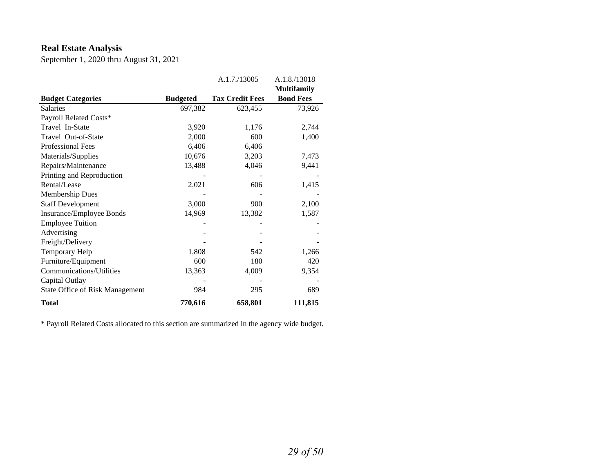# **Real Estate Analysis**

September 1, 2020 thru August 31, 2021

|                                        |                 | A.1.7./13005           | A.1.8./13018       |
|----------------------------------------|-----------------|------------------------|--------------------|
|                                        |                 |                        | <b>Multifamily</b> |
| <b>Budget Categories</b>               | <b>Budgeted</b> | <b>Tax Credit Fees</b> | <b>Bond Fees</b>   |
| <b>Salaries</b>                        | 697,382         | 623,455                | 73,926             |
| Payroll Related Costs*                 |                 |                        |                    |
| Travel In-State                        | 3,920           | 1,176                  | 2,744              |
| Travel Out-of-State                    | 2,000           | 600                    | 1,400              |
| Professional Fees                      | 6,406           | 6,406                  |                    |
| Materials/Supplies                     | 10,676          | 3,203                  | 7,473              |
| Repairs/Maintenance                    | 13,488          | 4,046                  | 9,441              |
| Printing and Reproduction              |                 |                        |                    |
| Rental/Lease                           | 2,021           | 606                    | 1,415              |
| <b>Membership Dues</b>                 |                 |                        |                    |
| <b>Staff Development</b>               | 3,000           | 900                    | 2,100              |
| Insurance/Employee Bonds               | 14,969          | 13,382                 | 1,587              |
| <b>Employee Tuition</b>                |                 |                        |                    |
| Advertising                            |                 |                        |                    |
| Freight/Delivery                       |                 |                        |                    |
| <b>Temporary Help</b>                  | 1,808           | 542                    | 1,266              |
| Furniture/Equipment                    | 600             | 180                    | 420                |
| Communications/Utilities               | 13,363          | 4,009                  | 9,354              |
| Capital Outlay                         |                 |                        |                    |
| <b>State Office of Risk Management</b> | 984             | 295                    | 689                |
| <b>Total</b>                           | 770,616         | 658,801                | 111,815            |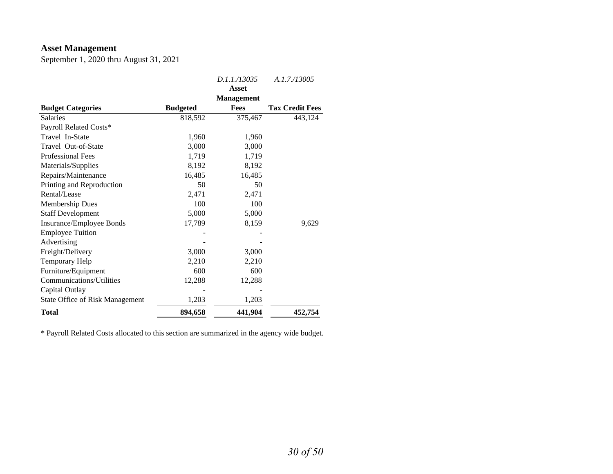# **Asset Management**

September 1, 2020 thru August 31, 2021

|                                        |                 | D.1.1./13035      | A.1.7./13005           |
|----------------------------------------|-----------------|-------------------|------------------------|
|                                        |                 | Asset             |                        |
|                                        |                 | <b>Management</b> |                        |
| <b>Budget Categories</b>               | <b>Budgeted</b> | Fees              | <b>Tax Credit Fees</b> |
| <b>Salaries</b>                        | 818,592         | 375,467           | 443,124                |
| Payroll Related Costs*                 |                 |                   |                        |
| Travel In-State                        | 1,960           | 1,960             |                        |
| Travel Out-of-State                    | 3,000           | 3,000             |                        |
| <b>Professional Fees</b>               | 1,719           | 1,719             |                        |
| Materials/Supplies                     | 8,192           | 8,192             |                        |
| Repairs/Maintenance                    | 16,485          | 16,485            |                        |
| Printing and Reproduction              | 50              | 50                |                        |
| Rental/Lease                           | 2,471           | 2,471             |                        |
| Membership Dues                        | 100             | 100               |                        |
| <b>Staff Development</b>               | 5,000           | 5,000             |                        |
| Insurance/Employee Bonds               | 17,789          | 8,159             | 9,629                  |
| <b>Employee Tuition</b>                |                 |                   |                        |
| Advertising                            |                 |                   |                        |
| Freight/Delivery                       | 3,000           | 3,000             |                        |
| <b>Temporary Help</b>                  | 2,210           | 2,210             |                        |
| Furniture/Equipment                    | 600             | 600               |                        |
| Communications/Utilities               | 12,288          | 12,288            |                        |
| Capital Outlay                         |                 |                   |                        |
| <b>State Office of Risk Management</b> | 1,203           | 1,203             |                        |
| <b>Total</b>                           | 894,658         | 441,904           | 452,754                |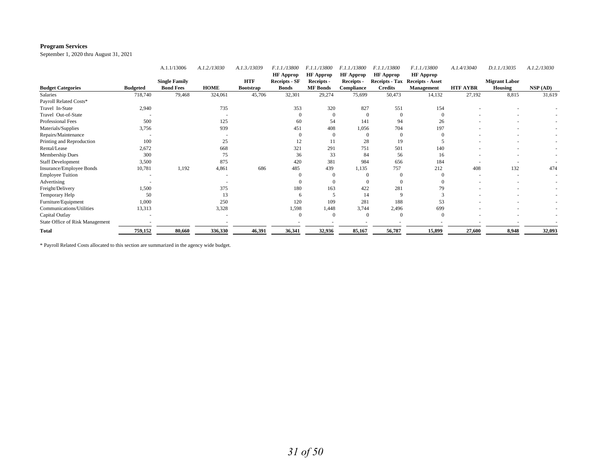#### **Program Services**

September 1, 2020 thru August 31, 2021

|                                 |                 | A.1.1/13006          | A.1.2./13030 | A.1.3./13039     | F.1.1./13800     | F.1.1./13800     | F.1.1./13800     | F.1.1./13800     | F.1.1./13800            | A.1.4/13040     | D.1.1./13035         | A.1.2./13030             |
|---------------------------------|-----------------|----------------------|--------------|------------------|------------------|------------------|------------------|------------------|-------------------------|-----------------|----------------------|--------------------------|
|                                 |                 |                      |              |                  | <b>HF Approp</b> | <b>HF</b> Approp | <b>HF</b> Approp | <b>HF</b> Approp | <b>HF Approp</b>        |                 |                      |                          |
|                                 |                 | <b>Single Family</b> |              | <b>HTF</b>       | Receipts - SF    | Receipts -       | Receipts -       | Receipts - Tax   | <b>Receipts - Asset</b> |                 | <b>Migrant Labor</b> |                          |
| <b>Budget Categories</b>        | <b>Budgeted</b> | <b>Bond Fees</b>     | <b>HOME</b>  | <b>Bootstrap</b> | <b>Bonds</b>     | <b>MF</b> Bonds  | Compliance       | <b>Credits</b>   | <b>Management</b>       | <b>HTF AYBR</b> | Housing              | $\bf{NSP}$ (AD)          |
| <b>Salaries</b>                 | 718,740         | 79,468               | 324,061      | 45,706           | 32,301           | 29,274           | 75,699           | 50,473           | 14,132                  | 27,192          | 8,815                | 31,619                   |
| Payroll Related Costs*          |                 |                      |              |                  |                  |                  |                  |                  |                         |                 |                      |                          |
| Travel In-State                 | 2,940           |                      | 735          |                  | 353              | 320              | 827              | 551              | 154                     |                 |                      |                          |
| Travel Out-of-State             |                 |                      |              |                  |                  | $\Omega$         | $\Omega$         |                  |                         |                 |                      |                          |
| <b>Professional Fees</b>        | 500             |                      | 125          |                  | 60               | 54               | 141              | 94               | 26                      |                 |                      |                          |
| Materials/Supplies              | 3,756           |                      | 939          |                  | 451              | 408              | 1,056            | 704              | 197                     |                 |                      |                          |
| Repairs/Maintenance             |                 |                      |              |                  |                  | $\Omega$         | $\Omega$         |                  |                         |                 |                      |                          |
| Printing and Reproduction       | 100             |                      | 25           |                  | 12               | 11               | 28               | 19               |                         |                 |                      |                          |
| Rental/Lease                    | 2,672           |                      | 668          |                  | 321              | 291              | 751              | 501              | 140                     |                 |                      |                          |
| Membership Dues                 | 300             |                      | 75           |                  | 36               | 33               | 84               | 56               | 16                      |                 |                      |                          |
| <b>Staff Development</b>        | 3,500           |                      | 875          |                  | 420              | 381              | 984              | 656              | 184                     | ٠               |                      |                          |
| Insurance/Employee Bonds        | 10,781          | 1,192                | 4,861        | 686              | 485              | 439              | 1,135            | 757              | 212                     | 408             | 132                  | 474                      |
| <b>Employee Tuition</b>         |                 |                      |              |                  |                  |                  | $\Omega$         |                  |                         |                 |                      |                          |
| Advertising                     |                 |                      |              |                  |                  | $\Omega$         | $\Omega$         |                  |                         |                 |                      | $\overline{\phantom{a}}$ |
| Freight/Delivery                | 1,500           |                      | 375          |                  | 180              | 163              | 422              | 281              | 79                      |                 |                      |                          |
| Temporary Help                  | 50              |                      | 13           |                  | 6                |                  | 14               |                  |                         |                 |                      |                          |
| Furniture/Equipment             | 1,000           |                      | 250          |                  | 120              | 109              | 281              | 188              | 53                      |                 |                      |                          |
| Communications/Utilities        | 13,313          |                      | 3,328        |                  | 1,598            | 1,448            | 3,744            | 2,496            | 699                     |                 |                      |                          |
| Capital Outlay                  |                 |                      |              |                  | $\Omega$         | $\Omega$         | $\Omega$         |                  |                         |                 |                      |                          |
| State Office of Risk Management |                 |                      |              |                  |                  |                  |                  |                  |                         |                 |                      |                          |
| Total                           | 759,152         | 80,660               | 336,330      | 46,391           | 36,341           | 32,936           | 85,167           | 56,787           | 15,899                  | 27,600          | 8,948                | 32,093                   |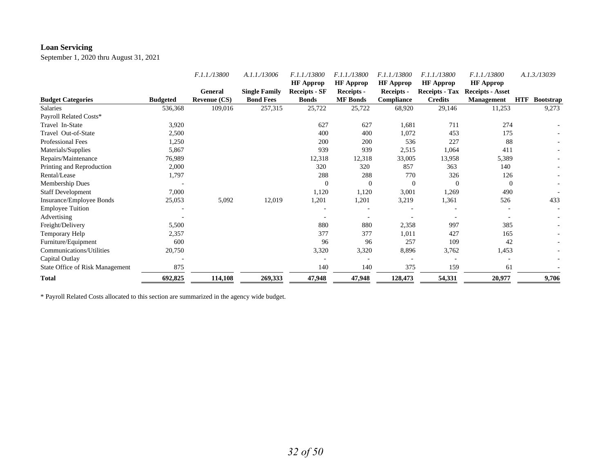### **Loan Servicing**

September 1, 2020 thru August 31, 2021

|                                 |                 | F.1.1./13800                   | A.1.1./13006                             | F.1.1./13800                         | F.1.1./13800                  | F.1.1./13800             | F.1.1./13800                            | F.1.1./13800            | A.1.3./13039     |
|---------------------------------|-----------------|--------------------------------|------------------------------------------|--------------------------------------|-------------------------------|--------------------------|-----------------------------------------|-------------------------|------------------|
|                                 |                 |                                |                                          | <b>HF</b> Approp                     | <b>HF</b> Approp              | <b>HF</b> Approp         | <b>HF</b> Approp                        | <b>HF</b> Approp        |                  |
| <b>Budget Categories</b>        |                 | General<br><b>Revenue (CS)</b> | <b>Single Family</b><br><b>Bond Fees</b> | <b>Receipts - SF</b><br><b>Bonds</b> | Receipts -<br><b>MF</b> Bonds | Receipts -<br>Compliance | <b>Receipts - Tax</b><br><b>Credits</b> | <b>Receipts - Asset</b> | <b>HTF</b>       |
|                                 | <b>Budgeted</b> |                                |                                          |                                      |                               |                          |                                         | <b>Management</b>       | <b>Bootstrap</b> |
| <b>Salaries</b>                 | 536,368         | 109,016                        | 257,315                                  | 25,722                               | 25,722                        | 68,920                   | 29,146                                  | 11,253                  | 9,273            |
| Payroll Related Costs*          |                 |                                |                                          |                                      |                               |                          |                                         |                         |                  |
| Travel In-State                 | 3,920           |                                |                                          | 627                                  | 627                           | 1,681                    | 711                                     | 274                     |                  |
| Travel Out-of-State             | 2,500           |                                |                                          | 400                                  | 400                           | 1,072                    | 453                                     | 175                     |                  |
| <b>Professional Fees</b>        | 1,250           |                                |                                          | 200                                  | 200                           | 536                      | 227                                     | 88                      |                  |
| Materials/Supplies              | 5,867           |                                |                                          | 939                                  | 939                           | 2,515                    | 1,064                                   | 411                     |                  |
| Repairs/Maintenance             | 76,989          |                                |                                          | 12,318                               | 12,318                        | 33,005                   | 13,958                                  | 5,389                   |                  |
| Printing and Reproduction       | 2,000           |                                |                                          | 320                                  | 320                           | 857                      | 363                                     | 140                     |                  |
| Rental/Lease                    | 1,797           |                                |                                          | 288                                  | 288                           | 770                      | 326                                     | 126                     |                  |
| Membership Dues                 |                 |                                |                                          | 0                                    | $\Omega$                      | $\theta$                 |                                         | $\Omega$                |                  |
| <b>Staff Development</b>        | 7,000           |                                |                                          | 1,120                                | 1,120                         | 3,001                    | 1,269                                   | 490                     |                  |
| Insurance/Employee Bonds        | 25,053          | 5,092                          | 12,019                                   | 1,201                                | 1,201                         | 3,219                    | 1,361                                   | 526                     | 433              |
| <b>Employee Tuition</b>         |                 |                                |                                          |                                      |                               |                          |                                         |                         |                  |
| Advertising                     |                 |                                |                                          |                                      |                               |                          |                                         |                         |                  |
| Freight/Delivery                | 5,500           |                                |                                          | 880                                  | 880                           | 2,358                    | 997                                     | 385                     |                  |
| Temporary Help                  | 2,357           |                                |                                          | 377                                  | 377                           | 1,011                    | 427                                     | 165                     |                  |
| Furniture/Equipment             | 600             |                                |                                          | 96                                   | 96                            | 257                      | 109                                     | 42                      |                  |
| Communications/Utilities        | 20,750          |                                |                                          | 3,320                                | 3,320                         | 8,896                    | 3,762                                   | 1,453                   |                  |
| Capital Outlay                  |                 |                                |                                          |                                      |                               |                          |                                         |                         |                  |
| State Office of Risk Management | 875             |                                |                                          | 140                                  | 140                           | 375                      | 159                                     | 61                      |                  |
| <b>Total</b>                    | 692,825         | 114,108                        | 269,333                                  | 47,948                               | 47,948                        | 128,473                  | 54,331                                  | 20,977                  | 9,706            |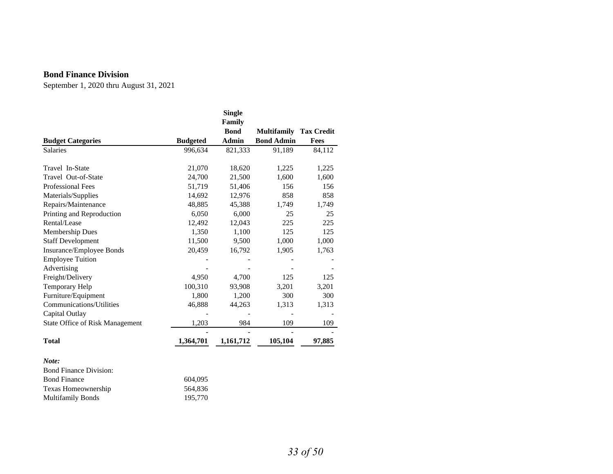#### **Bond Finance Division**

September 1, 2020 thru August 31, 2021

|                                        |                 | <b>Single</b> |                               |        |
|----------------------------------------|-----------------|---------------|-------------------------------|--------|
|                                        |                 | Family        |                               |        |
|                                        |                 | <b>Bond</b>   | <b>Multifamily Tax Credit</b> |        |
| <b>Budget Categories</b>               | <b>Budgeted</b> | <b>Admin</b>  | <b>Bond Admin</b>             | Fees   |
| <b>Salaries</b>                        | 996,634         | 821,333       | 91,189                        | 84,112 |
| Travel In-State                        | 21,070          | 18,620        | 1,225                         | 1,225  |
| Travel Out-of-State                    | 24,700          | 21,500        | 1,600                         | 1,600  |
| <b>Professional Fees</b>               | 51,719          | 51,406        | 156                           | 156    |
| Materials/Supplies                     | 14,692          | 12,976        | 858                           | 858    |
| Repairs/Maintenance                    | 48,885          | 45,388        | 1,749                         | 1,749  |
| Printing and Reproduction              | 6,050           | 6,000         | 25                            | 25     |
| Rental/Lease                           | 12,492          | 12,043        | 225                           | 225    |
| Membership Dues                        | 1,350           | 1,100         | 125                           | 125    |
| <b>Staff Development</b>               | 11,500          | 9,500         | 1,000                         | 1,000  |
| Insurance/Employee Bonds               | 20,459          | 16,792        | 1,905                         | 1,763  |
| <b>Employee Tuition</b>                |                 |               |                               |        |
| Advertising                            |                 |               |                               |        |
| Freight/Delivery                       | 4,950           | 4,700         | 125                           | 125    |
| Temporary Help                         | 100,310         | 93,908        | 3,201                         | 3,201  |
| Furniture/Equipment                    | 1,800           | 1,200         | 300                           | 300    |
| Communications/Utilities               | 46,888          | 44,263        | 1,313                         | 1,313  |
| Capital Outlay                         |                 |               |                               |        |
| <b>State Office of Risk Management</b> | 1,203           | 984           | 109                           | 109    |
| <b>Total</b>                           | 1,364,701       | 1,161,712     | 105,104                       | 97,885 |
| Note:                                  |                 |               |                               |        |
| <b>Bond Finance Division:</b>          |                 |               |                               |        |
| <b>Bond Finance</b>                    | 604,095         |               |                               |        |
| $\cdot$                                | 5.102           |               |                               |        |

Texas Homeownership 564,836<br>Multifamily Bonds 195,770 Multifamily Bonds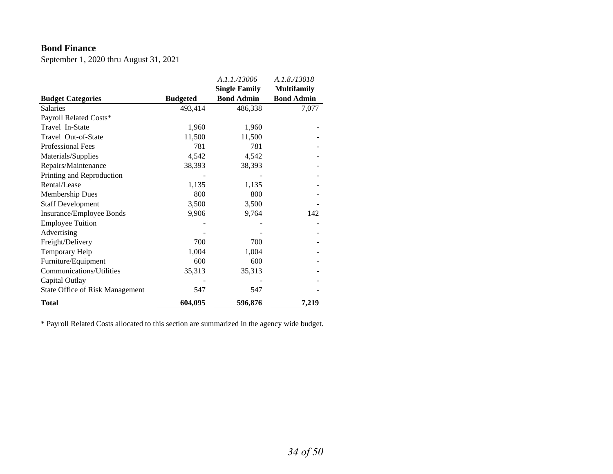#### **Bond Finance**

September 1, 2020 thru August 31, 2021

|                                        |                 | A.1.1./13006         | A.1.8./13018       |
|----------------------------------------|-----------------|----------------------|--------------------|
|                                        |                 | <b>Single Family</b> | <b>Multifamily</b> |
| <b>Budget Categories</b>               | <b>Budgeted</b> | <b>Bond Admin</b>    | <b>Bond Admin</b>  |
| <b>Salaries</b>                        | 493,414         | 486,338              | 7,077              |
| Payroll Related Costs*                 |                 |                      |                    |
| Travel In-State                        | 1,960           | 1,960                |                    |
| Travel Out-of-State                    | 11,500          | 11,500               |                    |
| <b>Professional Fees</b>               | 781             | 781                  |                    |
| Materials/Supplies                     | 4,542           | 4,542                |                    |
| Repairs/Maintenance                    | 38,393          | 38,393               |                    |
| Printing and Reproduction              |                 |                      |                    |
| Rental/Lease                           | 1,135           | 1,135                |                    |
| <b>Membership Dues</b>                 | 800             | 800                  |                    |
| <b>Staff Development</b>               | 3,500           | 3,500                |                    |
| Insurance/Employee Bonds               | 9,906           | 9,764                | 142                |
| <b>Employee Tuition</b>                |                 |                      |                    |
| Advertising                            |                 |                      |                    |
| Freight/Delivery                       | 700             | 700                  |                    |
| <b>Temporary Help</b>                  | 1,004           | 1,004                |                    |
| Furniture/Equipment                    | 600             | 600                  |                    |
| Communications/Utilities               | 35,313          | 35,313               |                    |
| Capital Outlay                         |                 |                      |                    |
| <b>State Office of Risk Management</b> | 547             | 547                  |                    |
| <b>Total</b>                           | 604,095         | 596,876              | 7,219              |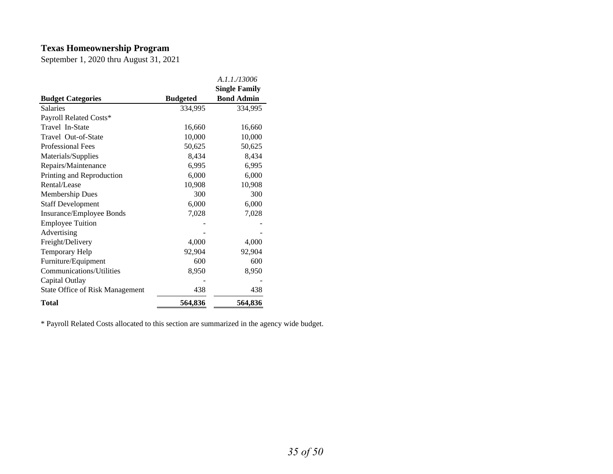# **Texas Homeownership Program**

September 1, 2020 thru August 31, 2021

|                                        |                 | A. L. L./13006       |
|----------------------------------------|-----------------|----------------------|
|                                        |                 | <b>Single Family</b> |
| <b>Budget Categories</b>               | <b>Budgeted</b> | <b>Bond Admin</b>    |
| <b>Salaries</b>                        | 334,995         | 334,995              |
| Payroll Related Costs*                 |                 |                      |
| Travel In-State                        | 16,660          | 16,660               |
| Travel Out-of-State                    | 10,000          | 10,000               |
| <b>Professional Fees</b>               | 50,625          | 50,625               |
| Materials/Supplies                     | 8,434           | 8,434                |
| Repairs/Maintenance                    | 6,995           | 6,995                |
| Printing and Reproduction              | 6,000           | 6,000                |
| Rental/Lease                           | 10,908          | 10,908               |
| <b>Membership Dues</b>                 | 300             | 300                  |
| <b>Staff Development</b>               | 6,000           | 6,000                |
| Insurance/Employee Bonds               | 7,028           | 7,028                |
| <b>Employee Tuition</b>                |                 |                      |
| Advertising                            |                 |                      |
| Freight/Delivery                       | 4,000           | 4,000                |
| Temporary Help                         | 92,904          | 92,904               |
| Furniture/Equipment                    | 600             | 600                  |
| Communications/Utilities               | 8,950           | 8,950                |
| Capital Outlay                         |                 |                      |
| <b>State Office of Risk Management</b> | 438             | 438                  |
| Total                                  | 564,836         | 564,836              |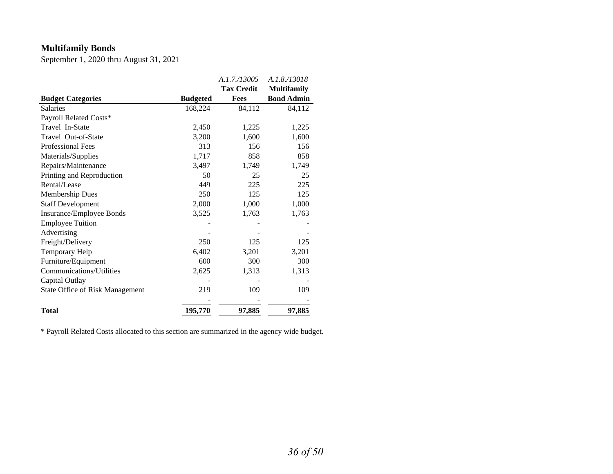# **Multifamily Bonds**

September 1, 2020 thru August 31, 2021

|                                        |                 | A.1.7./13005      | A.1.8./13018       |
|----------------------------------------|-----------------|-------------------|--------------------|
|                                        |                 | <b>Tax Credit</b> | <b>Multifamily</b> |
| <b>Budget Categories</b>               | <b>Budgeted</b> | <b>Fees</b>       | <b>Bond Admin</b>  |
| <b>Salaries</b>                        | 168,224         | 84,112            | 84,112             |
| Payroll Related Costs*                 |                 |                   |                    |
| Travel In-State                        | 2,450           | 1,225             | 1,225              |
| Travel Out-of-State                    | 3,200           | 1,600             | 1,600              |
| <b>Professional Fees</b>               | 313             | 156               | 156                |
| Materials/Supplies                     | 1,717           | 858               | 858                |
| Repairs/Maintenance                    | 3,497           | 1,749             | 1,749              |
| Printing and Reproduction              | 50              | 25                | 25                 |
| Rental/Lease                           | 449             | 225               | 225                |
| <b>Membership Dues</b>                 | 250             | 125               | 125                |
| <b>Staff Development</b>               | 2,000           | 1,000             | 1,000              |
| Insurance/Employee Bonds               | 3,525           | 1,763             | 1,763              |
| <b>Employee Tuition</b>                |                 |                   |                    |
| Advertising                            |                 |                   |                    |
| Freight/Delivery                       | 250             | 125               | 125                |
| <b>Temporary Help</b>                  | 6,402           | 3,201             | 3,201              |
| Furniture/Equipment                    | 600             | 300               | 300                |
| Communications/Utilities               | 2,625           | 1,313             | 1,313              |
| Capital Outlay                         |                 |                   |                    |
| <b>State Office of Risk Management</b> | 219             | 109               | 109                |
|                                        |                 |                   |                    |
| Total                                  | 195,770         | 97,885            | 97,885             |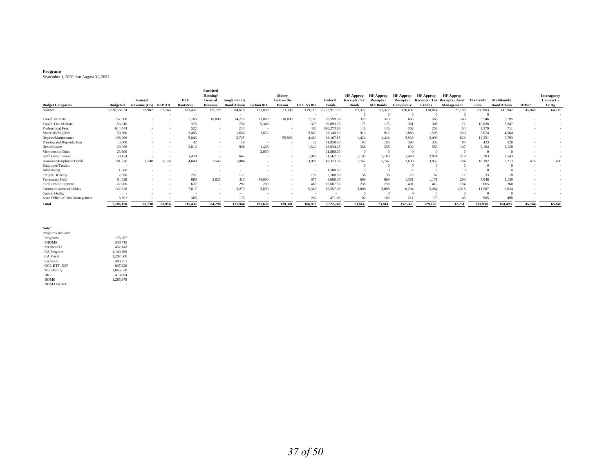#### **Programs**

September 1, 2020 thru August 31, 2021

|                                 |                 |              |        |                  | <b>Enriched</b> |                      |                    |                    |                 |              |                  |                  |                  |                  |                                 |                   |                   |             |             |
|---------------------------------|-----------------|--------------|--------|------------------|-----------------|----------------------|--------------------|--------------------|-----------------|--------------|------------------|------------------|------------------|------------------|---------------------------------|-------------------|-------------------|-------------|-------------|
|                                 |                 |              |        |                  | Housing/        |                      |                    | Money              |                 |              | <b>HF Approp</b> | <b>HF Approp</b> | <b>HF Approp</b> | <b>HF Approp</b> | <b>HF Approp</b>                |                   |                   |             | Interagency |
|                                 |                 | General      |        | <b>HTF</b>       | General         | <b>Single Family</b> |                    | <b>Follows</b> the |                 | Federal      | Receipts - SF    | Receipts -       | Receipts -       |                  | Receipts - Tax Receipts - Asset | <b>Tax Credit</b> | Multifamily       |             | Contract /  |
| <b>Budget Categories</b>        | <b>Budgeted</b> | Revenue (CS) | NSP AD | <b>Bootstrap</b> | Revenue         | <b>Bond Admin</b>    | <b>Section 811</b> | Person             | <b>HTF AYBR</b> | Funds        | <b>Bonds</b>     | <b>MF</b> Bonds  | Compliance       | <b>Credits</b>   | Management                      | Fees              | <b>Bond Admin</b> | <b>HHSP</b> | Tx Ag       |
| <b>Salaries</b>                 | 5,736,558.24    | 78.982       | 52,740 | 181,437          | 69.729          | 84,618               | 121,898            | 73,398             | 139,113         | 2,722,911.20 | 63.322           | 63.322           | 130,602          | 110,814          | 27,703                          | 756,803           | 146,942           | 45,068      | 64,219      |
|                                 |                 |              |        |                  |                 |                      |                    |                    |                 |              |                  |                  |                  |                  |                                 |                   |                   |             |             |
| Travel In-State                 | 157,960         |              |        | 7,105            | 10,000          | 14,210               | 11,000             | 10,000             | 7,105           | 79,599.38    | 320              | 320              | 660              | 560              | 140                             | 3,746             | 3,195             |             |             |
| Travel Out-of-State             | 53,910          |              |        | 375              |                 | 750                  | 5,348              |                    | 375             | 30,093.75    | 175              | 175              | 361              | 306              | 77                              | 10,628            | 5.247             |             |             |
| Professional Fees               | 614,444         |              |        | 522              |                 | 244                  | . .                |                    | 400             | 610,273.83   | 146              | 146              | 302              | 256              | 64                              | 1,379             | 711               |             |             |
| Materials/Supplies              | 50,660          |              |        | 3.495            |                 | 1,630                | 1,872              |                    | 2,680           | 23,149.50    | 912              | 912              | 1.880            | 1,595            | 399                             | 7.074             | 4.564             |             |             |
| Repairs/Maintenance             | 136,066         |              |        | 5.843            |                 | 2,725                | <b>.</b>           | 55,903             | 4.480           | 38,167.85    | 1,424            | 1.424            | 2,938            | 2,493            | 623                             | 12,251            | 7.793             |             |             |
| Printing and Reproduction       | 13,800          |              |        | 42               |                 | 19                   |                    |                    | 32              | 11,850.00    | 193              | 193              | 398              | 338              | 84                              | 423               | 228               |             |             |
| Rental/Lease                    | 29,936          |              |        | 2,012            |                 | 938                  | 1,428              |                    | 1,542           | 18,634.25    | 336              | 336              | 692              | 587              | 147                             | 2,164             | .120              |             |             |
| Membership Dues                 | 23,800          |              |        |                  |                 |                      | 2,000              |                    |                 | 21,800.00    | $\Omega$         |                  |                  |                  | $\Omega$                        | $\Omega$          |                   |             |             |
| <b>Staff Development</b>        | 50,454          |              |        | 1.420            |                 | 662                  | . .                |                    | 1.089           | 31,562.50    | 1,183            | 1.183            | 2,440            | 2,071            | 518                             | 5.783             | 2,543             |             |             |
| Insurance/Employee Bonds        | 101,576         | 1.748        | 1,174  | 4.040            | 1,543           | 1,884                |                    |                    | 3,098           | 43,323.39    | 1,747            | 1,747            | 3,603            | 3,057            | 764                             | 16,382            | 3,213             | 676         | 1,430       |
| <b>Employee Tuition</b>         |                 |              |        |                  |                 |                      |                    |                    |                 |              |                  |                  |                  |                  |                                 |                   |                   |             |             |
| Advertising                     | 1,500           |              |        |                  |                 |                      |                    |                    |                 | 1,500.00     |                  |                  |                  |                  |                                 |                   |                   |             |             |
| Freight/Delivery                | 2,950           |              |        | 251              |                 | 117                  |                    |                    | 192             | 2,100.00     | 38               | 38               |                  | 67               |                                 | 33                |                   |             |             |
| Temporary Help                  | 64,428          |              |        | 880              | 3.025           | 410                  | 44,000             |                    | 675             | 5.066.37     | 669              | 669              | 1,381            | 1,171            | 293                             | 4.048             | 2.139             |             |             |
| Furniture/Equipment             | 22,200          |              |        | 627              |                 | 292                  | 200                |                    | 480             | 15,687.50    | 238              | 238              | 491              | 417              | 104                             | 665               | 260               |             |             |
| Communications/Utilities        | 122,528         |              |        | 7.017            |                 | 3,273                | 3,890              |                    | 5,380           | 66,557.03    | 3.008            | 3.008            | 6,204            | 5,264            | 1,316                           | 11,587            | 6.024             |             |             |
| Capital Outlay                  |                 |              |        |                  |                 |                      |                    |                    |                 | $\sim$       |                  |                  |                  |                  |                                 |                   |                   |             |             |
| State Office of Risk Management | 3,391           |              |        | 365              |                 | 170                  |                    |                    | 280             | 471.68       | 102              | 102              | 211              | 179              | 45                              | 965               | 498               |             |             |
| Total                           | 7,186,160       | 80,730       | 53,914 | 215,432          | 84,298          | 111,944              | 191,636            | 139,301            | 166,923         | 3,722,748    | 73.814           | 73,814           | 152,242          | 129,175          | 32,294                          | 833,930           | 184,493           | 45,744      | 65,649      |

*Note:* Programs Includes: Programs 175,957 FHDMR 330,713 Section 811 432,142<br>
CA Program 1,149,569<br>
CCI, HTF, NSP 440,251<br>
OCI, HTF, NSP 449,326<br>
OCI, HTF, NSP 1,066,630<br>
Multifamily 1,066,630<br>
HRC 1,285,878<br>
HHSI Director 1,285,878<br>
HRSI Director

 $\sim$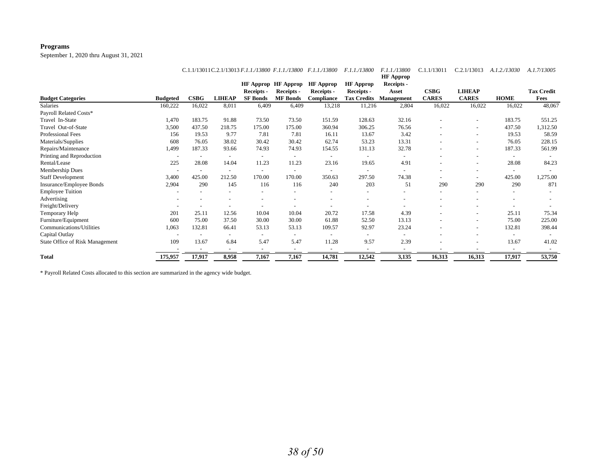#### **Programs**

September 1, 2020 thru August 31, 2021

|                                 |                 |        |                          | C.1.1/13011C.2.1/13013 F.1.1./13800 F.1.1./13800 |                            | <i>F.I.I./13800</i>      | <i>F.1.1./13800</i>      | <i>F.1.1./13800</i> | C.1.1/13011  | C.2.1/13013              | A.1.2./13030 | A.1.7/13005       |
|---------------------------------|-----------------|--------|--------------------------|--------------------------------------------------|----------------------------|--------------------------|--------------------------|---------------------|--------------|--------------------------|--------------|-------------------|
|                                 |                 |        |                          |                                                  |                            |                          |                          | <b>HF</b> Approp    |              |                          |              |                   |
|                                 |                 |        |                          |                                                  | <b>HF Approp</b> HF Approp | <b>HF</b> Approp         | <b>HF</b> Approp         | Receipts -          |              |                          |              |                   |
|                                 |                 |        |                          | Receipts -                                       | Receipts -                 | Receipts -               | Receipts -               | Asset               | $\bf CSBG$   | <b>LIHEAP</b>            |              | <b>Tax Credit</b> |
| <b>Budget Categories</b>        | <b>Budgeted</b> | CSBG   | <b>LIHEAP</b>            | <b>SF Bonds</b>                                  | <b>MF</b> Bonds            | Compliance               | <b>Tax Credits</b>       | <b>Management</b>   | <b>CARES</b> | <b>CARES</b>             | <b>HOME</b>  | Fees              |
| <b>Salaries</b>                 | 160,222         | 16,022 | 8,011                    | 6,409                                            | 6,409                      | 13,218                   | 11,216                   | 2,804               | 16,022       | 16,022                   | 16,022       | 48,067            |
| Payroll Related Costs*          |                 |        |                          |                                                  |                            |                          |                          |                     |              |                          |              |                   |
| Travel In-State                 | 1,470           | 183.75 | 91.88                    | 73.50                                            | 73.50                      | 151.59                   | 128.63                   | 32.16               |              |                          | 183.75       | 551.25            |
| Travel Out-of-State             | 3,500           | 437.50 | 218.75                   | 175.00                                           | 175.00                     | 360.94                   | 306.25                   | 76.56               |              |                          | 437.50       | 1,312.50          |
| Professional Fees               | 156             | 19.53  | 9.77                     | 7.81                                             | 7.81                       | 16.11                    | 13.67                    | 3.42                |              | $\overline{\phantom{a}}$ | 19.53        | 58.59             |
| Materials/Supplies              | 608             | 76.05  | 38.02                    | 30.42                                            | 30.42                      | 62.74                    | 53.23                    | 13.31               |              | $\overline{\phantom{a}}$ | 76.05        | 228.15            |
| Repairs/Maintenance             | 1,499           | 187.33 | 93.66                    | 74.93                                            | 74.93                      | 154.55                   | 131.13                   | 32.78               |              |                          | 187.33       | 561.99            |
| Printing and Reproduction       |                 |        | $\overline{\phantom{a}}$ |                                                  |                            | $\overline{\phantom{a}}$ |                          |                     |              |                          |              |                   |
| Rental/Lease                    | 225             | 28.08  | 14.04                    | 11.23                                            | 11.23                      | 23.16                    | 19.65                    | 4.91                |              | $\overline{\phantom{a}}$ | 28.08        | 84.23             |
| Membership Dues                 |                 |        |                          |                                                  |                            |                          |                          |                     |              |                          |              |                   |
| <b>Staff Development</b>        | 3,400           | 425.00 | 212.50                   | 170.00                                           | 170.00                     | 350.63                   | 297.50                   | 74.38               |              |                          | 425.00       | 1,275.00          |
| Insurance/Employee Bonds        | 2,904           | 290    | 145                      | 116                                              | 116                        | 240                      | 203                      | 51                  | 290          | 290                      | 290          | 871               |
| <b>Employee Tuition</b>         |                 |        |                          |                                                  |                            |                          |                          |                     |              |                          |              |                   |
| Advertising                     |                 |        |                          |                                                  |                            |                          |                          |                     |              |                          |              |                   |
| Freight/Delivery                |                 |        |                          |                                                  |                            |                          |                          |                     |              |                          |              |                   |
| Temporary Help                  | 201             | 25.11  | 12.56                    | 10.04                                            | 10.04                      | 20.72                    | 17.58                    | 4.39                |              |                          | 25.11        | 75.34             |
| Furniture/Equipment             | 600             | 75.00  | 37.50                    | 30.00                                            | 30.00                      | 61.88                    | 52.50                    | 13.13               |              |                          | 75.00        | 225.00            |
| Communications/Utilities        | 1,063           | 132.81 | 66.41                    | 53.13                                            | 53.13                      | 109.57                   | 92.97                    | 23.24               |              | $\overline{\phantom{a}}$ | 132.81       | 398.44            |
| Capital Outlay                  |                 |        |                          |                                                  |                            |                          | $\overline{\phantom{a}}$ |                     |              |                          |              |                   |
| State Office of Risk Management | 109             | 13.67  | 6.84                     | 5.47                                             | 5.47                       | 11.28                    | 9.57                     | 2.39                |              |                          | 13.67        | 41.02             |
|                                 |                 |        |                          |                                                  |                            |                          |                          |                     |              |                          |              |                   |
| <b>Total</b>                    | 175,957         | 17,917 | 8,958                    | 7,167                                            | 7,167                      | 14,781                   | 12,542                   | 3,135               | 16,313       | 16,313                   | 17,917       | 53,750            |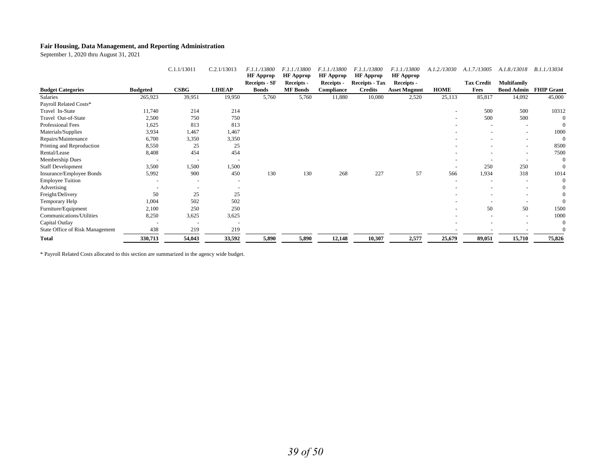#### **Fair Housing, Data Management, and Reporting Administration**

September 1, 2020 thru August 31, 2021

|                                 |                 | C.1.1/13011              | C.2.1/13013              | F.1.1./13800     | F.1.1./13800     | F.1.1./13800     | F.1.1./13800          | F.1.1./13800        | A.1.2./13030 | A.1.7./13005      | A.1.8./13018             | B.1.1./13034                 |
|---------------------------------|-----------------|--------------------------|--------------------------|------------------|------------------|------------------|-----------------------|---------------------|--------------|-------------------|--------------------------|------------------------------|
|                                 |                 |                          |                          | <b>HF Approp</b> | <b>HF</b> Approp | <b>HF Approp</b> | <b>HF Approp</b>      | <b>HF Approp</b>    |              |                   |                          |                              |
|                                 |                 |                          |                          | Receipts - SF    | Receipts -       | Receipts -       | <b>Receipts - Tax</b> | Receipts -          |              | <b>Tax Credit</b> | <b>Multifamily</b>       |                              |
| <b>Budget Categories</b>        | <b>Budgeted</b> | $\bf CSBG$               | <b>LIHEAP</b>            | <b>Bonds</b>     | <b>MF</b> Bonds  | Compliance       | <b>Credits</b>        | <b>Asset Mngmnt</b> | <b>HOME</b>  | Fees              |                          | <b>Bond Admin FHIP Grant</b> |
| <b>Salaries</b>                 | 265,923         | 39,951                   | 19,950                   | 5,760            | 5,760            | 11,880           | 10,080                | 2,520               | 25,113       | 85,817            | 14,092                   | 45,000                       |
| Payroll Related Costs*          |                 |                          |                          |                  |                  |                  |                       |                     |              |                   |                          |                              |
| Travel In-State                 | 11,740          | 214                      | 214                      |                  |                  |                  |                       |                     |              | 500               | 500                      | 10312                        |
| Travel Out-of-State             | 2,500           | 750                      | 750                      |                  |                  |                  |                       |                     |              | 500               | 500                      |                              |
| <b>Professional Fees</b>        | 1,625           | 813                      | 813                      |                  |                  |                  |                       |                     |              |                   |                          |                              |
| Materials/Supplies              | 3,934           | 1,467                    | 1,467                    |                  |                  |                  |                       |                     |              |                   |                          | 1000                         |
| Repairs/Maintenance             | 6,700           | 3,350                    | 3,350                    |                  |                  |                  |                       |                     |              |                   | $\overline{\phantom{0}}$ |                              |
| Printing and Reproduction       | 8,550           | 25                       | 25                       |                  |                  |                  |                       |                     |              |                   |                          | 8500                         |
| Rental/Lease                    | 8,408           | 454                      | 454                      |                  |                  |                  |                       |                     |              |                   | $\overline{\phantom{0}}$ | 7500                         |
| Membership Dues                 |                 | $\overline{\phantom{a}}$ | $\overline{\phantom{a}}$ |                  |                  |                  |                       |                     |              |                   |                          |                              |
| <b>Staff Development</b>        | 3,500           | 1,500                    | 1,500                    |                  |                  |                  |                       |                     |              | 250               | 250                      |                              |
| Insurance/Employee Bonds        | 5,992           | 900                      | 450                      | 130              | 130              | 268              | 227                   | 57                  | 566          | 1,934             | 318                      | 1014                         |
| <b>Employee Tuition</b>         |                 | $\overline{\phantom{a}}$ |                          |                  |                  |                  |                       |                     |              |                   |                          |                              |
| Advertising                     |                 |                          |                          |                  |                  |                  |                       |                     |              |                   |                          |                              |
| Freight/Delivery                | 50              | 25                       | 25                       |                  |                  |                  |                       |                     |              |                   |                          |                              |
| Temporary Help                  | 1,004           | 502                      | 502                      |                  |                  |                  |                       |                     |              |                   | $\overline{\phantom{a}}$ |                              |
| Furniture/Equipment             | 2,100           | 250                      | 250                      |                  |                  |                  |                       |                     |              | 50                | 50                       | 1500                         |
| Communications/Utilities        | 8,250           | 3,625                    | 3,625                    |                  |                  |                  |                       |                     |              |                   | $\overline{\phantom{a}}$ | 1000                         |
| Capital Outlay                  |                 | $\overline{\phantom{a}}$ | $\overline{\phantom{a}}$ |                  |                  |                  |                       |                     |              |                   |                          |                              |
| State Office of Risk Management | 438             | 219                      | 219                      |                  |                  |                  |                       |                     |              |                   |                          |                              |
| <b>Total</b>                    | 330,713         | 54,043                   | 33,592                   | 5,890            | 5,890            | 12,148           | 10,307                | 2,577               | 25,679       | 89,051            | 15,710                   | 75,826                       |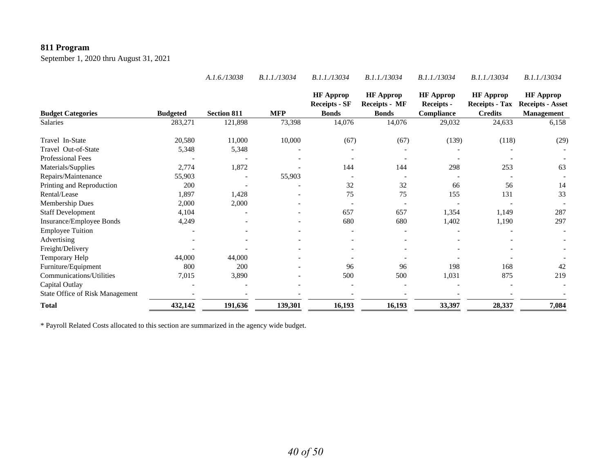# **811 Program**

September 1, 2020 thru August 31, 2021

|                                 |                 | A.1.6./13038       | B.1.1./13034 | B.1.1./13034                                             | B.1.1./13034                                             | B.1.1./13034                                        | B.1.1./13034                                                | B.1.1./13034                                                     |
|---------------------------------|-----------------|--------------------|--------------|----------------------------------------------------------|----------------------------------------------------------|-----------------------------------------------------|-------------------------------------------------------------|------------------------------------------------------------------|
| <b>Budget Categories</b>        | <b>Budgeted</b> | <b>Section 811</b> | <b>MFP</b>   | <b>HF Approp</b><br><b>Receipts - SF</b><br><b>Bonds</b> | <b>HF</b> Approp<br><b>Receipts - MF</b><br><b>Bonds</b> | <b>HF</b> Approp<br><b>Receipts -</b><br>Compliance | <b>HF</b> Approp<br><b>Receipts - Tax</b><br><b>Credits</b> | <b>HF</b> Approp<br><b>Receipts - Asset</b><br><b>Management</b> |
| Salaries                        | 283,271         | 121,898            | 73,398       | 14,076                                                   | 14,076                                                   | 29,032                                              | 24,633                                                      | 6,158                                                            |
| Travel In-State                 | 20,580          | 11,000             | 10,000       | (67)                                                     | (67)                                                     | (139)                                               | (118)                                                       | (29)                                                             |
| Travel Out-of-State             | 5,348           | 5,348              |              |                                                          |                                                          |                                                     |                                                             |                                                                  |
| <b>Professional Fees</b>        |                 |                    |              |                                                          |                                                          |                                                     |                                                             |                                                                  |
| Materials/Supplies              | 2,774           | 1,872              |              | 144                                                      | 144                                                      | 298                                                 | 253                                                         | 63                                                               |
| Repairs/Maintenance             | 55,903          |                    | 55,903       |                                                          |                                                          |                                                     |                                                             |                                                                  |
| Printing and Reproduction       | 200             |                    |              | 32                                                       | 32                                                       | 66                                                  | 56                                                          | 14                                                               |
| Rental/Lease                    | 1,897           | 1,428              |              | 75                                                       | 75                                                       | 155                                                 | 131                                                         | 33                                                               |
| <b>Membership Dues</b>          | 2,000           | 2,000              |              |                                                          |                                                          |                                                     |                                                             |                                                                  |
| <b>Staff Development</b>        | 4,104           |                    |              | 657                                                      | 657                                                      | 1,354                                               | 1,149                                                       | 287                                                              |
| Insurance/Employee Bonds        | 4,249           |                    |              | 680                                                      | 680                                                      | 1,402                                               | 1,190                                                       | 297                                                              |
| <b>Employee Tuition</b>         |                 |                    |              |                                                          |                                                          |                                                     |                                                             |                                                                  |
| Advertising                     |                 |                    |              |                                                          |                                                          |                                                     |                                                             |                                                                  |
| Freight/Delivery                |                 |                    |              |                                                          |                                                          |                                                     |                                                             |                                                                  |
| Temporary Help                  | 44,000          | 44,000             |              |                                                          |                                                          |                                                     |                                                             |                                                                  |
| Furniture/Equipment             | 800             | 200                |              | 96                                                       | 96                                                       | 198                                                 | 168                                                         | 42                                                               |
| Communications/Utilities        | 7,015           | 3,890              |              | 500                                                      | 500                                                      | 1,031                                               | 875                                                         | 219                                                              |
| Capital Outlay                  |                 |                    |              |                                                          |                                                          |                                                     |                                                             |                                                                  |
| State Office of Risk Management |                 |                    |              |                                                          |                                                          |                                                     |                                                             |                                                                  |
| <b>Total</b>                    | 432,142         | 191,636            | 139,301      | 16,193                                                   | 16,193                                                   | 33,397                                              | 28,337                                                      | 7,084                                                            |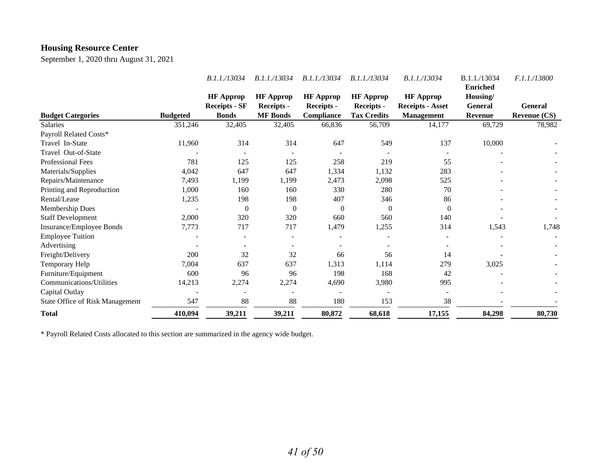#### **Housing Resource Center**

September 1, 2020 thru August 31, 2021

|                                        |                 | B.1.1./13034                             | B.1.1./13034                          | B.1.1./13034                          | B.1.1./13034                          | B.1.1./13034                                | B.1.1./13034<br><b>Enriched</b> | F.1.1./13800        |
|----------------------------------------|-----------------|------------------------------------------|---------------------------------------|---------------------------------------|---------------------------------------|---------------------------------------------|---------------------------------|---------------------|
|                                        |                 | <b>HF</b> Approp<br><b>Receipts - SF</b> | <b>HF Approp</b><br><b>Receipts -</b> | <b>HF</b> Approp<br><b>Receipts -</b> | <b>HF</b> Approp<br><b>Receipts -</b> | <b>HF</b> Approp<br><b>Receipts - Asset</b> | Housing/<br><b>General</b>      | <b>General</b>      |
| <b>Budget Categories</b>               | <b>Budgeted</b> | <b>Bonds</b>                             | <b>MF</b> Bonds                       | Compliance                            | <b>Tax Credits</b>                    | <b>Management</b>                           | <b>Revenue</b>                  | <b>Revenue (CS)</b> |
| <b>Salaries</b>                        | 351,246         | 32,405                                   | 32,405                                | 66,836                                | 56,709                                | 14,177                                      | 69,729                          | 78,982              |
| Payroll Related Costs*                 |                 |                                          |                                       |                                       |                                       |                                             |                                 |                     |
| Travel In-State                        | 11,960          | 314                                      | 314                                   | 647                                   | 549                                   | 137                                         | 10,000                          |                     |
| Travel Out-of-State                    |                 |                                          |                                       |                                       |                                       |                                             |                                 |                     |
| <b>Professional Fees</b>               | 781             | 125                                      | 125                                   | 258                                   | 219                                   | 55                                          |                                 |                     |
| Materials/Supplies                     | 4,042           | 647                                      | 647                                   | 1,334                                 | 1,132                                 | 283                                         |                                 |                     |
| Repairs/Maintenance                    | 7,493           | 1,199                                    | 1,199                                 | 2,473                                 | 2,098                                 | 525                                         |                                 |                     |
| Printing and Reproduction              | 1,000           | 160                                      | 160                                   | 330                                   | 280                                   | 70                                          |                                 |                     |
| Rental/Lease                           | 1,235           | 198                                      | 198                                   | 407                                   | 346                                   | 86                                          |                                 |                     |
| <b>Membership Dues</b>                 |                 | $\Omega$                                 | $\overline{0}$                        | $\Omega$                              | $\theta$                              | $\overline{0}$                              |                                 |                     |
| <b>Staff Development</b>               | 2,000           | 320                                      | 320                                   | 660                                   | 560                                   | 140                                         |                                 |                     |
| Insurance/Employee Bonds               | 7,773           | 717                                      | 717                                   | 1,479                                 | 1,255                                 | 314                                         | 1,543                           | 1,748               |
| <b>Employee Tuition</b>                |                 |                                          |                                       |                                       |                                       |                                             |                                 |                     |
| Advertising                            |                 |                                          |                                       |                                       |                                       |                                             |                                 |                     |
| Freight/Delivery                       | 200             | 32                                       | 32                                    | 66                                    | 56                                    | 14                                          |                                 |                     |
| Temporary Help                         | 7,004           | 637                                      | 637                                   | 1,313                                 | 1,114                                 | 279                                         | 3,025                           |                     |
| Furniture/Equipment                    | 600             | 96                                       | 96                                    | 198                                   | 168                                   | 42                                          |                                 |                     |
| Communications/Utilities               | 14,213          | 2,274                                    | 2,274                                 | 4,690                                 | 3,980                                 | 995                                         |                                 |                     |
| Capital Outlay                         |                 |                                          |                                       |                                       |                                       |                                             |                                 |                     |
| <b>State Office of Risk Management</b> | 547             | 88                                       | 88                                    | 180                                   | 153                                   | 38                                          |                                 |                     |
| <b>Total</b>                           | 410,094         | 39,211                                   | 39,211                                | 80,872                                | 68,618                                | 17,155                                      | 84,298                          | 80,730              |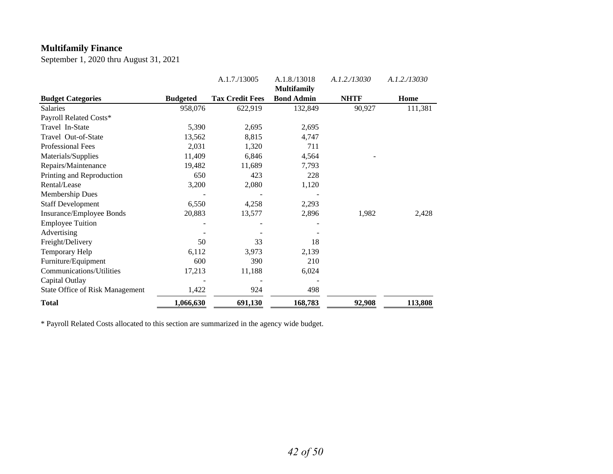# **Multifamily Finance**

September 1, 2020 thru August 31, 2021

|                                        |                 | A.1.7./13005           | A.1.8./13018       | A.1.2./13030 | A.1.2./13030 |
|----------------------------------------|-----------------|------------------------|--------------------|--------------|--------------|
|                                        |                 |                        | <b>Multifamily</b> |              |              |
| <b>Budget Categories</b>               | <b>Budgeted</b> | <b>Tax Credit Fees</b> | <b>Bond Admin</b>  | <b>NHTF</b>  | Home         |
| Salaries                               | 958,076         | 622,919                | 132,849            | 90,927       | 111,381      |
| Payroll Related Costs*                 |                 |                        |                    |              |              |
| Travel In-State                        | 5,390           | 2,695                  | 2,695              |              |              |
| Travel Out-of-State                    | 13,562          | 8,815                  | 4,747              |              |              |
| Professional Fees                      | 2,031           | 1,320                  | 711                |              |              |
| Materials/Supplies                     | 11,409          | 6,846                  | 4,564              |              |              |
| Repairs/Maintenance                    | 19,482          | 11,689                 | 7,793              |              |              |
| Printing and Reproduction              | 650             | 423                    | 228                |              |              |
| Rental/Lease                           | 3,200           | 2,080                  | 1,120              |              |              |
| Membership Dues                        |                 |                        |                    |              |              |
| <b>Staff Development</b>               | 6,550           | 4,258                  | 2,293              |              |              |
| Insurance/Employee Bonds               | 20,883          | 13,577                 | 2,896              | 1,982        | 2,428        |
| <b>Employee Tuition</b>                |                 |                        |                    |              |              |
| Advertising                            |                 |                        |                    |              |              |
| Freight/Delivery                       | 50              | 33                     | 18                 |              |              |
| Temporary Help                         | 6,112           | 3,973                  | 2,139              |              |              |
| Furniture/Equipment                    | 600             | 390                    | 210                |              |              |
| Communications/Utilities               | 17,213          | 11,188                 | 6,024              |              |              |
| Capital Outlay                         |                 |                        |                    |              |              |
| <b>State Office of Risk Management</b> | 1,422           | 924                    | 498                |              |              |
| <b>Total</b>                           | 1,066,630       | 691,130                | 168,783            | 92,908       | 113,808      |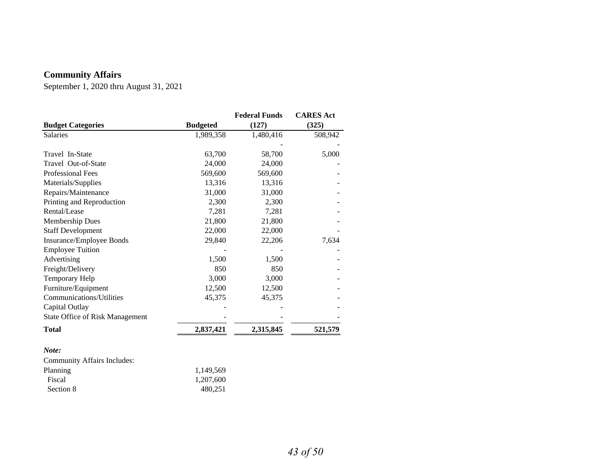# **Community Affairs**

September 1, 2020 thru August 31, 2021

|                                        |                 | <b>Federal Funds</b> | <b>CARES</b> Act |
|----------------------------------------|-----------------|----------------------|------------------|
| <b>Budget Categories</b>               | <b>Budgeted</b> | (127)                | (325)            |
| Salaries                               | 1,989,358       | 1,480,416            | 508,942          |
|                                        |                 |                      |                  |
| Travel In-State                        | 63,700          | 58,700               | 5,000            |
| Travel Out-of-State                    | 24,000          | 24,000               |                  |
| <b>Professional Fees</b>               | 569,600         | 569,600              |                  |
| Materials/Supplies                     | 13,316          | 13,316               |                  |
| Repairs/Maintenance                    | 31,000          | 31,000               |                  |
| Printing and Reproduction              | 2,300           | 2,300                |                  |
| Rental/Lease                           | 7,281           | 7,281                |                  |
| <b>Membership Dues</b>                 | 21,800          | 21,800               |                  |
| <b>Staff Development</b>               | 22,000          | 22,000               |                  |
| Insurance/Employee Bonds               | 29,840          | 22,206               | 7,634            |
| <b>Employee Tuition</b>                |                 |                      |                  |
| Advertising                            | 1,500           | 1,500                |                  |
| Freight/Delivery                       | 850             | 850                  |                  |
| Temporary Help                         | 3,000           | 3,000                |                  |
| Furniture/Equipment                    | 12,500          | 12,500               |                  |
| Communications/Utilities               | 45,375          | 45,375               |                  |
| Capital Outlay                         |                 |                      |                  |
| <b>State Office of Risk Management</b> |                 |                      |                  |
| <b>Total</b>                           | 2,837,421       | 2,315,845            | 521,579          |

#### *Note:*

| Community Affairs Includes: |           |
|-----------------------------|-----------|
| Planning                    | 1,149,569 |
| Fiscal                      | 1,207,600 |
| Section 8                   | 480.251   |
|                             |           |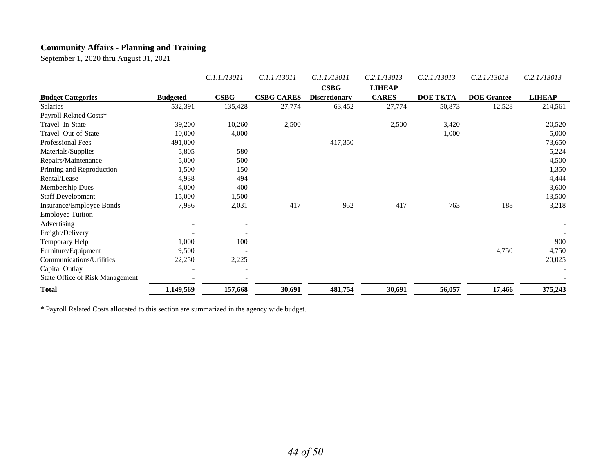# **Community Affairs - Planning and Training**

September 1, 2020 thru August 31, 2021

|                                        |                 | C.1.1./13011 | C.1.1./13011      | C.1.1./13011         | C.2.1./13013  | C.2.1./13013 | C.2.1./13013       | C.2.1./13013  |
|----------------------------------------|-----------------|--------------|-------------------|----------------------|---------------|--------------|--------------------|---------------|
|                                        |                 |              |                   | <b>CSBG</b>          | <b>LIHEAP</b> |              |                    |               |
| <b>Budget Categories</b>               | <b>Budgeted</b> | CSBG         | <b>CSBG CARES</b> | <b>Discretionary</b> | <b>CARES</b>  | DOE T&TA     | <b>DOE</b> Grantee | <b>LIHEAP</b> |
| Salaries                               | 532,391         | 135,428      | 27,774            | 63,452               | 27,774        | 50,873       | 12,528             | 214,561       |
| Payroll Related Costs*                 |                 |              |                   |                      |               |              |                    |               |
| Travel In-State                        | 39,200          | 10,260       | 2,500             |                      | 2,500         | 3,420        |                    | 20,520        |
| Travel Out-of-State                    | 10,000          | 4,000        |                   |                      |               | 1,000        |                    | 5,000         |
| <b>Professional Fees</b>               | 491,000         |              |                   | 417,350              |               |              |                    | 73,650        |
| Materials/Supplies                     | 5,805           | 580          |                   |                      |               |              |                    | 5,224         |
| Repairs/Maintenance                    | 5,000           | 500          |                   |                      |               |              |                    | 4,500         |
| Printing and Reproduction              | 1,500           | 150          |                   |                      |               |              |                    | 1,350         |
| Rental/Lease                           | 4,938           | 494          |                   |                      |               |              |                    | 4,444         |
| <b>Membership Dues</b>                 | 4,000           | 400          |                   |                      |               |              |                    | 3,600         |
| <b>Staff Development</b>               | 15,000          | 1,500        |                   |                      |               |              |                    | 13,500        |
| Insurance/Employee Bonds               | 7,986           | 2,031        | 417               | 952                  | 417           | 763          | 188                | 3,218         |
| <b>Employee Tuition</b>                |                 |              |                   |                      |               |              |                    |               |
| Advertising                            |                 |              |                   |                      |               |              |                    |               |
| Freight/Delivery                       |                 |              |                   |                      |               |              |                    |               |
| Temporary Help                         | 1,000           | 100          |                   |                      |               |              |                    | 900           |
| Furniture/Equipment                    | 9,500           |              |                   |                      |               |              | 4,750              | 4,750         |
| Communications/Utilities               | 22,250          | 2,225        |                   |                      |               |              |                    | 20,025        |
| Capital Outlay                         |                 |              |                   |                      |               |              |                    |               |
| <b>State Office of Risk Management</b> |                 |              |                   |                      |               |              |                    |               |
| <b>Total</b>                           | 1,149,569       | 157,668      | 30,691            | 481,754              | 30,691        | 56,057       | 17,466             | 375,243       |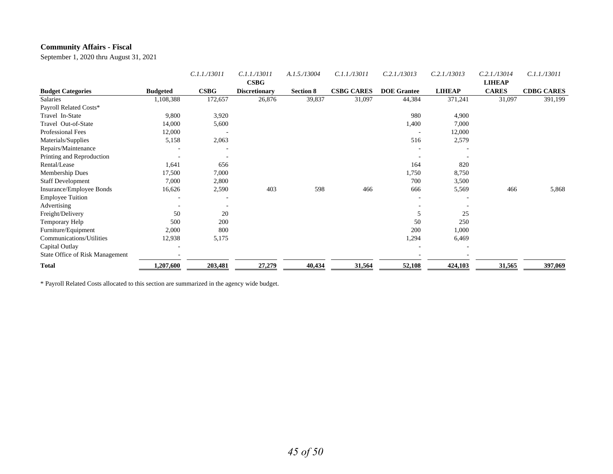#### **Community Affairs - Fiscal**

September 1, 2020 thru August 31, 2021

|                                 |                 | C.I.I./I3011 | C.I.I./I3011         | A.1.5./13004     | C.1.1./13011      | C.2.1./13013       | C.2.1./13013  | C.2.1./13014  | C.I.I./I3011      |
|---------------------------------|-----------------|--------------|----------------------|------------------|-------------------|--------------------|---------------|---------------|-------------------|
|                                 |                 |              | CSBG                 |                  |                   |                    |               | <b>LIHEAP</b> |                   |
| <b>Budget Categories</b>        | <b>Budgeted</b> | <b>CSBG</b>  | <b>Discretionary</b> | <b>Section 8</b> | <b>CSBG CARES</b> | <b>DOE</b> Grantee | <b>LIHEAP</b> | <b>CARES</b>  | <b>CDBG CARES</b> |
| Salaries                        | 1,108,388       | 172,657      | 26,876               | 39,837           | 31,097            | 44,384             | 371,241       | 31,097        | 391,199           |
| Payroll Related Costs*          |                 |              |                      |                  |                   |                    |               |               |                   |
| Travel In-State                 | 9,800           | 3,920        |                      |                  |                   | 980                | 4,900         |               |                   |
| Travel Out-of-State             | 14,000          | 5,600        |                      |                  |                   | 1,400              | 7,000         |               |                   |
| Professional Fees               | 12,000          |              |                      |                  |                   |                    | 12,000        |               |                   |
| Materials/Supplies              | 5,158           | 2,063        |                      |                  |                   | 516                | 2,579         |               |                   |
| Repairs/Maintenance             |                 |              |                      |                  |                   |                    |               |               |                   |
| Printing and Reproduction       |                 |              |                      |                  |                   |                    |               |               |                   |
| Rental/Lease                    | 1,641           | 656          |                      |                  |                   | 164                | 820           |               |                   |
| Membership Dues                 | 17,500          | 7,000        |                      |                  |                   | 1,750              | 8,750         |               |                   |
| <b>Staff Development</b>        | 7,000           | 2,800        |                      |                  |                   | 700                | 3,500         |               |                   |
| Insurance/Employee Bonds        | 16,626          | 2,590        | 403                  | 598              | 466               | 666                | 5,569         | 466           | 5,868             |
| <b>Employee Tuition</b>         |                 |              |                      |                  |                   |                    |               |               |                   |
| Advertising                     |                 |              |                      |                  |                   |                    |               |               |                   |
| Freight/Delivery                | 50              | 20           |                      |                  |                   |                    | 25            |               |                   |
| Temporary Help                  | 500             | 200          |                      |                  |                   | 50                 | 250           |               |                   |
| Furniture/Equipment             | 2,000           | 800          |                      |                  |                   | 200                | 1,000         |               |                   |
| Communications/Utilities        | 12,938          | 5,175        |                      |                  |                   | 1,294              | 6,469         |               |                   |
| Capital Outlay                  |                 |              |                      |                  |                   |                    |               |               |                   |
| State Office of Risk Management |                 |              |                      |                  |                   |                    |               |               |                   |
| <b>Total</b>                    | 1,207,600       | 203,481      | 27,279               | 40,434           | 31,564            | 52,108             | 424,103       | 31,565        | 397,069           |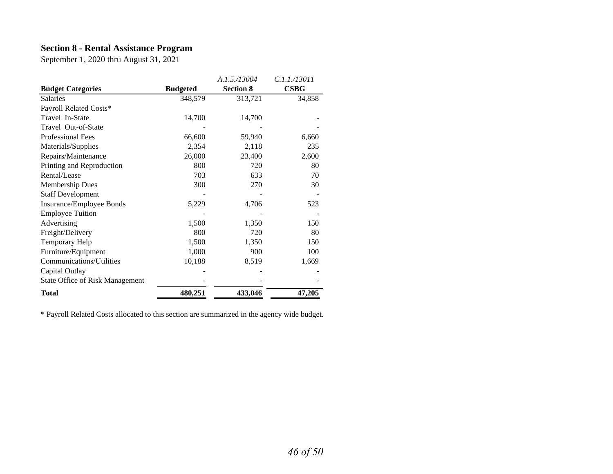### **Section 8 - Rental Assistance Program**

September 1, 2020 thru August 31, 2021

|                                 |                 | A.1.5./13004     | C.1.1./13011 |
|---------------------------------|-----------------|------------------|--------------|
| <b>Budget Categories</b>        | <b>Budgeted</b> | <b>Section 8</b> | <b>CSBG</b>  |
| Salaries                        | 348,579         | 313,721          | 34,858       |
| Payroll Related Costs*          |                 |                  |              |
| Travel In-State                 | 14,700          | 14,700           |              |
| Travel Out-of-State             |                 |                  |              |
| Professional Fees               | 66,600          | 59,940           | 6,660        |
| Materials/Supplies              | 2,354           | 2,118            | 235          |
| Repairs/Maintenance             | 26,000          | 23,400           | 2,600        |
| Printing and Reproduction       | 800             | 720              | 80           |
| Rental/Lease                    | 703             | 633              | 70           |
| <b>Membership Dues</b>          | 300             | 270              | 30           |
| <b>Staff Development</b>        |                 |                  |              |
| Insurance/Employee Bonds        | 5,229           | 4,706            | 523          |
| <b>Employee Tuition</b>         |                 |                  |              |
| Advertising                     | 1,500           | 1,350            | 150          |
| Freight/Delivery                | 800             | 720              | 80           |
| Temporary Help                  | 1,500           | 1,350            | 150          |
| Furniture/Equipment             | 1,000           | 900              | 100          |
| Communications/Utilities        | 10,188          | 8,519            | 1,669        |
| Capital Outlay                  |                 |                  |              |
| State Office of Risk Management |                 |                  |              |
| <b>Total</b>                    | 480,251         | 433,046          | 47,205       |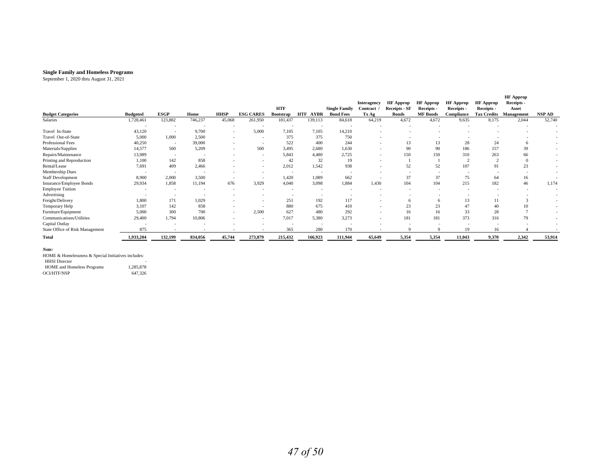#### **Single Family and Homeless Programs**

September 1, 2020 thru August 31, 2021

|                                 |                 |                          |         |                |                          | <b>HTF</b> |                           | <b>Single Family</b>     | <b>Interagency</b><br>Contract | <b>HF</b> Approp<br><b>Receipts - SF</b> | <b>HF Approp</b><br>Receipts - | <b>HF Approp</b><br>Receipts - | <b>HF Approp</b><br>Receipts - | <b>HF Approp</b><br>Receipts -<br>Asset |                          |
|---------------------------------|-----------------|--------------------------|---------|----------------|--------------------------|------------|---------------------------|--------------------------|--------------------------------|------------------------------------------|--------------------------------|--------------------------------|--------------------------------|-----------------------------------------|--------------------------|
| <b>Budget Categories</b>        | <b>Budgeted</b> | <b>ESGP</b>              | Home    | <b>HHSP</b>    | <b>ESG CARES</b>         | Bootstran  | <b>HTF</b><br><b>AYBR</b> | <b>Bond Fees</b>         | Tx Ag                          | <b>Bonds</b>                             | <b>MF</b> Bonds                | Compliance                     | <b>Tax Credits</b>             | Management                              | NSP AD                   |
| Salaries                        | 1,728,461       | 123,882                  | 746,237 | 45,068         | 261,950                  | 181,437    | 139,113                   | 84,618                   | 64,219                         | 4,672                                    | 4,672                          | 9,635                          | 8,175                          | 2,044                                   | 52,740                   |
| Travel In-State                 | 43,120          |                          | 9,700   |                | 5,000                    | 7,105      | 7,105                     | 14,210                   |                                |                                          |                                |                                |                                |                                         |                          |
| Travel Out-of-State             | 5,000           | 1,000                    | 2,500   |                |                          | 375        | 375                       | 750                      |                                |                                          |                                |                                |                                |                                         |                          |
| Professional Fees               | 40,250          | $\sim$                   | 39,000  | $\sim$         | $\sim$                   | 522        | 400                       | 244                      |                                | 13                                       | 13                             | 28                             | 24                             | o                                       | $\sim$                   |
| Materials/Supplies              | 14,577          | 500                      | 5,209   |                | 500                      | 3,495      | 2,680                     | 1,630                    |                                | 90                                       | 90                             | 186                            | 157                            | 39                                      | $\overline{\phantom{a}}$ |
| Repairs/Maintenance             | 13,989          | $\sim$                   | . .     |                | $\overline{\phantom{a}}$ | 5,843      | 4,480                     | 2,725                    |                                | 150                                      | 150                            | 310                            | 263                            | 66                                      | $\sim$                   |
| Printing and Reproduction       | 1,100           | 142                      | 858     |                | $\overline{\phantom{a}}$ | 42         | 32                        | 19                       |                                |                                          |                                |                                |                                | $\theta$                                | $\overline{\phantom{a}}$ |
| Rental/Lease                    | 7,691           | 409                      | 2,466   |                |                          | 2,012      | 1,542                     | 938                      |                                | 52                                       | 52                             | 107                            | 91                             | 23                                      | $\sim$                   |
| Membership Dues                 |                 |                          |         |                |                          |            | $\overline{\phantom{0}}$  | $\overline{\phantom{a}}$ |                                |                                          |                                |                                |                                |                                         | $\overline{\phantom{a}}$ |
| <b>Staff Development</b>        | 8,900           | 2,000                    | 3,500   |                |                          | 1,420      | 1.089                     | 662                      |                                | 37                                       | 37                             | 75                             | 64                             | 16                                      |                          |
| Insurance/Employee Bonds        | 29,934          | 1,858                    | 11,194  | 676            | 3,929                    | 4,040      | 3,098                     | 1,884                    | 1,430                          | 104                                      | 104                            | 215                            | 182                            | 46                                      | 1,174                    |
| <b>Employee Tuition</b>         |                 |                          |         |                |                          |            |                           |                          |                                |                                          |                                |                                |                                |                                         |                          |
| Advertising                     |                 | $\overline{\phantom{a}}$ |         |                |                          |            | $\overline{\phantom{a}}$  |                          |                                |                                          |                                |                                |                                |                                         | $\sim$                   |
| Freight/Delivery                | 1,800           | 171                      | 1,029   |                |                          | 251        | 192                       | 117                      |                                | 6                                        | 6                              | 13                             | 11                             |                                         |                          |
| Temporary Help                  | 3,107           | 142                      | 858     | $\overline{a}$ |                          | 880        | 675                       | 410                      |                                | 23                                       | 23                             | 47                             | 40                             | 10                                      | $\sim$                   |
| Furniture/Equipment             | 5,000           | 300                      | 700     |                | 2,500                    | 627        | 480                       | 292                      |                                | 16                                       | 16                             | 33                             | 28                             |                                         | $\overline{\phantom{a}}$ |
| Communications/Utilities        | 29,400          | 1,794                    | 10,806  |                | $\overline{\phantom{a}}$ | 7,017      | 5,380                     | 3,273                    |                                | 181                                      | 181                            | 373                            | 316                            | 79                                      |                          |
| Capital Outlay                  |                 |                          |         |                |                          |            |                           |                          |                                |                                          |                                |                                |                                |                                         |                          |
| State Office of Risk Management | 875             |                          |         |                |                          | 365        | 280                       | 170                      |                                | $\Omega$                                 | Q                              | 19                             | 16                             |                                         |                          |
| <b>Total</b>                    | 1,933,204       | 132,199                  | 834,056 | 45,744         | 273,879                  | 215,432    | 166,923                   | 111,944                  | 65,649                         | 5,354                                    | 5,354                          | 11,043                         | 9,370                          | 2,342                                   | 53,914                   |

*Note:* HOME & Homelessness & Special Initiatives includes: HHSI Director - HOME and Homeless Programs 1,285,878<br>OCI/HTF/NSP 647,326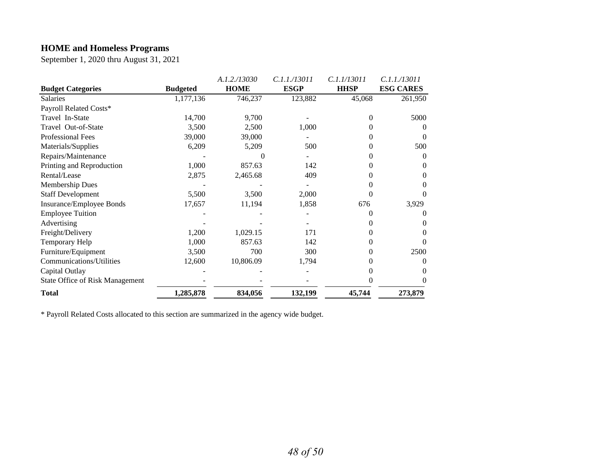# **HOME and Homeless Programs**

September 1, 2020 thru August 31, 2021

|                                        |                 | A.1.2./13030 | C.1.1./13011 | C.1.1/13011       | C.1.1./13011     |
|----------------------------------------|-----------------|--------------|--------------|-------------------|------------------|
| <b>Budget Categories</b>               | <b>Budgeted</b> | <b>HOME</b>  | <b>ESGP</b>  | <b>HHSP</b>       | <b>ESG CARES</b> |
| <b>Salaries</b>                        | 1,177,136       | 746,237      | 123,882      | 45,068            | 261,950          |
| Payroll Related Costs*                 |                 |              |              |                   |                  |
| Travel In-State                        | 14,700          | 9,700        |              | $\Omega$          | 5000             |
| Travel Out-of-State                    | 3,500           | 2,500        | 1,000        |                   | $\Omega$         |
| <b>Professional Fees</b>               | 39,000          | 39,000       |              |                   | $\Omega$         |
| Materials/Supplies                     | 6,209           | 5,209        | 500          | $\mathbf{\Omega}$ | 500              |
| Repairs/Maintenance                    |                 |              |              | $\theta$          | $\Omega$         |
| Printing and Reproduction              | 1,000           | 857.63       | 142          | $\Omega$          | 0                |
| Rental/Lease                           | 2,875           | 2,465.68     | 409          |                   | 0                |
| <b>Membership Dues</b>                 |                 |              |              |                   | 0                |
| <b>Staff Development</b>               | 5,500           | 3,500        | 2,000        | $\theta$          | $\Omega$         |
| Insurance/Employee Bonds               | 17,657          | 11,194       | 1,858        | 676               | 3,929            |
| <b>Employee Tuition</b>                |                 |              |              | $\theta$          | $\Omega$         |
| Advertising                            |                 |              |              |                   | $\Omega$         |
| Freight/Delivery                       | 1,200           | 1,029.15     | 171          |                   | 0                |
| Temporary Help                         | 1,000           | 857.63       | 142          |                   | 0                |
| Furniture/Equipment                    | 3,500           | 700          | 300          | $\Omega$          | 2500             |
| Communications/Utilities               | 12,600          | 10,806.09    | 1,794        | $\mathbf{0}$      | 0                |
| Capital Outlay                         |                 |              |              |                   | 0                |
| <b>State Office of Risk Management</b> |                 |              |              |                   | $\Omega$         |
| <b>Total</b>                           | 1,285,878       | 834,056      | 132,199      | 45,744            | 273,879          |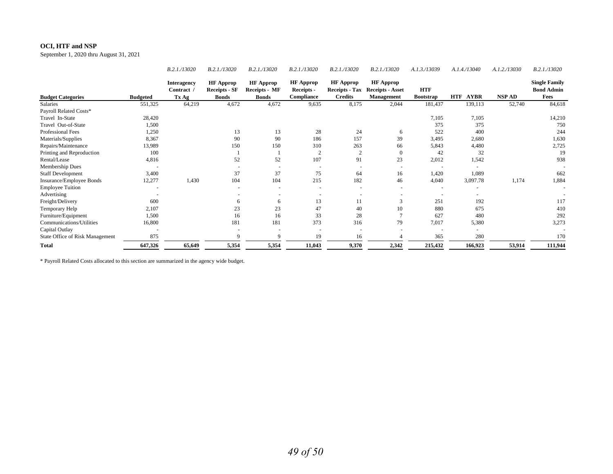#### **OCI, HTF and NSP**

September 1, 2020 thru August 31, 2021

|                                 |                 | B.2.1./13020                          | B.2.1./13020                             | B.2.1./13020                      | B.2.1./13020                   | B.2.1./13020                              | B.2.1./13020                                | A.1.3./13039     | A.1.4./13040              | A.1.2./13030 | B.2.1./13020                              |
|---------------------------------|-----------------|---------------------------------------|------------------------------------------|-----------------------------------|--------------------------------|-------------------------------------------|---------------------------------------------|------------------|---------------------------|--------------|-------------------------------------------|
|                                 |                 | <b>Interagency</b><br><b>Contract</b> | <b>HF</b> Approp<br><b>Receipts - SF</b> | <b>HF</b> Approp<br>Receipts - MF | <b>HF</b> Approp<br>Receipts - | <b>HF Approp</b><br><b>Receipts - Tax</b> | <b>HF</b> Approp<br><b>Receipts - Asset</b> | <b>HTF</b>       |                           |              | <b>Single Family</b><br><b>Bond Admin</b> |
| <b>Budget Categories</b>        | <b>Budgeted</b> | Tx Ag                                 | <b>Bonds</b>                             | <b>Bonds</b>                      | <b>Compliance</b>              | <b>Credits</b>                            | Management                                  | <b>Bootstrap</b> | <b>HTF</b><br><b>AYBR</b> | NSP AD       | Fees                                      |
| <b>Salaries</b>                 | 551,325         | 64,219                                | 4,672                                    | 4,672                             | 9,635                          | 8,175                                     | 2,044                                       | 181,437          | 139,113                   | 52,740       | 84,618                                    |
| Payroll Related Costs*          |                 |                                       |                                          |                                   |                                |                                           |                                             |                  |                           |              |                                           |
| Travel In-State                 | 28,420          |                                       |                                          |                                   |                                |                                           |                                             | 7,105            | 7,105                     |              | 14,210                                    |
| Travel Out-of-State             | 1,500           |                                       |                                          |                                   |                                |                                           |                                             | 375              | 375                       |              | 750                                       |
| Professional Fees               | 1,250           |                                       | 13                                       | 13                                | 28                             | 24                                        | 6                                           | 522              | 400                       |              | 244                                       |
| Materials/Supplies              | 8,367           |                                       | 90                                       | 90                                | 186                            | 157                                       | 39                                          | 3,495            | 2,680                     |              | 1,630                                     |
| Repairs/Maintenance             | 13,989          |                                       | 150                                      | 150                               | 310                            | 263                                       | 66                                          | 5,843            | 4,480                     |              | 2,725                                     |
| Printing and Reproduction       | 100             |                                       |                                          |                                   |                                |                                           | $\Omega$                                    | 42               | 32                        |              | 19                                        |
| Rental/Lease                    | 4,816           |                                       | 52                                       | 52                                | 107                            | 91                                        | 23                                          | 2,012            | 1,542                     |              | 938                                       |
| Membership Dues                 |                 |                                       |                                          |                                   |                                |                                           |                                             |                  |                           |              |                                           |
| <b>Staff Development</b>        | 3,400           |                                       | 37                                       | 37                                | 75                             | 64                                        | 16                                          | 1,420            | 1,089                     |              | 662                                       |
| Insurance/Employee Bonds        | 12,277          | 1,430                                 | 104                                      | 104                               | 215                            | 182                                       | 46                                          | 4,040            | 3,097.78                  | 1,174        | 1,884                                     |
| <b>Employee Tuition</b>         |                 |                                       |                                          |                                   |                                |                                           |                                             |                  |                           |              |                                           |
| Advertising                     |                 |                                       |                                          |                                   |                                |                                           |                                             |                  |                           |              |                                           |
| Freight/Delivery                | 600             |                                       | 6                                        | 6                                 | 13                             | 11                                        | $\mathcal{R}$                               | 251              | 192                       |              | 117                                       |
| Temporary Help                  | 2,107           |                                       | 23                                       | 23                                | 47                             | 40                                        | 10                                          | 880              | 675                       |              | 410                                       |
| Furniture/Equipment             | 1,500           |                                       | 16                                       | 16                                | 33                             | 28                                        |                                             | 627              | 480                       |              | 292                                       |
| Communications/Utilities        | 16,800          |                                       | 181                                      | 181                               | 373                            | 316                                       | 79                                          | 7,017            | 5,380                     |              | 3,273                                     |
| Capital Outlay                  |                 |                                       |                                          |                                   |                                |                                           |                                             |                  |                           |              |                                           |
| State Office of Risk Management | 875             |                                       | $\mathbf{Q}$                             | $\mathbf Q$                       | 19                             | 16                                        |                                             | 365              | 280                       |              | 170                                       |
| <b>Total</b>                    | 647,326         | 65,649                                | 5,354                                    | 5,354                             | 11,043                         | 9,370                                     | 2,342                                       | 215,432          | 166,923                   | 53,914       | 111,944                                   |